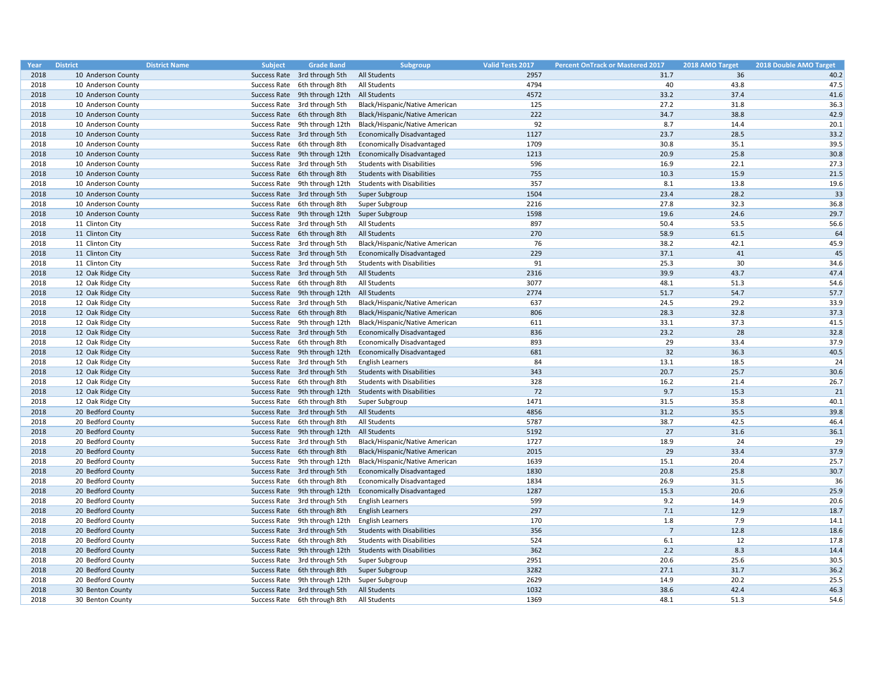| Year | <b>District</b>    | <b>District Name</b><br><b>Subject</b> | <b>Grade Band</b>             | <b>Subgroup</b>                   | <b>Valid Tests 2017</b> | <b>Percent OnTrack or Mastered 2017</b> | 2018 AMO Target | 2018 Double AMO Target |
|------|--------------------|----------------------------------------|-------------------------------|-----------------------------------|-------------------------|-----------------------------------------|-----------------|------------------------|
| 2018 | 10 Anderson County |                                        | Success Rate 3rd through 5th  | All Students                      | 2957                    | 31.7                                    | 36              | 40.2                   |
| 2018 | 10 Anderson County |                                        | Success Rate 6th through 8th  | All Students                      | 4794                    | 40                                      | 43.8            | 47.5                   |
| 2018 | 10 Anderson County |                                        | Success Rate 9th through 12th | <b>All Students</b>               | 4572                    | 33.2                                    | 37.4            | 41.6                   |
| 2018 | 10 Anderson County |                                        | Success Rate 3rd through 5th  | Black/Hispanic/Native American    | 125                     | 27.2                                    | 31.8            | 36.3                   |
| 2018 | 10 Anderson County |                                        | Success Rate 6th through 8th  | Black/Hispanic/Native American    | 222                     | 34.7                                    | 38.8            | 42.9                   |
| 2018 | 10 Anderson County |                                        | Success Rate 9th through 12th | Black/Hispanic/Native American    | 92                      | 8.7                                     | 14.4            | 20.1                   |
| 2018 | 10 Anderson County |                                        | Success Rate 3rd through 5th  | <b>Economically Disadvantaged</b> | 1127                    | 23.7                                    | 28.5            | 33.2                   |
| 2018 | 10 Anderson County |                                        | Success Rate 6th through 8th  | <b>Economically Disadvantaged</b> | 1709                    | 30.8                                    | 35.1            | 39.5                   |
| 2018 | 10 Anderson County |                                        | Success Rate 9th through 12th | <b>Economically Disadvantaged</b> | 1213                    | 20.9                                    | 25.8            | 30.8                   |
| 2018 | 10 Anderson County |                                        | Success Rate 3rd through 5th  | <b>Students with Disabilities</b> | 596                     | 16.9                                    | 22.1            | 27.3                   |
| 2018 | 10 Anderson County |                                        | Success Rate 6th through 8th  | <b>Students with Disabilities</b> | 755                     | 10.3                                    | 15.9            | 21.5                   |
| 2018 | 10 Anderson County |                                        | Success Rate 9th through 12th | <b>Students with Disabilities</b> | 357                     | 8.1                                     | 13.8            | 19.6                   |
| 2018 | 10 Anderson County |                                        | Success Rate 3rd through 5th  | Super Subgroup                    | 1504                    | 23.4                                    | 28.2            | 33                     |
| 2018 | 10 Anderson County |                                        | Success Rate 6th through 8th  | Super Subgroup                    | 2216                    | 27.8                                    | 32.3            | 36.8                   |
| 2018 | 10 Anderson County |                                        | Success Rate 9th through 12th | Super Subgroup                    | 1598                    | 19.6                                    | 24.6            | 29.7                   |
| 2018 | 11 Clinton City    |                                        | Success Rate 3rd through 5th  | All Students                      | 897                     | 50.4                                    | 53.5            | 56.6                   |
| 2018 | 11 Clinton City    |                                        | Success Rate 6th through 8th  | <b>All Students</b>               | 270                     | 58.9                                    | 61.5            | 64                     |
| 2018 | 11 Clinton City    |                                        | Success Rate 3rd through 5th  | Black/Hispanic/Native American    | 76                      | 38.2                                    | 42.1            | 45.9                   |
| 2018 | 11 Clinton City    |                                        | Success Rate 3rd through 5th  | <b>Economically Disadvantaged</b> | 229                     | 37.1                                    | 41              | 45                     |
| 2018 | 11 Clinton City    |                                        | Success Rate 3rd through 5th  | <b>Students with Disabilities</b> | 91                      | 25.3                                    | 30              | 34.6                   |
| 2018 | 12 Oak Ridge City  |                                        | Success Rate 3rd through 5th  | <b>All Students</b>               | 2316                    | 39.9                                    | 43.7            | 47.4                   |
| 2018 | 12 Oak Ridge City  |                                        | Success Rate 6th through 8th  | All Students                      | 3077                    | 48.1                                    | 51.3            | 54.6                   |
| 2018 | 12 Oak Ridge City  |                                        | Success Rate 9th through 12th | <b>All Students</b>               | 2774                    | 51.7                                    | 54.7            | 57.7                   |
| 2018 | 12 Oak Ridge City  |                                        | Success Rate 3rd through 5th  | Black/Hispanic/Native American    | 637                     | 24.5                                    | 29.2            | 33.9                   |
| 2018 | 12 Oak Ridge City  |                                        | Success Rate 6th through 8th  | Black/Hispanic/Native American    | 806                     | 28.3                                    | 32.8            | 37.3                   |
| 2018 | 12 Oak Ridge City  |                                        | Success Rate 9th through 12th | Black/Hispanic/Native American    | 611                     | 33.1                                    | 37.3            | 41.5                   |
| 2018 | 12 Oak Ridge City  |                                        | Success Rate 3rd through 5th  | <b>Economically Disadvantaged</b> | 836                     | 23.2                                    | 28              | 32.8                   |
| 2018 | 12 Oak Ridge City  |                                        | Success Rate 6th through 8th  | <b>Economically Disadvantaged</b> | 893                     | 29                                      | 33.4            | 37.9                   |
| 2018 | 12 Oak Ridge City  |                                        | Success Rate 9th through 12th | <b>Economically Disadvantaged</b> | 681                     | 32                                      | 36.3            | 40.5                   |
| 2018 | 12 Oak Ridge City  |                                        | Success Rate 3rd through 5th  | <b>English Learners</b>           | 84                      | 13.1                                    | 18.5            | 24                     |
| 2018 | 12 Oak Ridge City  |                                        | Success Rate 3rd through 5th  | <b>Students with Disabilities</b> | 343                     | 20.7                                    | 25.7            | 30.6                   |
| 2018 | 12 Oak Ridge City  |                                        | Success Rate 6th through 8th  | <b>Students with Disabilities</b> | 328                     | 16.2                                    | 21.4            | 26.7                   |
| 2018 | 12 Oak Ridge City  |                                        | Success Rate 9th through 12th | <b>Students with Disabilities</b> | 72                      | 9.7                                     | 15.3            | 21                     |
| 2018 | 12 Oak Ridge City  |                                        | Success Rate 6th through 8th  | Super Subgroup                    | 1471                    | 31.5                                    | 35.8            | 40.1                   |
| 2018 | 20 Bedford County  |                                        | Success Rate 3rd through 5th  | All Students                      | 4856                    | 31.2                                    | 35.5            | 39.8                   |
| 2018 | 20 Bedford County  |                                        | Success Rate 6th through 8th  | All Students                      | 5787                    | 38.7                                    | 42.5            | 46.4                   |
| 2018 | 20 Bedford County  |                                        | Success Rate 9th through 12th | <b>All Students</b>               | 5192                    | 27                                      | 31.6            | 36.1                   |
| 2018 | 20 Bedford County  |                                        | Success Rate 3rd through 5th  | Black/Hispanic/Native American    | 1727                    | 18.9                                    | 24              | 29                     |
| 2018 | 20 Bedford County  |                                        | Success Rate 6th through 8th  | Black/Hispanic/Native American    | 2015                    | 29                                      | 33.4            | 37.9                   |
| 2018 | 20 Bedford County  |                                        | Success Rate 9th through 12th | Black/Hispanic/Native American    | 1639                    | 15.1                                    | 20.4            | 25.7                   |
| 2018 | 20 Bedford County  |                                        | Success Rate 3rd through 5th  | <b>Economically Disadvantaged</b> | 1830                    | 20.8                                    | 25.8            | 30.7                   |
| 2018 | 20 Bedford County  |                                        | Success Rate 6th through 8th  | <b>Economically Disadvantaged</b> | 1834                    | 26.9                                    | 31.5            | 36                     |
| 2018 | 20 Bedford County  |                                        | Success Rate 9th through 12th | <b>Economically Disadvantaged</b> | 1287                    | 15.3                                    | 20.6            | 25.9                   |
| 2018 | 20 Bedford County  |                                        | Success Rate 3rd through 5th  | <b>English Learners</b>           | 599                     | 9.2                                     | 14.9            | 20.6                   |
| 2018 | 20 Bedford County  |                                        | Success Rate 6th through 8th  | <b>English Learners</b>           | 297                     | 7.1                                     | 12.9            | 18.7                   |
| 2018 |                    |                                        |                               |                                   | 170                     | 1.8                                     | 7.9             | 14.1                   |
|      | 20 Bedford County  |                                        | Success Rate 9th through 12th | English Learners                  |                         | $7\overline{ }$                         |                 |                        |
| 2018 | 20 Bedford County  |                                        | Success Rate 3rd through 5th  | <b>Students with Disabilities</b> | 356<br>524              | 6.1                                     | 12.8<br>12      | 18.6                   |
| 2018 | 20 Bedford County  |                                        | Success Rate 6th through 8th  | <b>Students with Disabilities</b> |                         |                                         |                 | 17.8                   |
| 2018 | 20 Bedford County  |                                        | Success Rate 9th through 12th | <b>Students with Disabilities</b> | 362                     | 2.2                                     | 8.3             | 14.4                   |
| 2018 | 20 Bedford County  |                                        | Success Rate 3rd through 5th  | Super Subgroup                    | 2951                    | 20.6                                    | 25.6            | 30.5                   |
| 2018 | 20 Bedford County  |                                        | Success Rate 6th through 8th  | Super Subgroup                    | 3282                    | 27.1                                    | 31.7            | 36.2                   |
| 2018 | 20 Bedford County  |                                        | Success Rate 9th through 12th | Super Subgroup                    | 2629                    | 14.9                                    | 20.2            | 25.5                   |
| 2018 | 30 Benton County   |                                        | Success Rate 3rd through 5th  | All Students                      | 1032                    | 38.6                                    | 42.4            | 46.3                   |
| 2018 | 30 Benton County   |                                        | Success Rate 6th through 8th  | All Students                      | 1369                    | 48.1                                    | 51.3            | 54.6                   |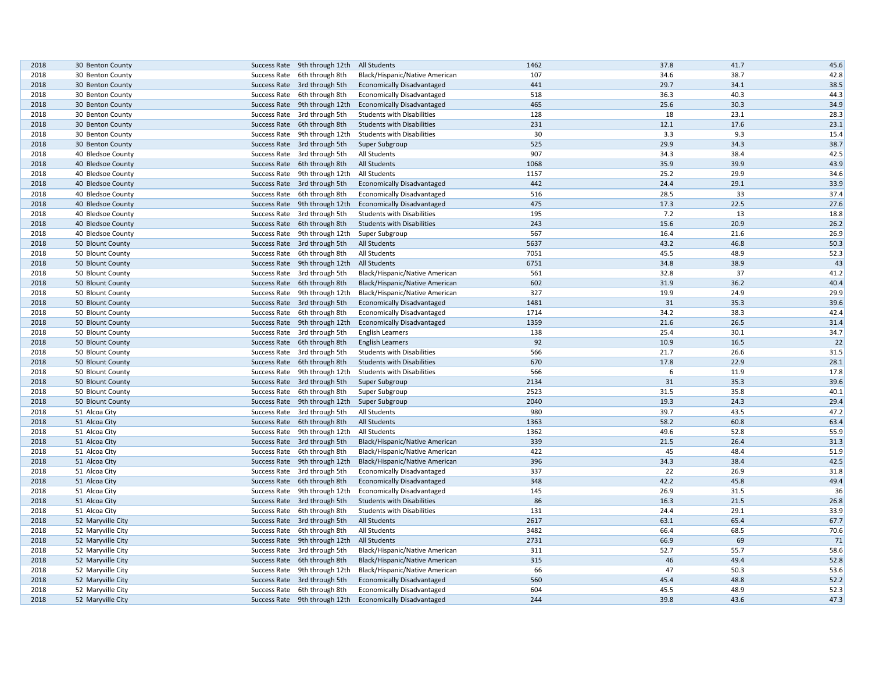| 2018 | 30 Benton County  | Success Rate 9th through 12th | All Students                      | 1462       | 37.8         | 41.7         | 45.6       |
|------|-------------------|-------------------------------|-----------------------------------|------------|--------------|--------------|------------|
| 2018 | 30 Benton County  | Success Rate 6th through 8th  | Black/Hispanic/Native American    | 107        | 34.6         | 38.7         | 42.8       |
| 2018 | 30 Benton County  | Success Rate 3rd through 5th  | <b>Economically Disadvantaged</b> | 441        | 29.7         | 34.1         | 38.5       |
| 2018 | 30 Benton County  | Success Rate 6th through 8th  | <b>Economically Disadvantaged</b> | 518        | 36.3         | 40.3         | 44.3       |
| 2018 | 30 Benton County  | Success Rate 9th through 12th | <b>Economically Disadvantaged</b> | 465        | 25.6         | 30.3         | 34.9       |
| 2018 | 30 Benton County  | Success Rate 3rd through 5th  | <b>Students with Disabilities</b> | 128        | 18           | 23.1         | 28.3       |
| 2018 | 30 Benton County  | Success Rate 6th through 8th  | <b>Students with Disabilities</b> | 231        | 12.1         | 17.6         | 23.1       |
| 2018 | 30 Benton County  | Success Rate 9th through 12th | <b>Students with Disabilities</b> | 30         | 3.3          | 9.3          | 15.4       |
| 2018 | 30 Benton County  | Success Rate 3rd through 5th  | Super Subgroup                    | 525        | 29.9         | 34.3         | 38.7       |
| 2018 | 40 Bledsoe County | Success Rate 3rd through 5th  | All Students                      | 907        | 34.3         | 38.4         | 42.5       |
| 2018 | 40 Bledsoe County | Success Rate 6th through 8th  | <b>All Students</b>               | 1068       | 35.9         | 39.9         | 43.9       |
| 2018 | 40 Bledsoe County | Success Rate 9th through 12th | All Students                      | 1157       | 25.2         | 29.9         | 34.6       |
| 2018 | 40 Bledsoe County | Success Rate 3rd through 5th  | <b>Economically Disadvantaged</b> | 442        | 24.4         | 29.1         | 33.9       |
| 2018 | 40 Bledsoe County | Success Rate 6th through 8th  | <b>Economically Disadvantaged</b> | 516        | 28.5         | 33           | 37.4       |
| 2018 | 40 Bledsoe County | Success Rate 9th through 12th | <b>Economically Disadvantaged</b> | 475        | 17.3         | 22.5         | 27.6       |
| 2018 | 40 Bledsoe County | Success Rate 3rd through 5th  | <b>Students with Disabilities</b> | 195        | 7.2          | 13           | 18.8       |
| 2018 | 40 Bledsoe County | Success Rate 6th through 8th  | <b>Students with Disabilities</b> | 243        | 15.6         | 20.9         | 26.2       |
| 2018 | 40 Bledsoe County | Success Rate 9th through 12th | Super Subgroup                    | 567        | 16.4         | 21.6         | 26.9       |
| 2018 | 50 Blount County  | Success Rate 3rd through 5th  | <b>All Students</b>               | 5637       | 43.2         | 46.8         | 50.3       |
| 2018 | 50 Blount County  | Success Rate 6th through 8th  | All Students                      | 7051       | 45.5         | 48.9         | 52.3       |
| 2018 | 50 Blount County  | Success Rate 9th through 12th | All Students                      | 6751       | 34.8         | 38.9         | 43         |
| 2018 | 50 Blount County  | Success Rate 3rd through 5th  | Black/Hispanic/Native American    | 561        | 32.8         | 37           | 41.2       |
| 2018 | 50 Blount County  | Success Rate 6th through 8th  | Black/Hispanic/Native American    | 602        | 31.9         | 36.2         | 40.4       |
| 2018 | 50 Blount County  | Success Rate 9th through 12th | Black/Hispanic/Native American    | 327        | 19.9         | 24.9         | 29.9       |
| 2018 | 50 Blount County  | Success Rate 3rd through 5th  | <b>Economically Disadvantaged</b> | 1481       | 31           | 35.3         | 39.6       |
| 2018 | 50 Blount County  | Success Rate 6th through 8th  | <b>Economically Disadvantaged</b> | 1714       | 34.2         | 38.3         | 42.4       |
| 2018 | 50 Blount County  | Success Rate 9th through 12th | <b>Economically Disadvantaged</b> | 1359       | 21.6         | 26.5         | 31.4       |
| 2018 | 50 Blount County  | Success Rate 3rd through 5th  | <b>English Learners</b>           | 138        | 25.4         | 30.1         | 34.7       |
| 2018 | 50 Blount County  | Success Rate 6th through 8th  | <b>English Learners</b>           | 92         | 10.9         | 16.5         | 22         |
| 2018 | 50 Blount County  | Success Rate 3rd through 5th  | <b>Students with Disabilities</b> | 566        | 21.7         | 26.6         | 31.5       |
| 2018 | 50 Blount County  | Success Rate 6th through 8th  | <b>Students with Disabilities</b> | 670        | 17.8         | 22.9         | 28.1       |
| 2018 | 50 Blount County  | Success Rate 9th through 12th | <b>Students with Disabilities</b> | 566        | 6            | 11.9         | 17.8       |
| 2018 | 50 Blount County  | Success Rate 3rd through 5th  | Super Subgroup                    | 2134       | 31           | 35.3         | 39.6       |
| 2018 | 50 Blount County  | Success Rate 6th through 8th  | Super Subgroup                    | 2523       | 31.5         | 35.8         | 40.1       |
| 2018 | 50 Blount County  | Success Rate 9th through 12th | Super Subgroup                    | 2040       | 19.3         | 24.3         | 29.4       |
| 2018 | 51 Alcoa City     | Success Rate 3rd through 5th  | All Students                      | 980        | 39.7         | 43.5         | 47.2       |
| 2018 | 51 Alcoa City     | Success Rate 6th through 8th  | <b>All Students</b>               | 1363       | 58.2         | 60.8         | 63.4       |
| 2018 | 51 Alcoa City     | Success Rate 9th through 12th | All Students                      | 1362       | 49.6         | 52.8         | 55.9       |
| 2018 | 51 Alcoa City     | Success Rate 3rd through 5th  | Black/Hispanic/Native American    | 339        | 21.5         | 26.4         | 31.3       |
| 2018 | 51 Alcoa City     | Success Rate 6th through 8th  | Black/Hispanic/Native American    | 422        | 45           | 48.4         | 51.9       |
| 2018 | 51 Alcoa City     | Success Rate 9th through 12th | Black/Hispanic/Native American    | 396        | 34.3         | 38.4         | 42.5       |
|      |                   |                               |                                   |            |              | 26.9         |            |
| 2018 | 51 Alcoa City     | Success Rate 3rd through 5th  | <b>Economically Disadvantaged</b> | 337<br>348 | 22<br>42.2   | 45.8         | 31.8       |
| 2018 | 51 Alcoa City     | Success Rate 6th through 8th  | <b>Economically Disadvantaged</b> | 145        |              |              | 49.4<br>36 |
| 2018 | 51 Alcoa City     | Success Rate 9th through 12th | <b>Economically Disadvantaged</b> |            | 26.9         | 31.5         |            |
| 2018 | 51 Alcoa City     | Success Rate 3rd through 5th  | <b>Students with Disabilities</b> | 86         | 16.3<br>24.4 | 21.5<br>29.1 | 26.8       |
| 2018 | 51 Alcoa City     | Success Rate 6th through 8th  | <b>Students with Disabilities</b> | 131        |              |              | 33.9       |
| 2018 | 52 Maryville City | Success Rate 3rd through 5th  | All Students                      | 2617       | 63.1         | 65.4         | 67.7       |
| 2018 | 52 Maryville City | Success Rate 6th through 8th  | All Students                      | 3482       | 66.4         | 68.5         | 70.6       |
| 2018 | 52 Maryville City | Success Rate 9th through 12th | All Students                      | 2731       | 66.9         | 69           | 71         |
| 2018 | 52 Maryville City | Success Rate 3rd through 5th  | Black/Hispanic/Native American    | 311        | 52.7         | 55.7         | 58.6       |
| 2018 | 52 Maryville City | Success Rate 6th through 8th  | Black/Hispanic/Native American    | 315        | 46           | 49.4         | 52.8       |
| 2018 | 52 Maryville City | Success Rate 9th through 12th | Black/Hispanic/Native American    | 66         | 47           | 50.3         | 53.6       |
| 2018 | 52 Maryville City | Success Rate 3rd through 5th  | <b>Economically Disadvantaged</b> | 560        | 45.4         | 48.8         | 52.2       |
| 2018 | 52 Maryville City | Success Rate 6th through 8th  | <b>Economically Disadvantaged</b> | 604        | 45.5         | 48.9         | 52.3       |
| 2018 | 52 Maryville City | Success Rate 9th through 12th | <b>Economically Disadvantaged</b> | 244        | 39.8         | 43.6         | 47.3       |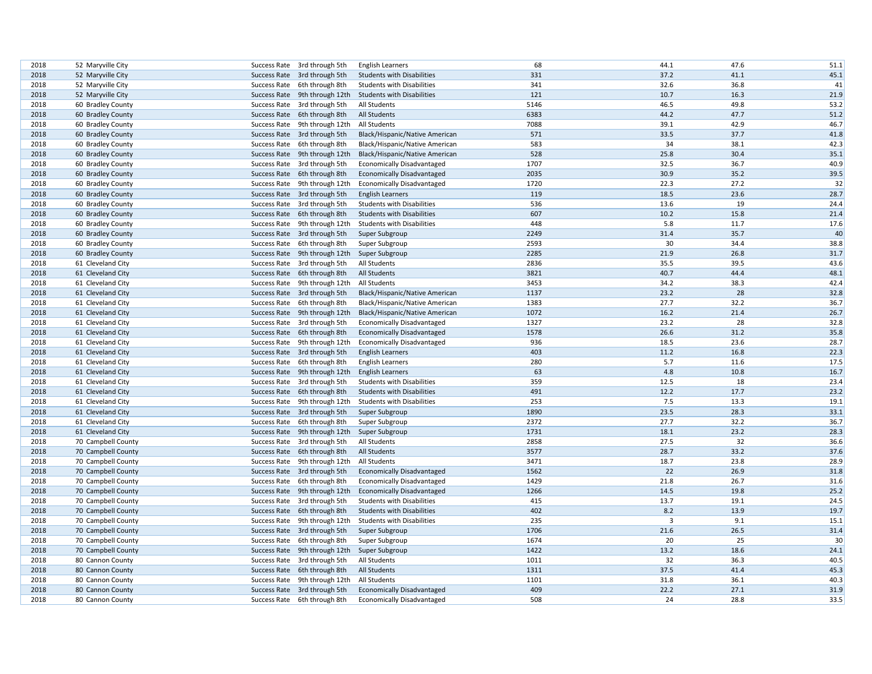| 2018 | 52 Maryville City  |              | Success Rate 3rd through 5th  | <b>English Learners</b>           | 68   | 44.1 | 47.6 | 51.1       |
|------|--------------------|--------------|-------------------------------|-----------------------------------|------|------|------|------------|
| 2018 | 52 Maryville City  |              | Success Rate 3rd through 5th  | <b>Students with Disabilities</b> | 331  | 37.2 | 41.1 | 45.1       |
| 2018 | 52 Maryville City  |              | Success Rate 6th through 8th  | <b>Students with Disabilities</b> | 341  | 32.6 | 36.8 | 41         |
| 2018 | 52 Maryville City  |              | Success Rate 9th through 12th | <b>Students with Disabilities</b> | 121  | 10.7 | 16.3 | 21.9       |
| 2018 | 60 Bradley County  |              | Success Rate 3rd through 5th  | All Students                      | 5146 | 46.5 | 49.8 | 53.2       |
| 2018 | 60 Bradley County  |              | Success Rate 6th through 8th  | All Students                      | 6383 | 44.2 | 47.7 | 51.2       |
| 2018 | 60 Bradley County  |              | Success Rate 9th through 12th | <b>All Students</b>               | 7088 | 39.1 | 42.9 | 46.7       |
| 2018 | 60 Bradley County  |              | Success Rate 3rd through 5th  | Black/Hispanic/Native American    | 571  | 33.5 | 37.7 | 41.8       |
| 2018 | 60 Bradley County  |              | Success Rate 6th through 8th  | Black/Hispanic/Native American    | 583  | 34   | 38.1 | 42.3       |
| 2018 | 60 Bradley County  |              | Success Rate 9th through 12th | Black/Hispanic/Native American    | 528  | 25.8 | 30.4 | 35.1       |
| 2018 | 60 Bradley County  |              | Success Rate 3rd through 5th  | <b>Economically Disadvantaged</b> | 1707 | 32.5 | 36.7 | 40.9       |
| 2018 | 60 Bradley County  |              | Success Rate 6th through 8th  | <b>Economically Disadvantaged</b> | 2035 | 30.9 | 35.2 | 39.5       |
| 2018 | 60 Bradley County  |              | Success Rate 9th through 12th | <b>Economically Disadvantaged</b> | 1720 | 22.3 | 27.2 | 32         |
| 2018 | 60 Bradley County  |              | Success Rate 3rd through 5th  | <b>English Learners</b>           | 119  | 18.5 | 23.6 | 28.7       |
| 2018 |                    |              | Success Rate 3rd through 5th  |                                   | 536  | 13.6 | 19   | 24.4       |
| 2018 | 60 Bradley County  |              |                               | <b>Students with Disabilities</b> | 607  | 10.2 | 15.8 | 21.4       |
|      | 60 Bradley County  |              | Success Rate 6th through 8th  | <b>Students with Disabilities</b> | 448  |      | 11.7 |            |
| 2018 | 60 Bradley County  |              | Success Rate 9th through 12th | <b>Students with Disabilities</b> | 2249 | 5.8  |      | 17.6<br>40 |
| 2018 | 60 Bradley County  |              | Success Rate 3rd through 5th  | Super Subgroup                    |      | 31.4 | 35.7 |            |
| 2018 | 60 Bradley County  | Success Rate | 6th through 8th               | Super Subgroup                    | 2593 | 30   | 34.4 | 38.8       |
| 2018 | 60 Bradley County  |              | Success Rate 9th through 12th | Super Subgroup                    | 2285 | 21.9 | 26.8 | 31.7       |
| 2018 | 61 Cleveland City  |              | Success Rate 3rd through 5th  | All Students                      | 2836 | 35.5 | 39.5 | 43.6       |
| 2018 | 61 Cleveland City  |              | Success Rate 6th through 8th  | All Students                      | 3821 | 40.7 | 44.4 | 48.1       |
| 2018 | 61 Cleveland City  |              | Success Rate 9th through 12th | All Students                      | 3453 | 34.2 | 38.3 | 42.4       |
| 2018 | 61 Cleveland City  |              | Success Rate 3rd through 5th  | Black/Hispanic/Native American    | 1137 | 23.2 | 28   | 32.8       |
| 2018 | 61 Cleveland City  | Success Rate | 6th through 8th               | Black/Hispanic/Native American    | 1383 | 27.7 | 32.2 | 36.7       |
| 2018 | 61 Cleveland City  |              | Success Rate 9th through 12th | Black/Hispanic/Native American    | 1072 | 16.2 | 21.4 | 26.7       |
| 2018 | 61 Cleveland City  |              | Success Rate 3rd through 5th  | <b>Economically Disadvantaged</b> | 1327 | 23.2 | 28   | 32.8       |
| 2018 | 61 Cleveland City  |              | Success Rate 6th through 8th  | <b>Economically Disadvantaged</b> | 1578 | 26.6 | 31.2 | 35.8       |
| 2018 | 61 Cleveland City  |              | Success Rate 9th through 12th | <b>Economically Disadvantaged</b> | 936  | 18.5 | 23.6 | 28.7       |
| 2018 | 61 Cleveland City  |              | Success Rate 3rd through 5th  | <b>English Learners</b>           | 403  | 11.2 | 16.8 | 22.3       |
| 2018 | 61 Cleveland City  |              | Success Rate 6th through 8th  | <b>English Learners</b>           | 280  | 5.7  | 11.6 | 17.5       |
| 2018 | 61 Cleveland City  |              | Success Rate 9th through 12th | <b>English Learners</b>           | 63   | 4.8  | 10.8 | 16.7       |
| 2018 | 61 Cleveland City  |              | Success Rate 3rd through 5th  | <b>Students with Disabilities</b> | 359  | 12.5 | 18   | 23.4       |
| 2018 | 61 Cleveland City  |              | Success Rate 6th through 8th  | <b>Students with Disabilities</b> | 491  | 12.2 | 17.7 | 23.2       |
| 2018 | 61 Cleveland City  |              | Success Rate 9th through 12th | <b>Students with Disabilities</b> | 253  | 7.5  | 13.3 | 19.1       |
| 2018 | 61 Cleveland City  |              | Success Rate 3rd through 5th  | Super Subgroup                    | 1890 | 23.5 | 28.3 | 33.1       |
| 2018 | 61 Cleveland City  |              | Success Rate 6th through 8th  | Super Subgroup                    | 2372 | 27.7 | 32.2 | 36.7       |
| 2018 | 61 Cleveland City  |              | Success Rate 9th through 12th | Super Subgroup                    | 1731 | 18.1 | 23.2 | 28.3       |
| 2018 | 70 Campbell County |              | Success Rate 3rd through 5th  | All Students                      | 2858 | 27.5 | 32   | 36.6       |
| 2018 | 70 Campbell County |              | Success Rate 6th through 8th  | All Students                      | 3577 | 28.7 | 33.2 | 37.6       |
| 2018 | 70 Campbell County |              | Success Rate 9th through 12th | All Students                      | 3471 | 18.7 | 23.8 | 28.9       |
| 2018 | 70 Campbell County |              | Success Rate 3rd through 5th  | <b>Economically Disadvantaged</b> | 1562 | 22   | 26.9 | 31.8       |
| 2018 | 70 Campbell County |              | Success Rate 6th through 8th  | <b>Economically Disadvantaged</b> | 1429 | 21.8 | 26.7 | 31.6       |
| 2018 | 70 Campbell County |              | Success Rate 9th through 12th | <b>Economically Disadvantaged</b> | 1266 | 14.5 | 19.8 | 25.2       |
| 2018 | 70 Campbell County |              | Success Rate 3rd through 5th  | <b>Students with Disabilities</b> | 415  | 13.7 | 19.1 | 24.5       |
| 2018 | 70 Campbell County |              | Success Rate 6th through 8th  | <b>Students with Disabilities</b> | 402  | 8.2  | 13.9 | 19.7       |
| 2018 | 70 Campbell County | Success Rate | 9th through 12th              | <b>Students with Disabilities</b> | 235  | 3    | 9.1  | 15.1       |
| 2018 | 70 Campbell County |              | Success Rate 3rd through 5th  | Super Subgroup                    | 1706 | 21.6 | 26.5 | 31.4       |
| 2018 | 70 Campbell County |              | Success Rate 6th through 8th  | Super Subgroup                    | 1674 | 20   | 25   | 30         |
| 2018 | 70 Campbell County |              | Success Rate 9th through 12th | Super Subgroup                    | 1422 | 13.2 | 18.6 | 24.1       |
| 2018 | 80 Cannon County   |              | Success Rate 3rd through 5th  | All Students                      | 1011 | 32   | 36.3 | 40.5       |
| 2018 | 80 Cannon County   |              | Success Rate 6th through 8th  | All Students                      | 1311 | 37.5 | 41.4 | 45.3       |
| 2018 | 80 Cannon County   | Success Rate | 9th through 12th              | All Students                      | 1101 | 31.8 | 36.1 | 40.3       |
| 2018 | 80 Cannon County   |              | Success Rate 3rd through 5th  | <b>Economically Disadvantaged</b> | 409  | 22.2 | 27.1 | 31.9       |
| 2018 | 80 Cannon County   |              | Success Rate 6th through 8th  | <b>Economically Disadvantaged</b> | 508  | 24   | 28.8 | 33.5       |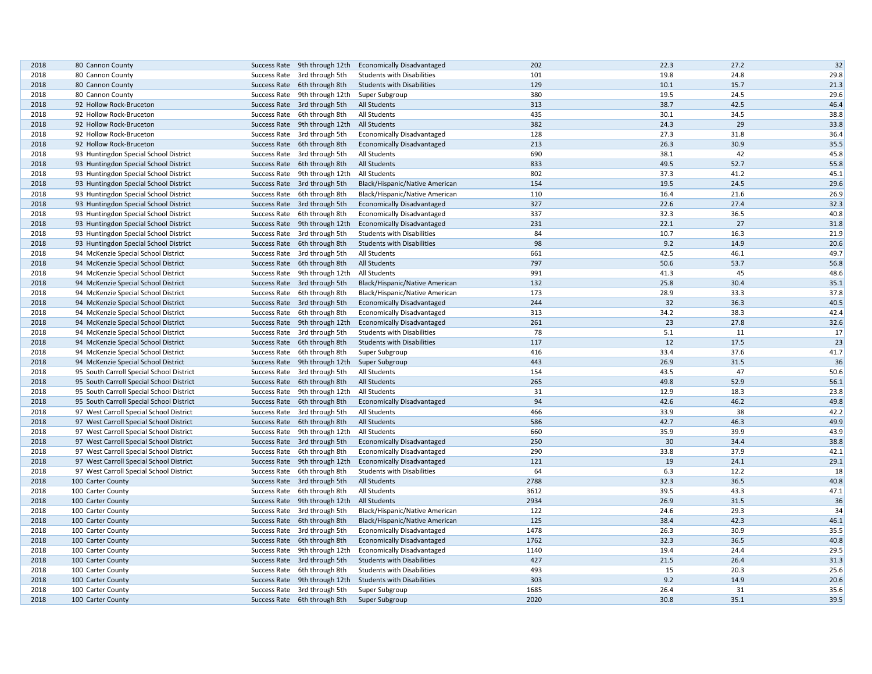| 2018 | 80 Cannon County                         | Success Rate 9th through 12th                                 | <b>Economically Disadvantaged</b>                                      | 202  | 22.3 | 27.2 | 32   |
|------|------------------------------------------|---------------------------------------------------------------|------------------------------------------------------------------------|------|------|------|------|
| 2018 | 80 Cannon County                         | Success Rate 3rd through 5th                                  | <b>Students with Disabilities</b>                                      | 101  | 19.8 | 24.8 | 29.8 |
| 2018 | 80 Cannon County                         | Success Rate 6th through 8th                                  | <b>Students with Disabilities</b>                                      | 129  | 10.1 | 15.7 | 21.3 |
| 2018 | 80 Cannon County                         | Success Rate 9th through 12th                                 | Super Subgroup                                                         | 380  | 19.5 | 24.5 | 29.6 |
| 2018 | 92 Hollow Rock-Bruceton                  | Success Rate 3rd through 5th                                  | All Students                                                           | 313  | 38.7 | 42.5 | 46.4 |
| 2018 | 92 Hollow Rock-Bruceton                  | Success Rate 6th through 8th                                  | All Students                                                           | 435  | 30.1 | 34.5 | 38.8 |
| 2018 | 92 Hollow Rock-Bruceton                  | Success Rate 9th through 12th                                 | <b>All Students</b>                                                    | 382  | 24.3 | 29   | 33.8 |
| 2018 | 92 Hollow Rock-Bruceton                  | Success Rate 3rd through 5th                                  | <b>Economically Disadvantaged</b>                                      | 128  | 27.3 | 31.8 | 36.4 |
| 2018 | 92 Hollow Rock-Bruceton                  | Success Rate 6th through 8th                                  | <b>Economically Disadvantaged</b>                                      | 213  | 26.3 | 30.9 | 35.5 |
| 2018 | 93 Huntingdon Special School District    | Success Rate 3rd through 5th                                  | All Students                                                           | 690  | 38.1 | 42   | 45.8 |
| 2018 | 93 Huntingdon Special School District    | Success Rate 6th through 8th                                  | <b>All Students</b>                                                    | 833  | 49.5 | 52.7 | 55.8 |
| 2018 | 93 Huntingdon Special School District    | Success Rate 9th through 12th                                 | All Students                                                           | 802  | 37.3 | 41.2 | 45.1 |
| 2018 | 93 Huntingdon Special School District    | Success Rate 3rd through 5th                                  | Black/Hispanic/Native American                                         | 154  | 19.5 | 24.5 | 29.6 |
| 2018 | 93 Huntingdon Special School District    | Success Rate 6th through 8th                                  | Black/Hispanic/Native American                                         | 110  | 16.4 | 21.6 | 26.9 |
| 2018 | 93 Huntingdon Special School District    | Success Rate 3rd through 5th                                  | <b>Economically Disadvantaged</b>                                      | 327  | 22.6 | 27.4 | 32.3 |
| 2018 | 93 Huntingdon Special School District    | Success Rate 6th through 8th                                  | <b>Economically Disadvantaged</b>                                      | 337  | 32.3 | 36.5 | 40.8 |
| 2018 | 93 Huntingdon Special School District    | Success Rate 9th through 12th                                 | <b>Economically Disadvantaged</b>                                      | 231  | 22.1 | 27   | 31.8 |
| 2018 | 93 Huntingdon Special School District    | Success Rate 3rd through 5th                                  | <b>Students with Disabilities</b>                                      | 84   | 10.7 | 16.3 | 21.9 |
| 2018 | 93 Huntingdon Special School District    | Success Rate 6th through 8th                                  | <b>Students with Disabilities</b>                                      | 98   | 9.2  | 14.9 | 20.6 |
| 2018 | 94 McKenzie Special School District      | Success Rate 3rd through 5th                                  | All Students                                                           | 661  | 42.5 | 46.1 | 49.7 |
| 2018 | 94 McKenzie Special School District      | Success Rate 6th through 8th                                  | <b>All Students</b>                                                    | 797  | 50.6 | 53.7 | 56.8 |
| 2018 | 94 McKenzie Special School District      | Success Rate 9th through 12th                                 | All Students                                                           | 991  | 41.3 | 45   | 48.6 |
| 2018 | 94 McKenzie Special School District      | Success Rate 3rd through 5th                                  | Black/Hispanic/Native American                                         | 132  | 25.8 | 30.4 | 35.1 |
| 2018 | 94 McKenzie Special School District      | Success Rate 6th through 8th                                  | Black/Hispanic/Native American                                         | 173  | 28.9 | 33.3 | 37.8 |
| 2018 | 94 McKenzie Special School District      | Success Rate 3rd through 5th                                  | <b>Economically Disadvantaged</b>                                      | 244  | 32   | 36.3 | 40.5 |
| 2018 | 94 McKenzie Special School District      | Success Rate 6th through 8th                                  | <b>Economically Disadvantaged</b>                                      | 313  | 34.2 | 38.3 | 42.4 |
| 2018 | 94 McKenzie Special School District      | Success Rate 9th through 12th                                 | <b>Economically Disadvantaged</b>                                      | 261  | 23   | 27.8 | 32.6 |
| 2018 | 94 McKenzie Special School District      | Success Rate 3rd through 5th                                  | <b>Students with Disabilities</b>                                      | 78   | 5.1  | 11   | 17   |
| 2018 | 94 McKenzie Special School District      | Success Rate 6th through 8th                                  | <b>Students with Disabilities</b>                                      | 117  | 12   | 17.5 | 23   |
| 2018 | 94 McKenzie Special School District      | Success Rate 6th through 8th                                  | Super Subgroup                                                         | 416  | 33.4 | 37.6 | 41.7 |
| 2018 | 94 McKenzie Special School District      | Success Rate 9th through 12th Super Subgroup                  |                                                                        | 443  | 26.9 | 31.5 | 36   |
| 2018 | 95 South Carroll Special School District | Success Rate 3rd through 5th                                  | <b>All Students</b>                                                    | 154  | 43.5 | 47   | 50.6 |
| 2018 | 95 South Carroll Special School District | Success Rate 6th through 8th                                  | All Students                                                           | 265  | 49.8 | 52.9 | 56.1 |
| 2018 | 95 South Carroll Special School District | Success Rate 9th through 12th                                 | All Students                                                           | 31   | 12.9 | 18.3 | 23.8 |
| 2018 | 95 South Carroll Special School District | Success Rate 6th through 8th                                  | <b>Economically Disadvantaged</b>                                      | 94   | 42.6 | 46.2 | 49.8 |
| 2018 | 97 West Carroll Special School District  | Success Rate 3rd through 5th                                  | All Students                                                           | 466  | 33.9 | 38   | 42.2 |
| 2018 | 97 West Carroll Special School District  | Success Rate 6th through 8th                                  | <b>All Students</b>                                                    | 586  | 42.7 | 46.3 | 49.9 |
| 2018 | 97 West Carroll Special School District  | Success Rate 9th through 12th                                 | All Students                                                           | 660  | 35.9 | 39.9 | 43.9 |
| 2018 | 97 West Carroll Special School District  | Success Rate 3rd through 5th                                  | <b>Economically Disadvantaged</b>                                      | 250  | 30   | 34.4 | 38.8 |
| 2018 | 97 West Carroll Special School District  | Success Rate 6th through 8th                                  | <b>Economically Disadvantaged</b>                                      | 290  | 33.8 | 37.9 | 42.1 |
| 2018 | 97 West Carroll Special School District  | Success Rate 9th through 12th                                 | <b>Economically Disadvantaged</b>                                      | 121  | 19   | 24.1 | 29.1 |
| 2018 | 97 West Carroll Special School District  | Success Rate 6th through 8th                                  | <b>Students with Disabilities</b>                                      | 64   | 6.3  | 12.2 | 18   |
| 2018 | 100 Carter County                        | Success Rate 3rd through 5th                                  | All Students                                                           | 2788 | 32.3 | 36.5 | 40.8 |
| 2018 | 100 Carter County                        | Success Rate 6th through 8th                                  | All Students                                                           | 3612 | 39.5 | 43.3 | 47.1 |
| 2018 | 100 Carter County                        | Success Rate 9th through 12th                                 | <b>All Students</b>                                                    | 2934 | 26.9 | 31.5 | 36   |
| 2018 | 100 Carter County                        | Success Rate 3rd through 5th                                  | Black/Hispanic/Native American                                         | 122  | 24.6 | 29.3 | 34   |
| 2018 | 100 Carter County                        | Success Rate 6th through 8th                                  | Black/Hispanic/Native American                                         | 125  | 38.4 | 42.3 | 46.1 |
| 2018 | 100 Carter County                        | Success Rate 3rd through 5th                                  | <b>Economically Disadvantaged</b>                                      | 1478 | 26.3 | 30.9 | 35.5 |
| 2018 | 100 Carter County                        | Success Rate 6th through 8th                                  | <b>Economically Disadvantaged</b>                                      | 1762 | 32.3 | 36.5 | 40.8 |
| 2018 |                                          | Success Rate 9th through 12th                                 |                                                                        | 1140 | 19.4 | 24.4 | 29.5 |
| 2018 | 100 Carter County<br>100 Carter County   | Success Rate 3rd through 5th                                  | <b>Economically Disadvantaged</b><br><b>Students with Disabilities</b> | 427  | 21.5 | 26.4 | 31.3 |
| 2018 |                                          |                                                               | <b>Students with Disabilities</b>                                      | 493  | 15   | 20.3 | 25.6 |
| 2018 | 100 Carter County<br>100 Carter County   | Success Rate 6th through 8th<br>Success Rate 9th through 12th | <b>Students with Disabilities</b>                                      | 303  | 9.2  | 14.9 | 20.6 |
| 2018 | 100 Carter County                        | Success Rate 3rd through 5th                                  |                                                                        | 1685 | 26.4 | 31   | 35.6 |
| 2018 |                                          | Success Rate 6th through 8th                                  | Super Subgroup                                                         | 2020 | 30.8 | 35.1 | 39.5 |
|      | 100 Carter County                        |                                                               | Super Subgroup                                                         |      |      |      |      |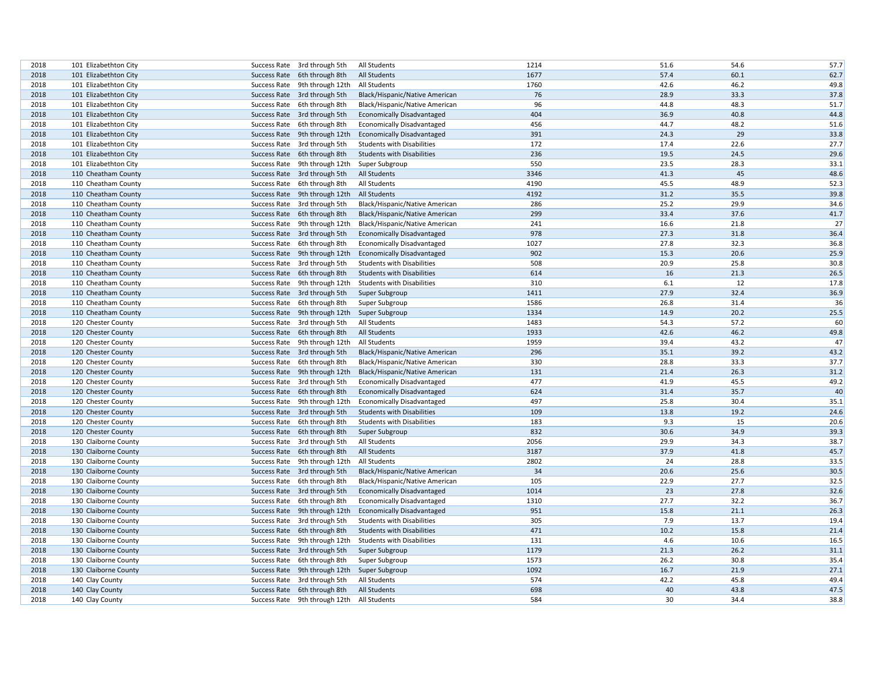| 2018 | 101 Elizabethton City |              | Success Rate 3rd through 5th               | All Students                      | 1214 | 51.6 | 54.6 | 57.7 |
|------|-----------------------|--------------|--------------------------------------------|-----------------------------------|------|------|------|------|
| 2018 | 101 Elizabethton City |              | Success Rate 6th through 8th               | <b>All Students</b>               | 1677 | 57.4 | 60.1 | 62.7 |
| 2018 | 101 Elizabethton City |              | Success Rate 9th through 12th              | All Students                      | 1760 | 42.6 | 46.2 | 49.8 |
| 2018 | 101 Elizabethton City |              | Success Rate 3rd through 5th               | Black/Hispanic/Native American    | 76   | 28.9 | 33.3 | 37.8 |
| 2018 | 101 Elizabethton City |              | Success Rate 6th through 8th               | Black/Hispanic/Native American    | 96   | 44.8 | 48.3 | 51.7 |
| 2018 | 101 Elizabethton City |              | Success Rate 3rd through 5th               | <b>Economically Disadvantaged</b> | 404  | 36.9 | 40.8 | 44.8 |
| 2018 | 101 Elizabethton City |              | Success Rate 6th through 8th               | <b>Economically Disadvantaged</b> | 456  | 44.7 | 48.2 | 51.6 |
| 2018 | 101 Elizabethton City |              | Success Rate 9th through 12th              | <b>Economically Disadvantaged</b> | 391  | 24.3 | 29   | 33.8 |
| 2018 | 101 Elizabethton City |              | Success Rate 3rd through 5th               | <b>Students with Disabilities</b> | 172  | 17.4 | 22.6 | 27.7 |
| 2018 | 101 Elizabethton City |              | Success Rate 6th through 8th               | <b>Students with Disabilities</b> | 236  | 19.5 | 24.5 | 29.6 |
| 2018 | 101 Elizabethton City |              | Success Rate 9th through 12th              | Super Subgroup                    | 550  | 23.5 | 28.3 | 33.1 |
| 2018 | 110 Cheatham County   |              | Success Rate 3rd through 5th               | All Students                      | 3346 | 41.3 | 45   | 48.6 |
| 2018 | 110 Cheatham County   |              | Success Rate 6th through 8th               | All Students                      | 4190 | 45.5 | 48.9 | 52.3 |
| 2018 | 110 Cheatham County   |              | Success Rate 9th through 12th              | All Students                      | 4192 | 31.2 | 35.5 | 39.8 |
| 2018 | 110 Cheatham County   |              | Success Rate 3rd through 5th               | Black/Hispanic/Native American    | 286  | 25.2 | 29.9 | 34.6 |
| 2018 | 110 Cheatham County   |              | Success Rate 6th through 8th               | Black/Hispanic/Native American    | 299  | 33.4 | 37.6 | 41.7 |
| 2018 | 110 Cheatham County   |              | Success Rate 9th through 12th              | Black/Hispanic/Native American    | 241  | 16.6 | 21.8 | 27   |
| 2018 | 110 Cheatham County   |              | Success Rate 3rd through 5th               | <b>Economically Disadvantaged</b> | 978  | 27.3 | 31.8 | 36.4 |
| 2018 | 110 Cheatham County   |              | Success Rate 6th through 8th               | <b>Economically Disadvantaged</b> | 1027 | 27.8 | 32.3 | 36.8 |
| 2018 | 110 Cheatham County   |              | Success Rate 9th through 12th              | <b>Economically Disadvantaged</b> | 902  | 15.3 | 20.6 | 25.9 |
| 2018 | 110 Cheatham County   |              | Success Rate 3rd through 5th               | <b>Students with Disabilities</b> | 508  | 20.9 | 25.8 | 30.8 |
| 2018 | 110 Cheatham County   |              | Success Rate 6th through 8th               | <b>Students with Disabilities</b> | 614  | 16   | 21.3 | 26.5 |
| 2018 |                       |              |                                            | <b>Students with Disabilities</b> | 310  | 6.1  | 12   | 17.8 |
|      | 110 Cheatham County   |              | Success Rate 9th through 12th              |                                   |      | 27.9 | 32.4 | 36.9 |
| 2018 | 110 Cheatham County   |              | Success Rate 3rd through 5th               | Super Subgroup                    | 1411 |      |      |      |
| 2018 | 110 Cheatham County   |              | Success Rate 6th through 8th               | Super Subgroup                    | 1586 | 26.8 | 31.4 | 36   |
| 2018 | 110 Cheatham County   |              | Success Rate 9th through 12th              | Super Subgroup                    | 1334 | 14.9 | 20.2 | 25.5 |
| 2018 | 120 Chester County    |              | Success Rate 3rd through 5th               | All Students                      | 1483 | 54.3 | 57.2 | 60   |
| 2018 | 120 Chester County    |              | Success Rate 6th through 8th               | All Students                      | 1933 | 42.6 | 46.2 | 49.8 |
| 2018 | 120 Chester County    |              | Success Rate 9th through 12th              | All Students                      | 1959 | 39.4 | 43.2 | 47   |
| 2018 | 120 Chester County    |              | Success Rate 3rd through 5th               | Black/Hispanic/Native American    | 296  | 35.1 | 39.2 | 43.2 |
| 2018 | 120 Chester County    |              | Success Rate 6th through 8th               | Black/Hispanic/Native American    | 330  | 28.8 | 33.3 | 37.7 |
| 2018 | 120 Chester County    |              | Success Rate 9th through 12th              | Black/Hispanic/Native American    | 131  | 21.4 | 26.3 | 31.2 |
| 2018 | 120 Chester County    |              | Success Rate 3rd through 5th               | <b>Economically Disadvantaged</b> | 477  | 41.9 | 45.5 | 49.2 |
| 2018 | 120 Chester County    |              | Success Rate 6th through 8th               | <b>Economically Disadvantaged</b> | 624  | 31.4 | 35.7 | 40   |
| 2018 | 120 Chester County    |              | Success Rate 9th through 12th              | <b>Economically Disadvantaged</b> | 497  | 25.8 | 30.4 | 35.1 |
| 2018 | 120 Chester County    |              | Success Rate 3rd through 5th               | <b>Students with Disabilities</b> | 109  | 13.8 | 19.2 | 24.6 |
| 2018 | 120 Chester County    |              | Success Rate 6th through 8th               | <b>Students with Disabilities</b> | 183  | 9.3  | 15   | 20.6 |
| 2018 | 120 Chester County    |              | Success Rate 6th through 8th               | Super Subgroup                    | 832  | 30.6 | 34.9 | 39.3 |
| 2018 | 130 Claiborne County  |              | Success Rate 3rd through 5th               | All Students                      | 2056 | 29.9 | 34.3 | 38.7 |
| 2018 | 130 Claiborne County  |              | Success Rate 6th through 8th               | All Students                      | 3187 | 37.9 | 41.8 | 45.7 |
| 2018 | 130 Claiborne County  |              | Success Rate 9th through 12th              | All Students                      | 2802 | 24   | 28.8 | 33.5 |
| 2018 | 130 Claiborne County  |              | Success Rate 3rd through 5th               | Black/Hispanic/Native American    | 34   | 20.6 | 25.6 | 30.5 |
| 2018 | 130 Claiborne County  |              | Success Rate 6th through 8th               | Black/Hispanic/Native American    | 105  | 22.9 | 27.7 | 32.5 |
| 2018 | 130 Claiborne County  |              | Success Rate 3rd through 5th               | <b>Economically Disadvantaged</b> | 1014 | 23   | 27.8 | 32.6 |
| 2018 | 130 Claiborne County  |              | Success Rate 6th through 8th               | <b>Economically Disadvantaged</b> | 1310 | 27.7 | 32.2 | 36.7 |
| 2018 | 130 Claiborne County  |              | Success Rate 9th through 12th              | <b>Economically Disadvantaged</b> | 951  | 15.8 | 21.1 | 26.3 |
| 2018 | 130 Claiborne County  |              | Success Rate 3rd through 5th               | <b>Students with Disabilities</b> | 305  | 7.9  | 13.7 | 19.4 |
| 2018 | 130 Claiborne County  |              | Success Rate 6th through 8th               | <b>Students with Disabilities</b> | 471  | 10.2 | 15.8 | 21.4 |
| 2018 | 130 Claiborne County  | Success Rate | 9th through 12th                           | <b>Students with Disabilities</b> | 131  | 4.6  | 10.6 | 16.5 |
| 2018 | 130 Claiborne County  |              | Success Rate 3rd through 5th               | Super Subgroup                    | 1179 | 21.3 | 26.2 | 31.1 |
| 2018 | 130 Claiborne County  |              | Success Rate 6th through 8th               | Super Subgroup                    | 1573 | 26.2 | 30.8 | 35.4 |
| 2018 | 130 Claiborne County  |              | Success Rate 9th through 12th              | Super Subgroup                    | 1092 | 16.7 | 21.9 | 27.1 |
| 2018 | 140 Clay County       |              | Success Rate 3rd through 5th               | All Students                      | 574  | 42.2 | 45.8 | 49.4 |
| 2018 | 140 Clay County       |              | Success Rate 6th through 8th               | All Students                      | 698  | 40   | 43.8 | 47.5 |
| 2018 | 140 Clay County       |              | Success Rate 9th through 12th All Students |                                   | 584  | 30   | 34.4 | 38.8 |
|      |                       |              |                                            |                                   |      |      |      |      |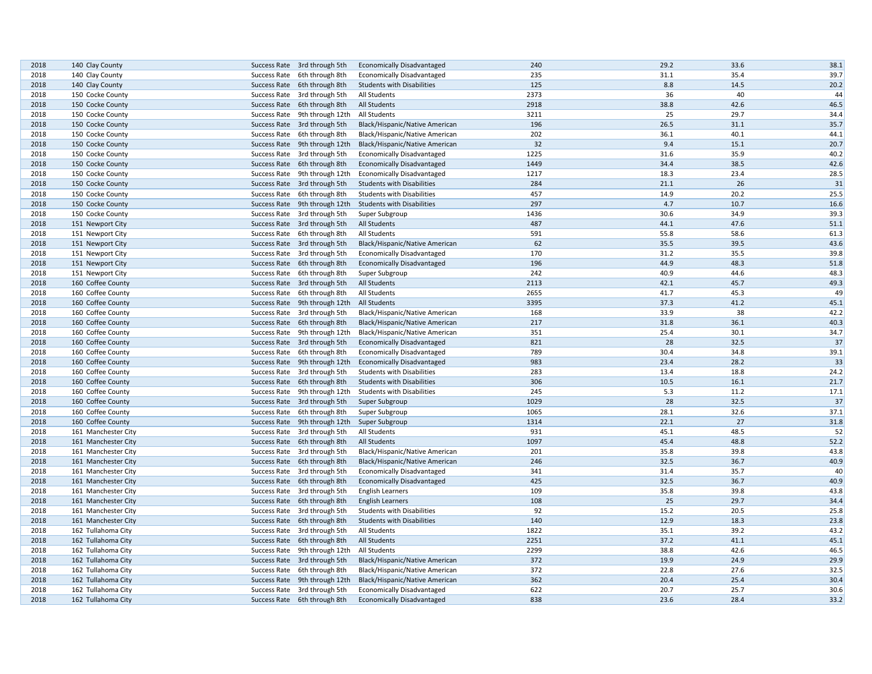| 2018 | 140 Clay County     | Success Rate 3rd through 5th                 | <b>Economically Disadvantaged</b> | 240  | 29.2 | 33.6 | 38.1 |
|------|---------------------|----------------------------------------------|-----------------------------------|------|------|------|------|
| 2018 | 140 Clay County     | Success Rate 6th through 8th                 | <b>Economically Disadvantaged</b> | 235  | 31.1 | 35.4 | 39.7 |
| 2018 | 140 Clay County     | Success Rate 6th through 8th                 | <b>Students with Disabilities</b> | 125  | 8.8  | 14.5 | 20.2 |
| 2018 | 150 Cocke County    | Success Rate 3rd through 5th                 | All Students                      | 2373 | 36   | 40   | 44   |
| 2018 | 150 Cocke County    | Success Rate 6th through 8th                 | All Students                      | 2918 | 38.8 | 42.6 | 46.5 |
| 2018 | 150 Cocke County    | Success Rate 9th through 12th                | All Students                      | 3211 | 25   | 29.7 | 34.4 |
| 2018 | 150 Cocke County    | Success Rate 3rd through 5th                 | Black/Hispanic/Native American    | 196  | 26.5 | 31.1 | 35.7 |
| 2018 | 150 Cocke County    | Success Rate 6th through 8th                 | Black/Hispanic/Native American    | 202  | 36.1 | 40.1 | 44.1 |
| 2018 | 150 Cocke County    | Success Rate 9th through 12th                | Black/Hispanic/Native American    | 32   | 9.4  | 15.1 | 20.7 |
| 2018 | 150 Cocke County    | Success Rate 3rd through 5th                 | <b>Economically Disadvantaged</b> | 1225 | 31.6 | 35.9 | 40.2 |
| 2018 | 150 Cocke County    | Success Rate 6th through 8th                 | <b>Economically Disadvantaged</b> | 1449 | 34.4 | 38.5 | 42.6 |
| 2018 | 150 Cocke County    | Success Rate 9th through 12th                | <b>Economically Disadvantaged</b> | 1217 | 18.3 | 23.4 | 28.5 |
| 2018 | 150 Cocke County    | Success Rate 3rd through 5th                 | <b>Students with Disabilities</b> | 284  | 21.1 | 26   | 31   |
| 2018 | 150 Cocke County    | Success Rate 6th through 8th                 | <b>Students with Disabilities</b> | 457  | 14.9 | 20.2 | 25.5 |
|      |                     |                                              |                                   | 297  | 4.7  | 10.7 |      |
| 2018 | 150 Cocke County    | Success Rate 9th through 12th                | <b>Students with Disabilities</b> |      |      |      | 16.6 |
| 2018 | 150 Cocke County    | Success Rate 3rd through 5th                 | Super Subgroup                    | 1436 | 30.6 | 34.9 | 39.3 |
| 2018 | 151 Newport City    | Success Rate 3rd through 5th                 | All Students                      | 487  | 44.1 | 47.6 | 51.1 |
| 2018 | 151 Newport City    | Success Rate 6th through 8th                 | All Students                      | 591  | 55.8 | 58.6 | 61.3 |
| 2018 | 151 Newport City    | Success Rate 3rd through 5th                 | Black/Hispanic/Native American    | 62   | 35.5 | 39.5 | 43.6 |
| 2018 | 151 Newport City    | Success Rate 3rd through 5th                 | <b>Economically Disadvantaged</b> | 170  | 31.2 | 35.5 | 39.8 |
| 2018 | 151 Newport City    | Success Rate 6th through 8th                 | <b>Economically Disadvantaged</b> | 196  | 44.9 | 48.3 | 51.8 |
| 2018 | 151 Newport City    | Success Rate 6th through 8th                 | Super Subgroup                    | 242  | 40.9 | 44.6 | 48.3 |
| 2018 | 160 Coffee County   | Success Rate 3rd through 5th                 | All Students                      | 2113 | 42.1 | 45.7 | 49.3 |
| 2018 | 160 Coffee County   | Success Rate 6th through 8th                 | All Students                      | 2655 | 41.7 | 45.3 | 49   |
| 2018 | 160 Coffee County   | Success Rate 9th through 12th                | All Students                      | 3395 | 37.3 | 41.2 | 45.1 |
| 2018 | 160 Coffee County   | Success Rate 3rd through 5th                 | Black/Hispanic/Native American    | 168  | 33.9 | 38   | 42.2 |
| 2018 | 160 Coffee County   | Success Rate 6th through 8th                 | Black/Hispanic/Native American    | 217  | 31.8 | 36.1 | 40.3 |
| 2018 | 160 Coffee County   | Success Rate 9th through 12th                | Black/Hispanic/Native American    | 351  | 25.4 | 30.1 | 34.7 |
| 2018 | 160 Coffee County   | Success Rate 3rd through 5th                 | <b>Economically Disadvantaged</b> | 821  | 28   | 32.5 | 37   |
| 2018 | 160 Coffee County   | Success Rate 6th through 8th                 | <b>Economically Disadvantaged</b> | 789  | 30.4 | 34.8 | 39.1 |
| 2018 | 160 Coffee County   | Success Rate 9th through 12th                | <b>Economically Disadvantaged</b> | 983  | 23.4 | 28.2 | 33   |
| 2018 | 160 Coffee County   | Success Rate 3rd through 5th                 | <b>Students with Disabilities</b> | 283  | 13.4 | 18.8 | 24.2 |
| 2018 | 160 Coffee County   | Success Rate 6th through 8th                 | <b>Students with Disabilities</b> | 306  | 10.5 | 16.1 | 21.7 |
| 2018 | 160 Coffee County   | Success Rate 9th through 12th                | <b>Students with Disabilities</b> | 245  | 5.3  | 11.2 | 17.1 |
| 2018 | 160 Coffee County   | Success Rate 3rd through 5th                 | Super Subgroup                    | 1029 | 28   | 32.5 | 37   |
| 2018 | 160 Coffee County   | Success Rate 6th through 8th                 | Super Subgroup                    | 1065 | 28.1 | 32.6 | 37.1 |
| 2018 | 160 Coffee County   | Success Rate 9th through 12th Super Subgroup |                                   | 1314 | 22.1 | 27   | 31.8 |
|      |                     |                                              |                                   | 931  | 45.1 | 48.5 | 52   |
| 2018 | 161 Manchester City | Success Rate 3rd through 5th                 | All Students                      |      |      |      |      |
| 2018 | 161 Manchester City | Success Rate 6th through 8th                 | <b>All Students</b>               | 1097 | 45.4 | 48.8 | 52.2 |
| 2018 | 161 Manchester City | Success Rate 3rd through 5th                 | Black/Hispanic/Native American    | 201  | 35.8 | 39.8 | 43.8 |
| 2018 | 161 Manchester City | Success Rate 6th through 8th                 | Black/Hispanic/Native American    | 246  | 32.5 | 36.7 | 40.9 |
| 2018 | 161 Manchester City | Success Rate 3rd through 5th                 | <b>Economically Disadvantaged</b> | 341  | 31.4 | 35.7 | 40   |
| 2018 | 161 Manchester City | Success Rate 6th through 8th                 | <b>Economically Disadvantaged</b> | 425  | 32.5 | 36.7 | 40.9 |
| 2018 | 161 Manchester City | Success Rate 3rd through 5th                 | <b>English Learners</b>           | 109  | 35.8 | 39.8 | 43.8 |
| 2018 | 161 Manchester City | Success Rate 6th through 8th                 | <b>English Learners</b>           | 108  | 25   | 29.7 | 34.4 |
| 2018 | 161 Manchester City | Success Rate 3rd through 5th                 | <b>Students with Disabilities</b> | 92   | 15.2 | 20.5 | 25.8 |
| 2018 | 161 Manchester City | Success Rate 6th through 8th                 | <b>Students with Disabilities</b> | 140  | 12.9 | 18.3 | 23.8 |
| 2018 | 162 Tullahoma City  | Success Rate 3rd through 5th                 | All Students                      | 1822 | 35.1 | 39.2 | 43.2 |
| 2018 | 162 Tullahoma City  | Success Rate 6th through 8th                 | <b>All Students</b>               | 2251 | 37.2 | 41.1 | 45.1 |
| 2018 | 162 Tullahoma City  | Success Rate 9th through 12th                | All Students                      | 2299 | 38.8 | 42.6 | 46.5 |
| 2018 | 162 Tullahoma City  | Success Rate 3rd through 5th                 | Black/Hispanic/Native American    | 372  | 19.9 | 24.9 | 29.9 |
| 2018 | 162 Tullahoma City  | Success Rate 6th through 8th                 | Black/Hispanic/Native American    | 372  | 22.8 | 27.6 | 32.5 |
| 2018 | 162 Tullahoma City  | Success Rate 9th through 12th                | Black/Hispanic/Native American    | 362  | 20.4 | 25.4 | 30.4 |
| 2018 | 162 Tullahoma City  | Success Rate 3rd through 5th                 | <b>Economically Disadvantaged</b> | 622  | 20.7 | 25.7 | 30.6 |
| 2018 | 162 Tullahoma City  | Success Rate 6th through 8th                 | <b>Economically Disadvantaged</b> | 838  | 23.6 | 28.4 | 33.2 |
|      |                     |                                              |                                   |      |      |      |      |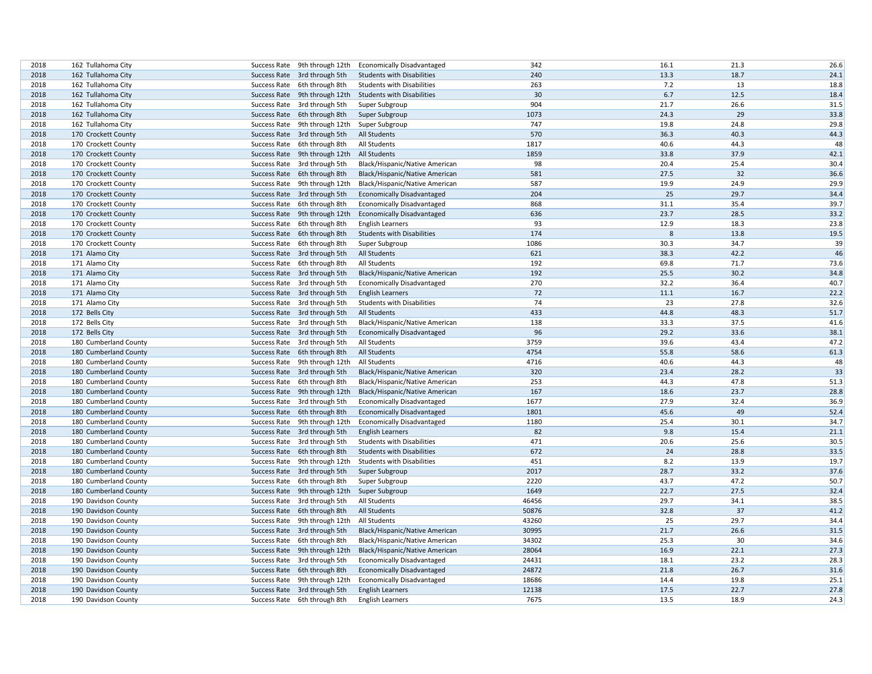| 2018 | 162 Tullahoma City    |                               | Success Rate 9th through 12th | <b>Economically Disadvantaged</b> | 342   | 16.1 | 21.3 | 26.6 |
|------|-----------------------|-------------------------------|-------------------------------|-----------------------------------|-------|------|------|------|
| 2018 | 162 Tullahoma City    | Success Rate 3rd through 5th  |                               | <b>Students with Disabilities</b> | 240   | 13.3 | 18.7 | 24.1 |
| 2018 | 162 Tullahoma City    | Success Rate 6th through 8th  |                               | <b>Students with Disabilities</b> | 263   | 7.2  | 13   | 18.8 |
| 2018 | 162 Tullahoma City    | Success Rate 9th through 12th |                               | <b>Students with Disabilities</b> | 30    | 6.7  | 12.5 | 18.4 |
| 2018 | 162 Tullahoma City    | Success Rate 3rd through 5th  |                               | Super Subgroup                    | 904   | 21.7 | 26.6 | 31.5 |
| 2018 | 162 Tullahoma City    | Success Rate 6th through 8th  |                               | Super Subgroup                    | 1073  | 24.3 | 29   | 33.8 |
| 2018 | 162 Tullahoma City    |                               | Success Rate 9th through 12th | Super Subgroup                    | 747   | 19.8 | 24.8 | 29.8 |
| 2018 | 170 Crockett County   | Success Rate 3rd through 5th  |                               | All Students                      | 570   | 36.3 | 40.3 | 44.3 |
| 2018 | 170 Crockett County   | Success Rate 6th through 8th  |                               | All Students                      | 1817  | 40.6 | 44.3 | 48   |
| 2018 | 170 Crockett County   |                               | Success Rate 9th through 12th | All Students                      | 1859  | 33.8 | 37.9 | 42.1 |
| 2018 | 170 Crockett County   | Success Rate 3rd through 5th  |                               | Black/Hispanic/Native American    | 98    | 20.4 | 25.4 | 30.4 |
| 2018 | 170 Crockett County   | Success Rate 6th through 8th  |                               | Black/Hispanic/Native American    | 581   | 27.5 | 32   | 36.6 |
| 2018 | 170 Crockett County   | Success Rate 9th through 12th |                               | Black/Hispanic/Native American    | 587   | 19.9 | 24.9 | 29.9 |
| 2018 | 170 Crockett County   | Success Rate 3rd through 5th  |                               | <b>Economically Disadvantaged</b> | 204   | 25   | 29.7 | 34.4 |
| 2018 | 170 Crockett County   | Success Rate 6th through 8th  |                               | <b>Economically Disadvantaged</b> | 868   | 31.1 | 35.4 | 39.7 |
| 2018 | 170 Crockett County   | Success Rate 9th through 12th |                               | <b>Economically Disadvantaged</b> | 636   | 23.7 | 28.5 | 33.2 |
| 2018 | 170 Crockett County   | Success Rate 6th through 8th  |                               | <b>English Learners</b>           | 93    | 12.9 | 18.3 | 23.8 |
| 2018 | 170 Crockett County   | Success Rate 6th through 8th  |                               | <b>Students with Disabilities</b> | 174   | 8    | 13.8 | 19.5 |
| 2018 | 170 Crockett County   | Success Rate 6th through 8th  |                               | Super Subgroup                    | 1086  | 30.3 | 34.7 | 39   |
| 2018 | 171 Alamo City        | Success Rate 3rd through 5th  |                               | <b>All Students</b>               | 621   | 38.3 | 42.2 | 46   |
| 2018 | 171 Alamo City        | Success Rate 6th through 8th  |                               | All Students                      | 192   | 69.8 | 71.7 | 73.6 |
| 2018 | 171 Alamo City        | Success Rate 3rd through 5th  |                               | Black/Hispanic/Native American    | 192   | 25.5 | 30.2 | 34.8 |
| 2018 | 171 Alamo City        | Success Rate 3rd through 5th  |                               | <b>Economically Disadvantaged</b> | 270   | 32.2 | 36.4 | 40.7 |
| 2018 | 171 Alamo City        | Success Rate 3rd through 5th  |                               | <b>English Learners</b>           | 72    | 11.1 | 16.7 | 22.2 |
| 2018 | 171 Alamo City        | Success Rate 3rd through 5th  |                               | <b>Students with Disabilities</b> | 74    | 23   | 27.8 | 32.6 |
| 2018 | 172 Bells City        | Success Rate 3rd through 5th  |                               | All Students                      | 433   | 44.8 | 48.3 | 51.7 |
| 2018 | 172 Bells City        | Success Rate 3rd through 5th  |                               | Black/Hispanic/Native American    | 138   | 33.3 | 37.5 | 41.6 |
| 2018 | 172 Bells City        | Success Rate 3rd through 5th  |                               | <b>Economically Disadvantaged</b> | 96    | 29.2 | 33.6 | 38.1 |
| 2018 | 180 Cumberland County | Success Rate 3rd through 5th  |                               | All Students                      | 3759  | 39.6 | 43.4 | 47.2 |
| 2018 | 180 Cumberland County | Success Rate 6th through 8th  |                               | All Students                      | 4754  | 55.8 | 58.6 | 61.3 |
| 2018 | 180 Cumberland County |                               | Success Rate 9th through 12th | All Students                      | 4716  | 40.6 | 44.3 | 48   |
| 2018 | 180 Cumberland County | Success Rate 3rd through 5th  |                               | Black/Hispanic/Native American    | 320   | 23.4 | 28.2 | 33   |
| 2018 | 180 Cumberland County | Success Rate 6th through 8th  |                               | Black/Hispanic/Native American    | 253   | 44.3 | 47.8 | 51.3 |
| 2018 | 180 Cumberland County | Success Rate 9th through 12th |                               | Black/Hispanic/Native American    | 167   | 18.6 | 23.7 | 28.8 |
| 2018 | 180 Cumberland County | Success Rate 3rd through 5th  |                               | <b>Economically Disadvantaged</b> | 1677  | 27.9 | 32.4 | 36.9 |
| 2018 | 180 Cumberland County | Success Rate 6th through 8th  |                               | <b>Economically Disadvantaged</b> | 1801  | 45.6 | 49   | 52.4 |
| 2018 | 180 Cumberland County | Success Rate 9th through 12th |                               | <b>Economically Disadvantaged</b> | 1180  | 25.4 | 30.1 | 34.7 |
| 2018 | 180 Cumberland County | Success Rate 3rd through 5th  |                               | <b>English Learners</b>           | 82    | 9.8  | 15.4 | 21.1 |
| 2018 | 180 Cumberland County | Success Rate 3rd through 5th  |                               | <b>Students with Disabilities</b> | 471   | 20.6 | 25.6 | 30.5 |
| 2018 | 180 Cumberland County | Success Rate 6th through 8th  |                               | <b>Students with Disabilities</b> | 672   | 24   | 28.8 | 33.5 |
| 2018 | 180 Cumberland County | Success Rate 9th through 12th |                               | <b>Students with Disabilities</b> | 451   | 8.2  | 13.9 | 19.7 |
| 2018 | 180 Cumberland County | Success Rate 3rd through 5th  |                               | Super Subgroup                    | 2017  | 28.7 | 33.2 | 37.6 |
| 2018 | 180 Cumberland County | Success Rate 6th through 8th  |                               | Super Subgroup                    | 2220  | 43.7 | 47.2 | 50.7 |
| 2018 | 180 Cumberland County |                               | Success Rate 9th through 12th | Super Subgroup                    | 1649  | 22.7 | 27.5 | 32.4 |
| 2018 | 190 Davidson County   | Success Rate 3rd through 5th  |                               | All Students                      | 46456 | 29.7 | 34.1 | 38.5 |
| 2018 | 190 Davidson County   | Success Rate 6th through 8th  |                               | All Students                      | 50876 | 32.8 | 37   | 41.2 |
| 2018 | 190 Davidson County   | Success Rate 9th through 12th |                               | All Students                      | 43260 | 25   | 29.7 | 34.4 |
| 2018 | 190 Davidson County   | Success Rate 3rd through 5th  |                               | Black/Hispanic/Native American    | 30995 | 21.7 | 26.6 | 31.5 |
| 2018 | 190 Davidson County   | Success Rate 6th through 8th  |                               | Black/Hispanic/Native American    | 34302 | 25.3 | 30   | 34.6 |
| 2018 | 190 Davidson County   | Success Rate 9th through 12th |                               | Black/Hispanic/Native American    | 28064 | 16.9 | 22.1 | 27.3 |
| 2018 | 190 Davidson County   | Success Rate 3rd through 5th  |                               | <b>Economically Disadvantaged</b> | 24431 | 18.1 | 23.2 | 28.3 |
| 2018 | 190 Davidson County   | Success Rate 6th through 8th  |                               | <b>Economically Disadvantaged</b> | 24872 | 21.8 | 26.7 | 31.6 |
| 2018 | 190 Davidson County   | Success Rate 9th through 12th |                               | <b>Economically Disadvantaged</b> | 18686 | 14.4 | 19.8 | 25.1 |
| 2018 | 190 Davidson County   | Success Rate 3rd through 5th  |                               | <b>English Learners</b>           | 12138 | 17.5 | 22.7 | 27.8 |
| 2018 | 190 Davidson County   | Success Rate 6th through 8th  |                               | <b>English Learners</b>           | 7675  | 13.5 | 18.9 | 24.3 |
|      |                       |                               |                               |                                   |       |      |      |      |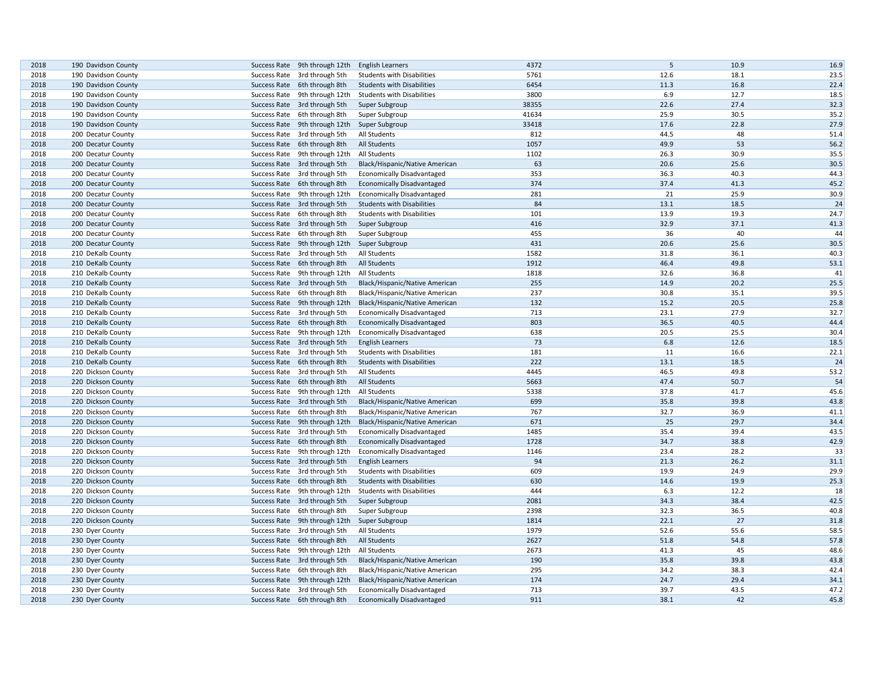| 2018         | 190 Davidson County |                                                               | <b>English Learners</b>           | 4372         | 5    | 10.9         | 16.9         |
|--------------|---------------------|---------------------------------------------------------------|-----------------------------------|--------------|------|--------------|--------------|
| 2018         |                     | Success Rate 9th through 12th                                 |                                   |              | 12.6 |              | 23.5         |
|              | 190 Davidson County | Success Rate 3rd through 5th                                  | <b>Students with Disabilities</b> | 5761<br>6454 | 11.3 | 18.1<br>16.8 |              |
| 2018<br>2018 | 190 Davidson County | Success Rate 6th through 8th<br>Success Rate 9th through 12th | <b>Students with Disabilities</b> | 3800         | 6.9  | 12.7         | 22.4<br>18.5 |
|              | 190 Davidson County |                                                               | <b>Students with Disabilities</b> | 38355        | 22.6 | 27.4         | 32.3         |
| 2018<br>2018 | 190 Davidson County | Success Rate 3rd through 5th                                  | Super Subgroup                    | 41634        | 25.9 | 30.5         | 35.2         |
|              | 190 Davidson County | Success Rate 6th through 8th                                  | Super Subgroup                    |              |      | 22.8         |              |
| 2018         | 190 Davidson County | Success Rate 9th through 12th                                 | Super Subgroup                    | 33418        | 17.6 | 48           | 27.9         |
| 2018         | 200 Decatur County  | Success Rate 3rd through 5th                                  | All Students                      | 812          | 44.5 |              | 51.4         |
| 2018         | 200 Decatur County  | Success Rate 6th through 8th                                  | All Students                      | 1057         | 49.9 | 53           | 56.2         |
| 2018         | 200 Decatur County  | Success Rate 9th through 12th                                 | All Students                      | 1102         | 26.3 | 30.9         | 35.5         |
| 2018         | 200 Decatur County  | Success Rate 3rd through 5th                                  | Black/Hispanic/Native American    | 63           | 20.6 | 25.6         | 30.5         |
| 2018         | 200 Decatur County  | Success Rate 3rd through 5th                                  | <b>Economically Disadvantaged</b> | 353          | 36.3 | 40.3         | 44.3         |
| 2018         | 200 Decatur County  | Success Rate 6th through 8th                                  | <b>Economically Disadvantaged</b> | 374          | 37.4 | 41.3         | 45.2         |
| 2018         | 200 Decatur County  | Success Rate 9th through 12th                                 | <b>Economically Disadvantaged</b> | 281          | 21   | 25.9         | 30.9         |
| 2018         | 200 Decatur County  | Success Rate 3rd through 5th                                  | <b>Students with Disabilities</b> | 84           | 13.1 | 18.5         | 24           |
| 2018         | 200 Decatur County  | Success Rate 6th through 8th                                  | <b>Students with Disabilities</b> | 101          | 13.9 | 19.3         | 24.7         |
| 2018         | 200 Decatur County  | Success Rate 3rd through 5th                                  | Super Subgroup                    | 416          | 32.9 | 37.1         | 41.3         |
| 2018         | 200 Decatur County  | Success Rate 6th through 8th                                  | Super Subgroup                    | 455          | 36   | 40           | 44           |
| 2018         | 200 Decatur County  | Success Rate 9th through 12th                                 | Super Subgroup                    | 431          | 20.6 | 25.6         | 30.5         |
| 2018         | 210 DeKalb County   | Success Rate 3rd through 5th                                  | All Students                      | 1582         | 31.8 | 36.1         | 40.3         |
| 2018         | 210 DeKalb County   | Success Rate 6th through 8th                                  | <b>All Students</b>               | 1912         | 46.4 | 49.8         | 53.1         |
| 2018         | 210 DeKalb County   | Success Rate 9th through 12th                                 | All Students                      | 1818         | 32.6 | 36.8         | 41           |
| 2018         | 210 DeKalb County   | Success Rate 3rd through 5th                                  | Black/Hispanic/Native American    | 255          | 14.9 | 20.2         | 25.5         |
| 2018         | 210 DeKalb County   | Success Rate 6th through 8th                                  | Black/Hispanic/Native American    | 237          | 30.8 | 35.1         | 39.5         |
| 2018         | 210 DeKalb County   | Success Rate 9th through 12th                                 | Black/Hispanic/Native American    | 132          | 15.2 | 20.5         | 25.8         |
| 2018         | 210 DeKalb County   | Success Rate 3rd through 5th                                  | <b>Economically Disadvantaged</b> | 713          | 23.1 | 27.9         | 32.7         |
| 2018         | 210 DeKalb County   | Success Rate 6th through 8th                                  | <b>Economically Disadvantaged</b> | 803          | 36.5 | 40.5         | 44.4         |
| 2018         | 210 DeKalb County   | Success Rate 9th through 12th                                 | <b>Economically Disadvantaged</b> | 638          | 20.5 | 25.5         | 30.4         |
| 2018         | 210 DeKalb County   | Success Rate 3rd through 5th                                  | <b>English Learners</b>           | 73           | 6.8  | 12.6         | 18.5         |
| 2018         | 210 DeKalb County   | Success Rate 3rd through 5th                                  | <b>Students with Disabilities</b> | 181          | 11   | 16.6         | 22.1         |
| 2018         | 210 DeKalb County   | Success Rate 6th through 8th                                  | <b>Students with Disabilities</b> | 222          | 13.1 | 18.5         | 24           |
| 2018         | 220 Dickson County  | Success Rate 3rd through 5th                                  | All Students                      | 4445         | 46.5 | 49.8         | 53.2         |
| 2018         | 220 Dickson County  | Success Rate 6th through 8th                                  | <b>All Students</b>               | 5663         | 47.4 | 50.7         | 54           |
| 2018         | 220 Dickson County  | Success Rate 9th through 12th                                 | All Students                      | 5338         | 37.8 | 41.7         | 45.6         |
| 2018         | 220 Dickson County  | Success Rate 3rd through 5th                                  | Black/Hispanic/Native American    | 699          | 35.8 | 39.8         | 43.8         |
| 2018         | 220 Dickson County  | Success Rate 6th through 8th                                  | Black/Hispanic/Native American    | 767          | 32.7 | 36.9         | 41.1         |
| 2018         | 220 Dickson County  | Success Rate 9th through 12th                                 | Black/Hispanic/Native American    | 671          | 25   | 29.7         | 34.4         |
| 2018         | 220 Dickson County  | Success Rate 3rd through 5th                                  | <b>Economically Disadvantaged</b> | 1485         | 35.4 | 39.4         | 43.5         |
| 2018         | 220 Dickson County  | Success Rate 6th through 8th                                  | <b>Economically Disadvantaged</b> | 1728         | 34.7 | 38.8         | 42.9         |
| 2018         | 220 Dickson County  | Success Rate 9th through 12th                                 | <b>Economically Disadvantaged</b> | 1146         | 23.4 | 28.2         | 33           |
| 2018         | 220 Dickson County  | Success Rate 3rd through 5th                                  | <b>English Learners</b>           | 94           | 21.3 | 26.2         | 31.1         |
| 2018         | 220 Dickson County  | Success Rate 3rd through 5th                                  | <b>Students with Disabilities</b> | 609          | 19.9 | 24.9         | 29.9         |
| 2018         | 220 Dickson County  | Success Rate 6th through 8th                                  | <b>Students with Disabilities</b> | 630          | 14.6 | 19.9         | 25.3         |
| 2018         | 220 Dickson County  | Success Rate 9th through 12th                                 | <b>Students with Disabilities</b> | 444          | 6.3  | 12.2         | 18           |
| 2018         | 220 Dickson County  | Success Rate 3rd through 5th                                  | Super Subgroup                    | 2081         | 34.3 | 38.4         | 42.5         |
| 2018         | 220 Dickson County  | Success Rate 6th through 8th                                  | Super Subgroup                    | 2398         | 32.3 | 36.5         | 40.8         |
| 2018         | 220 Dickson County  | Success Rate 9th through 12th                                 | Super Subgroup                    | 1814         | 22.1 | 27           | 31.8         |
| 2018         | 230 Dyer County     | Success Rate 3rd through 5th                                  | All Students                      | 1979         | 52.6 | 55.6         | 58.5         |
| 2018         | 230 Dyer County     | Success Rate 6th through 8th                                  | <b>All Students</b>               | 2627         | 51.8 | 54.8         | 57.8         |
| 2018         | 230 Dyer County     | Success Rate 9th through 12th                                 | All Students                      | 2673         | 41.3 | 45           | 48.6         |
| 2018         | 230 Dyer County     | Success Rate 3rd through 5th                                  | Black/Hispanic/Native American    | 190          | 35.8 | 39.8         | 43.8         |
| 2018         | 230 Dyer County     | Success Rate 6th through 8th                                  | Black/Hispanic/Native American    | 295          | 34.2 | 38.3         | 42.4         |
| 2018         | 230 Dyer County     | Success Rate 9th through 12th                                 | Black/Hispanic/Native American    | 174          | 24.7 | 29.4         | 34.1         |
| 2018         | 230 Dyer County     | Success Rate 3rd through 5th                                  | <b>Economically Disadvantaged</b> | 713          | 39.7 | 43.5         | 47.2         |
| 2018         | 230 Dyer County     | Success Rate 6th through 8th                                  | <b>Economically Disadvantaged</b> | 911          | 38.1 | 42           | 45.8         |
|              |                     |                                                               |                                   |              |      |              |              |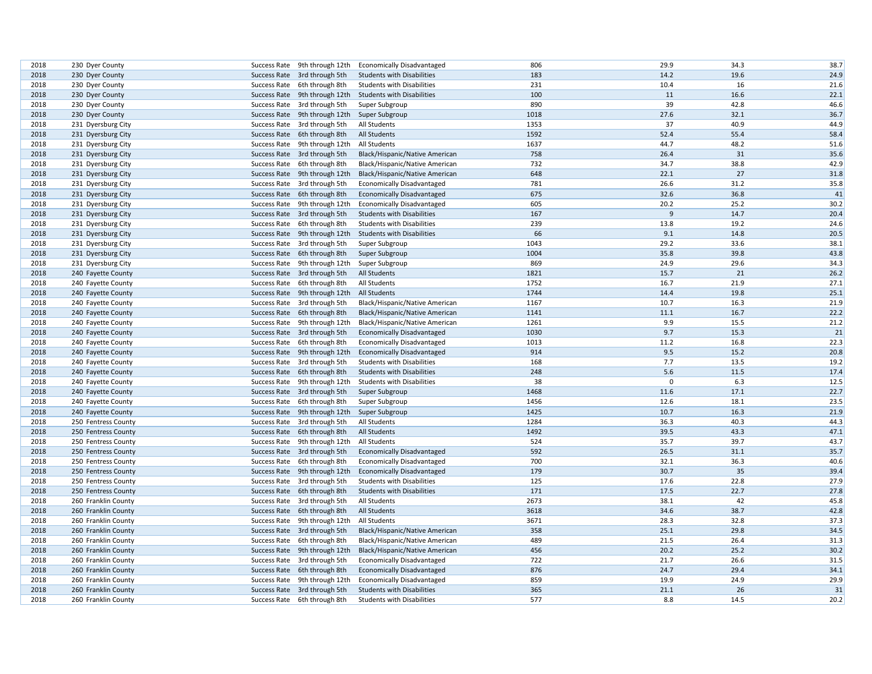| 2018 | 230 Dyer County     | Success Rate | 9th through 12th                             | <b>Economically Disadvantaged</b> | 806  | 29.9           | 34.3 | 38.7 |
|------|---------------------|--------------|----------------------------------------------|-----------------------------------|------|----------------|------|------|
| 2018 | 230 Dyer County     |              | Success Rate 3rd through 5th                 | <b>Students with Disabilities</b> | 183  | 14.2           | 19.6 | 24.9 |
| 2018 | 230 Dyer County     |              | Success Rate 6th through 8th                 | <b>Students with Disabilities</b> | 231  | 10.4           | 16   | 21.6 |
| 2018 | 230 Dyer County     |              | Success Rate 9th through 12th                | <b>Students with Disabilities</b> | 100  | 11             | 16.6 | 22.1 |
| 2018 | 230 Dyer County     |              | Success Rate 3rd through 5th                 | Super Subgroup                    | 890  | 39             | 42.8 | 46.6 |
| 2018 | 230 Dyer County     |              | Success Rate 9th through 12th Super Subgroup |                                   | 1018 | 27.6           | 32.1 | 36.7 |
| 2018 | 231 Dyersburg City  |              | Success Rate 3rd through 5th                 | All Students                      | 1353 | 37             | 40.9 | 44.9 |
| 2018 | 231 Dyersburg City  |              | Success Rate 6th through 8th                 | All Students                      | 1592 | 52.4           | 55.4 | 58.4 |
| 2018 | 231 Dyersburg City  |              | Success Rate 9th through 12th                | <b>All Students</b>               | 1637 | 44.7           | 48.2 | 51.6 |
| 2018 | 231 Dyersburg City  |              | Success Rate 3rd through 5th                 | Black/Hispanic/Native American    | 758  | 26.4           | 31   | 35.6 |
| 2018 | 231 Dyersburg City  |              | Success Rate 6th through 8th                 | Black/Hispanic/Native American    | 732  | 34.7           | 38.8 | 42.9 |
| 2018 | 231 Dyersburg City  |              | Success Rate 9th through 12th                | Black/Hispanic/Native American    | 648  | 22.1           | 27   | 31.8 |
| 2018 | 231 Dyersburg City  |              | Success Rate 3rd through 5th                 | <b>Economically Disadvantaged</b> | 781  | 26.6           | 31.2 | 35.8 |
| 2018 | 231 Dyersburg City  |              | Success Rate 6th through 8th                 | <b>Economically Disadvantaged</b> | 675  | 32.6           | 36.8 | 41   |
| 2018 | 231 Dyersburg City  |              | Success Rate 9th through 12th                | <b>Economically Disadvantaged</b> | 605  | 20.2           | 25.2 | 30.2 |
| 2018 | 231 Dyersburg City  |              | Success Rate 3rd through 5th                 | <b>Students with Disabilities</b> | 167  | $\overline{9}$ | 14.7 | 20.4 |
| 2018 | 231 Dyersburg City  |              | Success Rate 6th through 8th                 | <b>Students with Disabilities</b> | 239  | 13.8           | 19.2 | 24.6 |
| 2018 | 231 Dyersburg City  |              | Success Rate 9th through 12th                | <b>Students with Disabilities</b> | 66   | 9.1            | 14.8 | 20.5 |
| 2018 | 231 Dyersburg City  |              | Success Rate 3rd through 5th                 | Super Subgroup                    | 1043 | 29.2           | 33.6 | 38.1 |
| 2018 | 231 Dyersburg City  |              | Success Rate 6th through 8th                 | Super Subgroup                    | 1004 | 35.8           | 39.8 | 43.8 |
| 2018 | 231 Dyersburg City  |              | Success Rate 9th through 12th                | Super Subgroup                    | 869  | 24.9           | 29.6 | 34.3 |
| 2018 | 240 Fayette County  |              | Success Rate 3rd through 5th                 | All Students                      | 1821 | 15.7           | 21   | 26.2 |
| 2018 | 240 Fayette County  |              | Success Rate 6th through 8th                 | All Students                      | 1752 | 16.7           | 21.9 | 27.1 |
| 2018 | 240 Fayette County  |              | Success Rate 9th through 12th                | <b>All Students</b>               | 1744 | 14.4           | 19.8 | 25.1 |
| 2018 | 240 Fayette County  |              | Success Rate 3rd through 5th                 | Black/Hispanic/Native American    | 1167 | 10.7           | 16.3 | 21.9 |
| 2018 | 240 Fayette County  |              | Success Rate 6th through 8th                 | Black/Hispanic/Native American    | 1141 | 11.1           | 16.7 | 22.2 |
| 2018 | 240 Fayette County  |              | Success Rate 9th through 12th                | Black/Hispanic/Native American    | 1261 | 9.9            | 15.5 | 21.2 |
| 2018 | 240 Fayette County  |              | Success Rate 3rd through 5th                 | <b>Economically Disadvantaged</b> | 1030 | 9.7            | 15.3 | 21   |
| 2018 | 240 Fayette County  |              | Success Rate 6th through 8th                 | <b>Economically Disadvantaged</b> | 1013 | 11.2           | 16.8 | 22.3 |
| 2018 | 240 Fayette County  |              | Success Rate 9th through 12th                | <b>Economically Disadvantaged</b> | 914  | 9.5            | 15.2 | 20.8 |
| 2018 | 240 Fayette County  |              | Success Rate 3rd through 5th                 | <b>Students with Disabilities</b> | 168  | 7.7            | 13.5 | 19.2 |
| 2018 | 240 Fayette County  |              | Success Rate 6th through 8th                 | <b>Students with Disabilities</b> | 248  | 5.6            | 11.5 | 17.4 |
| 2018 | 240 Fayette County  |              | Success Rate 9th through 12th                | <b>Students with Disabilities</b> | 38   | $\mathbf 0$    | 6.3  | 12.5 |
| 2018 | 240 Fayette County  |              | Success Rate 3rd through 5th                 | Super Subgroup                    | 1468 | 11.6           | 17.1 | 22.7 |
| 2018 | 240 Fayette County  |              | Success Rate 6th through 8th                 | Super Subgroup                    | 1456 | 12.6           | 18.1 | 23.5 |
| 2018 | 240 Fayette County  |              | Success Rate 9th through 12th                | Super Subgroup                    | 1425 | 10.7           | 16.3 | 21.9 |
| 2018 | 250 Fentress County |              | Success Rate 3rd through 5th                 | All Students                      | 1284 | 36.3           | 40.3 | 44.3 |
| 2018 | 250 Fentress County |              | Success Rate 6th through 8th                 | <b>All Students</b>               | 1492 | 39.5           | 43.3 | 47.1 |
| 2018 | 250 Fentress County |              | Success Rate 9th through 12th                | All Students                      | 524  | 35.7           | 39.7 | 43.7 |
| 2018 | 250 Fentress County |              | Success Rate 3rd through 5th                 | <b>Economically Disadvantaged</b> | 592  | 26.5           | 31.1 | 35.7 |
| 2018 | 250 Fentress County |              | Success Rate 6th through 8th                 | <b>Economically Disadvantaged</b> | 700  | 32.1           | 36.3 | 40.6 |
| 2018 | 250 Fentress County |              | Success Rate 9th through 12th                | <b>Economically Disadvantaged</b> | 179  | 30.7           | 35   | 39.4 |
| 2018 | 250 Fentress County |              | Success Rate 3rd through 5th                 | <b>Students with Disabilities</b> | 125  | 17.6           | 22.8 | 27.9 |
| 2018 | 250 Fentress County |              | Success Rate 6th through 8th                 | <b>Students with Disabilities</b> | 171  | 17.5           | 22.7 | 27.8 |
| 2018 | 260 Franklin County |              | Success Rate 3rd through 5th                 | All Students                      | 2673 | 38.1           | 42   | 45.8 |
| 2018 | 260 Franklin County |              | Success Rate 6th through 8th                 | <b>All Students</b>               | 3618 | 34.6           | 38.7 | 42.8 |
| 2018 | 260 Franklin County |              | Success Rate 9th through 12th                | All Students                      | 3671 | 28.3           | 32.8 | 37.3 |
| 2018 | 260 Franklin County |              | Success Rate 3rd through 5th                 | Black/Hispanic/Native American    | 358  | 25.1           | 29.8 | 34.5 |
| 2018 | 260 Franklin County |              | Success Rate 6th through 8th                 | Black/Hispanic/Native American    | 489  | 21.5           | 26.4 | 31.3 |
| 2018 | 260 Franklin County |              | Success Rate 9th through 12th                | Black/Hispanic/Native American    | 456  | 20.2           | 25.2 | 30.2 |
| 2018 | 260 Franklin County |              | Success Rate 3rd through 5th                 | <b>Economically Disadvantaged</b> | 722  | 21.7           | 26.6 | 31.5 |
| 2018 | 260 Franklin County |              | Success Rate 6th through 8th                 | <b>Economically Disadvantaged</b> | 876  | 24.7           | 29.4 | 34.1 |
| 2018 | 260 Franklin County |              | Success Rate 9th through 12th                | <b>Economically Disadvantaged</b> | 859  | 19.9           | 24.9 | 29.9 |
| 2018 | 260 Franklin County |              | Success Rate 3rd through 5th                 | <b>Students with Disabilities</b> | 365  | 21.1           | 26   | 31   |
| 2018 | 260 Franklin County |              | Success Rate 6th through 8th                 | <b>Students with Disabilities</b> | 577  | 8.8            | 14.5 | 20.2 |
|      |                     |              |                                              |                                   |      |                |      |      |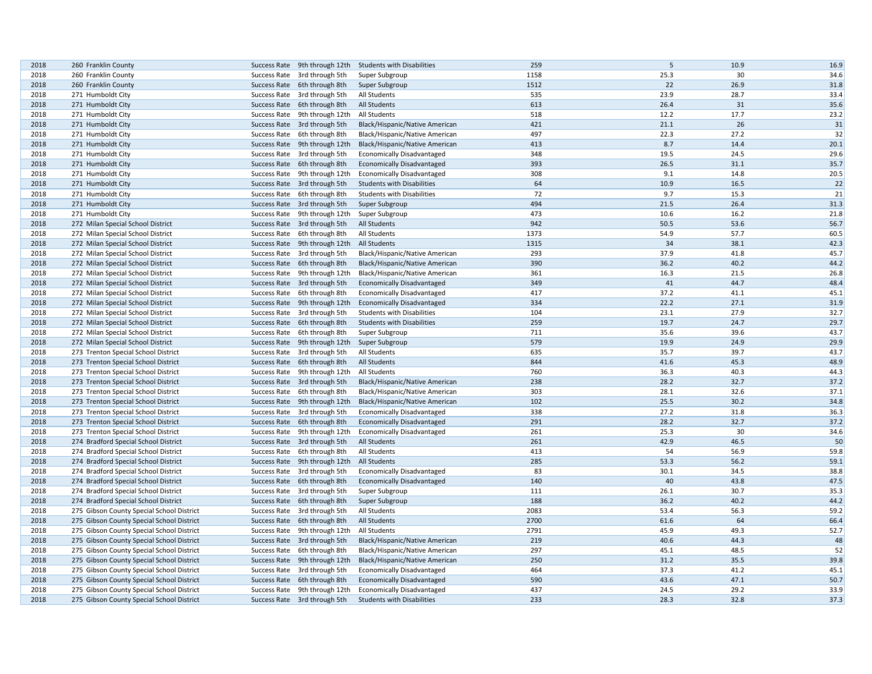| 2018 | 260 Franklin County                       |                               | Success Rate 9th through 12th Students with Disabilities | 259  | 5    | 10.9 | 16.9 |
|------|-------------------------------------------|-------------------------------|----------------------------------------------------------|------|------|------|------|
| 2018 | 260 Franklin County                       | Success Rate 3rd through 5th  | Super Subgroup                                           | 1158 | 25.3 | 30   | 34.6 |
| 2018 | 260 Franklin County                       | Success Rate 6th through 8th  | Super Subgroup                                           | 1512 | 22   | 26.9 | 31.8 |
| 2018 | 271 Humboldt City                         | Success Rate 3rd through 5th  | All Students                                             | 535  | 23.9 | 28.7 | 33.4 |
| 2018 | 271 Humboldt City                         | Success Rate 6th through 8th  | All Students                                             | 613  | 26.4 | 31   | 35.6 |
| 2018 | 271 Humboldt City                         | Success Rate 9th through 12th | All Students                                             | 518  | 12.2 | 17.7 | 23.2 |
| 2018 | 271 Humboldt City                         | Success Rate 3rd through 5th  | Black/Hispanic/Native American                           | 421  | 21.1 | 26   | 31   |
| 2018 | 271 Humboldt City                         | Success Rate 6th through 8th  | Black/Hispanic/Native American                           | 497  | 22.3 | 27.2 | 32   |
| 2018 | 271 Humboldt City                         | Success Rate 9th through 12th | Black/Hispanic/Native American                           | 413  | 8.7  | 14.4 | 20.1 |
| 2018 | 271 Humboldt City                         | Success Rate 3rd through 5th  | <b>Economically Disadvantaged</b>                        | 348  | 19.5 | 24.5 | 29.6 |
| 2018 | 271 Humboldt City                         | Success Rate 6th through 8th  | <b>Economically Disadvantaged</b>                        | 393  | 26.5 | 31.1 | 35.7 |
| 2018 | 271 Humboldt City                         | Success Rate 9th through 12th | <b>Economically Disadvantaged</b>                        | 308  | 9.1  | 14.8 | 20.5 |
| 2018 | 271 Humboldt City                         | Success Rate 3rd through 5th  | <b>Students with Disabilities</b>                        | 64   | 10.9 | 16.5 | 22   |
| 2018 | 271 Humboldt City                         | Success Rate 6th through 8th  | <b>Students with Disabilities</b>                        | 72   | 9.7  | 15.3 | 21   |
| 2018 | 271 Humboldt City                         | Success Rate 3rd through 5th  | Super Subgroup                                           | 494  | 21.5 | 26.4 | 31.3 |
| 2018 | 271 Humboldt City                         | Success Rate 9th through 12th | Super Subgroup                                           | 473  | 10.6 | 16.2 | 21.8 |
| 2018 | 272 Milan Special School District         | Success Rate 3rd through 5th  | All Students                                             | 942  | 50.5 | 53.6 | 56.7 |
| 2018 | 272 Milan Special School District         | Success Rate 6th through 8th  | All Students                                             | 1373 | 54.9 | 57.7 | 60.5 |
| 2018 | 272 Milan Special School District         | Success Rate 9th through 12th | All Students                                             | 1315 | 34   | 38.1 | 42.3 |
| 2018 | 272 Milan Special School District         | Success Rate 3rd through 5th  | Black/Hispanic/Native American                           | 293  | 37.9 | 41.8 | 45.7 |
| 2018 | 272 Milan Special School District         | Success Rate 6th through 8th  | Black/Hispanic/Native American                           | 390  | 36.2 | 40.2 | 44.2 |
| 2018 |                                           |                               |                                                          | 361  | 16.3 | 21.5 | 26.8 |
|      | 272 Milan Special School District         | Success Rate 9th through 12th | Black/Hispanic/Native American                           | 349  | 41   | 44.7 | 48.4 |
| 2018 | 272 Milan Special School District         | Success Rate 3rd through 5th  | <b>Economically Disadvantaged</b>                        | 417  | 37.2 |      | 45.1 |
| 2018 | 272 Milan Special School District         | Success Rate 6th through 8th  | <b>Economically Disadvantaged</b>                        |      |      | 41.1 |      |
| 2018 | 272 Milan Special School District         | Success Rate 9th through 12th | <b>Economically Disadvantaged</b>                        | 334  | 22.2 | 27.1 | 31.9 |
| 2018 | 272 Milan Special School District         | Success Rate 3rd through 5th  | <b>Students with Disabilities</b>                        | 104  | 23.1 | 27.9 | 32.7 |
| 2018 | 272 Milan Special School District         | Success Rate 6th through 8th  | <b>Students with Disabilities</b>                        | 259  | 19.7 | 24.7 | 29.7 |
| 2018 | 272 Milan Special School District         | Success Rate 6th through 8th  | Super Subgroup                                           | 711  | 35.6 | 39.6 | 43.7 |
| 2018 | 272 Milan Special School District         | Success Rate 9th through 12th | Super Subgroup                                           | 579  | 19.9 | 24.9 | 29.9 |
| 2018 | 273 Trenton Special School District       | Success Rate 3rd through 5th  | All Students                                             | 635  | 35.7 | 39.7 | 43.7 |
| 2018 | 273 Trenton Special School District       | Success Rate 6th through 8th  | All Students                                             | 844  | 41.6 | 45.3 | 48.9 |
| 2018 | 273 Trenton Special School District       | Success Rate 9th through 12th | All Students                                             | 760  | 36.3 | 40.3 | 44.3 |
| 2018 | 273 Trenton Special School District       | Success Rate 3rd through 5th  | Black/Hispanic/Native American                           | 238  | 28.2 | 32.7 | 37.2 |
| 2018 | 273 Trenton Special School District       | Success Rate 6th through 8th  | Black/Hispanic/Native American                           | 303  | 28.1 | 32.6 | 37.1 |
| 2018 | 273 Trenton Special School District       | Success Rate 9th through 12th | Black/Hispanic/Native American                           | 102  | 25.5 | 30.2 | 34.8 |
| 2018 | 273 Trenton Special School District       | Success Rate 3rd through 5th  | Economically Disadvantaged                               | 338  | 27.2 | 31.8 | 36.3 |
| 2018 | 273 Trenton Special School District       | Success Rate 6th through 8th  | <b>Economically Disadvantaged</b>                        | 291  | 28.2 | 32.7 | 37.2 |
| 2018 | 273 Trenton Special School District       | Success Rate 9th through 12th | <b>Economically Disadvantaged</b>                        | 261  | 25.3 | 30   | 34.6 |
| 2018 | 274 Bradford Special School District      | Success Rate 3rd through 5th  | All Students                                             | 261  | 42.9 | 46.5 | 50   |
| 2018 | 274 Bradford Special School District      | Success Rate 6th through 8th  | All Students                                             | 413  | 54   | 56.9 | 59.8 |
| 2018 | 274 Bradford Special School District      | Success Rate 9th through 12th | <b>All Students</b>                                      | 285  | 53.3 | 56.2 | 59.1 |
| 2018 | 274 Bradford Special School District      | Success Rate 3rd through 5th  | Economically Disadvantaged                               | 83   | 30.1 | 34.5 | 38.8 |
| 2018 | 274 Bradford Special School District      | Success Rate 6th through 8th  | <b>Economically Disadvantaged</b>                        | 140  | 40   | 43.8 | 47.5 |
| 2018 | 274 Bradford Special School District      | Success Rate 3rd through 5th  | Super Subgroup                                           | 111  | 26.1 | 30.7 | 35.3 |
| 2018 | 274 Bradford Special School District      | Success Rate 6th through 8th  | Super Subgroup                                           | 188  | 36.2 | 40.2 | 44.2 |
| 2018 | 275 Gibson County Special School District | Success Rate 3rd through 5th  | All Students                                             | 2083 | 53.4 | 56.3 | 59.2 |
| 2018 | 275 Gibson County Special School District | Success Rate 6th through 8th  | All Students                                             | 2700 | 61.6 | 64   | 66.4 |
| 2018 | 275 Gibson County Special School District | Success Rate 9th through 12th | All Students                                             | 2791 | 45.9 | 49.3 | 52.7 |
| 2018 | 275 Gibson County Special School District | Success Rate 3rd through 5th  | Black/Hispanic/Native American                           | 219  | 40.6 | 44.3 | 48   |
| 2018 | 275 Gibson County Special School District | Success Rate 6th through 8th  | Black/Hispanic/Native American                           | 297  | 45.1 | 48.5 | 52   |
| 2018 | 275 Gibson County Special School District | Success Rate 9th through 12th | Black/Hispanic/Native American                           | 250  | 31.2 | 35.5 | 39.8 |
| 2018 | 275 Gibson County Special School District | Success Rate 3rd through 5th  | <b>Economically Disadvantaged</b>                        | 464  | 37.3 | 41.2 | 45.1 |
| 2018 | 275 Gibson County Special School District | Success Rate 6th through 8th  | <b>Economically Disadvantaged</b>                        | 590  | 43.6 | 47.1 | 50.7 |
| 2018 | 275 Gibson County Special School District | Success Rate 9th through 12th | <b>Economically Disadvantaged</b>                        | 437  | 24.5 | 29.2 | 33.9 |
| 2018 | 275 Gibson County Special School District | Success Rate 3rd through 5th  | <b>Students with Disabilities</b>                        | 233  | 28.3 | 32.8 | 37.3 |
|      |                                           |                               |                                                          |      |      |      |      |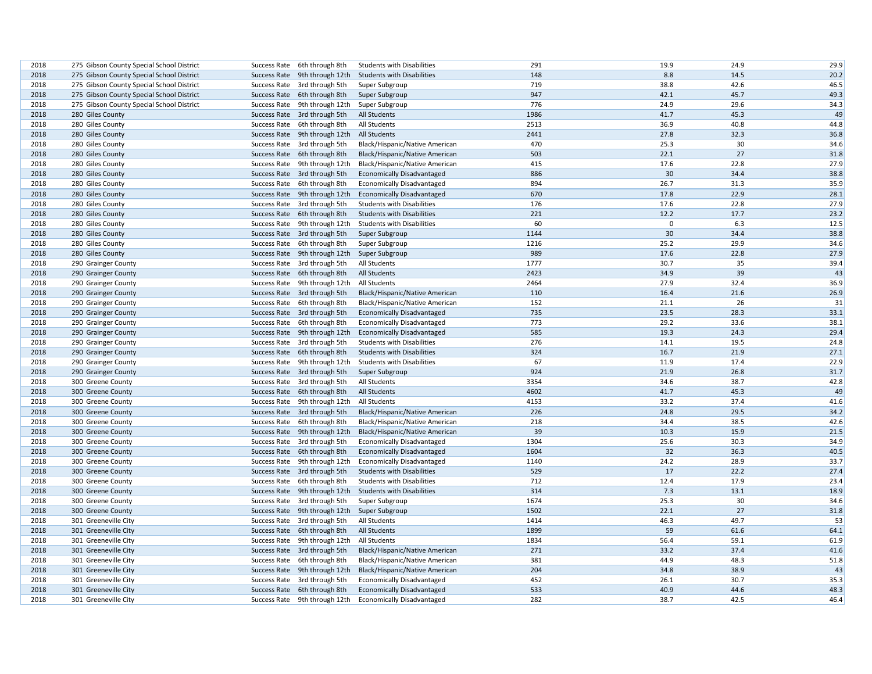| 2018         | 275 Gibson County Special School District | Success Rate 6th through 8th  | <b>Students with Disabilities</b> | 291  | 19.9        | 24.9 | 29.9 |
|--------------|-------------------------------------------|-------------------------------|-----------------------------------|------|-------------|------|------|
| 2018         | 275 Gibson County Special School District | Success Rate 9th through 12th | <b>Students with Disabilities</b> | 148  | 8.8         | 14.5 | 20.2 |
| 2018         | 275 Gibson County Special School District | Success Rate 3rd through 5th  | Super Subgroup                    | 719  | 38.8        | 42.6 | 46.5 |
| 2018         | 275 Gibson County Special School District | Success Rate 6th through 8th  | Super Subgroup                    | 947  | 42.1        | 45.7 | 49.3 |
| 2018         | 275 Gibson County Special School District | Success Rate 9th through 12th | Super Subgroup                    | 776  | 24.9        | 29.6 | 34.3 |
| 2018         | 280 Giles County                          | Success Rate 3rd through 5th  | <b>All Students</b>               | 1986 | 41.7        | 45.3 | 49   |
| 2018         | 280 Giles County                          | Success Rate 6th through 8th  | All Students                      | 2513 | 36.9        | 40.8 | 44.8 |
| 2018         | 280 Giles County                          | Success Rate 9th through 12th | All Students                      | 2441 | 27.8        | 32.3 | 36.8 |
| 2018         | 280 Giles County                          | Success Rate 3rd through 5th  | Black/Hispanic/Native American    | 470  | 25.3        | 30   | 34.6 |
| 2018         | 280 Giles County                          | Success Rate 6th through 8th  | Black/Hispanic/Native American    | 503  | 22.1        | 27   | 31.8 |
| 2018         | 280 Giles County                          | Success Rate 9th through 12th | Black/Hispanic/Native American    | 415  | 17.6        | 22.8 | 27.9 |
| 2018         | 280 Giles County                          | Success Rate 3rd through 5th  | <b>Economically Disadvantaged</b> | 886  | 30          | 34.4 | 38.8 |
| 2018         | 280 Giles County                          | Success Rate 6th through 8th  | <b>Economically Disadvantaged</b> | 894  | 26.7        | 31.3 | 35.9 |
| 2018         | 280 Giles County                          | Success Rate 9th through 12th | <b>Economically Disadvantaged</b> | 670  | 17.8        | 22.9 | 28.1 |
| 2018         | 280 Giles County                          | Success Rate 3rd through 5th  | <b>Students with Disabilities</b> | 176  | 17.6        | 22.8 | 27.9 |
| 2018         | 280 Giles County                          | Success Rate 6th through 8th  | <b>Students with Disabilities</b> | 221  | 12.2        | 17.7 | 23.2 |
| 2018         | 280 Giles County                          | Success Rate 9th through 12th | <b>Students with Disabilities</b> | 60   | $\mathbf 0$ | 6.3  | 12.5 |
| 2018         | 280 Giles County                          | Success Rate 3rd through 5th  | Super Subgroup                    | 1144 | 30          | 34.4 | 38.8 |
| 2018         | 280 Giles County                          | Success Rate 6th through 8th  | Super Subgroup                    | 1216 | 25.2        | 29.9 | 34.6 |
| 2018         | 280 Giles County                          | Success Rate 9th through 12th | Super Subgroup                    | 989  | 17.6        | 22.8 | 27.9 |
|              |                                           |                               | All Students                      | 1777 | 30.7        | 35   | 39.4 |
| 2018<br>2018 | 290 Grainger County                       | Success Rate 3rd through 5th  | <b>All Students</b>               | 2423 | 34.9        | 39   | 43   |
|              | 290 Grainger County                       | Success Rate 6th through 8th  |                                   | 2464 | 27.9        | 32.4 |      |
| 2018         | 290 Grainger County                       | Success Rate 9th through 12th | All Students                      |      |             |      | 36.9 |
| 2018         | 290 Grainger County                       | Success Rate 3rd through 5th  | Black/Hispanic/Native American    | 110  | 16.4        | 21.6 | 26.9 |
| 2018         | 290 Grainger County                       | Success Rate 6th through 8th  | Black/Hispanic/Native American    | 152  | 21.1        | 26   | 31   |
| 2018         | 290 Grainger County                       | Success Rate 3rd through 5th  | <b>Economically Disadvantaged</b> | 735  | 23.5        | 28.3 | 33.1 |
| 2018         | 290 Grainger County                       | Success Rate 6th through 8th  | <b>Economically Disadvantaged</b> | 773  | 29.2        | 33.6 | 38.1 |
| 2018         | 290 Grainger County                       | Success Rate 9th through 12th | <b>Economically Disadvantaged</b> | 585  | 19.3        | 24.3 | 29.4 |
| 2018         | 290 Grainger County                       | Success Rate 3rd through 5th  | <b>Students with Disabilities</b> | 276  | 14.1        | 19.5 | 24.8 |
| 2018         | 290 Grainger County                       | Success Rate 6th through 8th  | <b>Students with Disabilities</b> | 324  | 16.7        | 21.9 | 27.1 |
| 2018         | 290 Grainger County                       | Success Rate 9th through 12th | <b>Students with Disabilities</b> | 67   | 11.9        | 17.4 | 22.9 |
| 2018         | 290 Grainger County                       | Success Rate 3rd through 5th  | Super Subgroup                    | 924  | 21.9        | 26.8 | 31.7 |
| 2018         | 300 Greene County                         | Success Rate 3rd through 5th  | All Students                      | 3354 | 34.6        | 38.7 | 42.8 |
| 2018         | 300 Greene County                         | Success Rate 6th through 8th  | <b>All Students</b>               | 4602 | 41.7        | 45.3 | 49   |
| 2018         | 300 Greene County                         | Success Rate 9th through 12th | All Students                      | 4153 | 33.2        | 37.4 | 41.6 |
| 2018         | 300 Greene County                         | Success Rate 3rd through 5th  | Black/Hispanic/Native American    | 226  | 24.8        | 29.5 | 34.2 |
| 2018         | 300 Greene County                         | Success Rate 6th through 8th  | Black/Hispanic/Native American    | 218  | 34.4        | 38.5 | 42.6 |
| 2018         | 300 Greene County                         | Success Rate 9th through 12th | Black/Hispanic/Native American    | 39   | 10.3        | 15.9 | 21.5 |
| 2018         | 300 Greene County                         | Success Rate 3rd through 5th  | <b>Economically Disadvantaged</b> | 1304 | 25.6        | 30.3 | 34.9 |
| 2018         | 300 Greene County                         | Success Rate 6th through 8th  | <b>Economically Disadvantaged</b> | 1604 | 32          | 36.3 | 40.5 |
| 2018         | 300 Greene County                         | Success Rate 9th through 12th | <b>Economically Disadvantaged</b> | 1140 | 24.2        | 28.9 | 33.7 |
| 2018         | 300 Greene County                         | Success Rate 3rd through 5th  | <b>Students with Disabilities</b> | 529  | 17          | 22.2 | 27.4 |
| 2018         | 300 Greene County                         | Success Rate 6th through 8th  | <b>Students with Disabilities</b> | 712  | 12.4        | 17.9 | 23.4 |
| 2018         | 300 Greene County                         | Success Rate 9th through 12th | <b>Students with Disabilities</b> | 314  | 7.3         | 13.1 | 18.9 |
| 2018         | 300 Greene County                         | Success Rate 3rd through 5th  | Super Subgroup                    | 1674 | 25.3        | 30   | 34.6 |
| 2018         | 300 Greene County                         | Success Rate 9th through 12th | Super Subgroup                    | 1502 | 22.1        | 27   | 31.8 |
| 2018         | 301 Greeneville City                      | Success Rate 3rd through 5th  | All Students                      | 1414 | 46.3        | 49.7 | 53   |
| 2018         | 301 Greeneville City                      | Success Rate 6th through 8th  | <b>All Students</b>               | 1899 | 59          | 61.6 | 64.1 |
| 2018         | 301 Greeneville City                      | Success Rate 9th through 12th | All Students                      | 1834 | 56.4        | 59.1 | 61.9 |
| 2018         | 301 Greeneville City                      | Success Rate 3rd through 5th  | Black/Hispanic/Native American    | 271  | 33.2        | 37.4 | 41.6 |
| 2018         | 301 Greeneville City                      | Success Rate 6th through 8th  | Black/Hispanic/Native American    | 381  | 44.9        | 48.3 | 51.8 |
| 2018         | 301 Greeneville City                      | Success Rate 9th through 12th | Black/Hispanic/Native American    | 204  | 34.8        | 38.9 | 43   |
| 2018         | 301 Greeneville City                      | Success Rate 3rd through 5th  | Economically Disadvantaged        | 452  | 26.1        | 30.7 | 35.3 |
| 2018         | 301 Greeneville City                      | Success Rate 6th through 8th  | <b>Economically Disadvantaged</b> | 533  | 40.9        | 44.6 | 48.3 |
|              |                                           |                               |                                   | 282  | 38.7        | 42.5 | 46.4 |
| 2018         | 301 Greeneville City                      | Success Rate 9th through 12th | <b>Economically Disadvantaged</b> |      |             |      |      |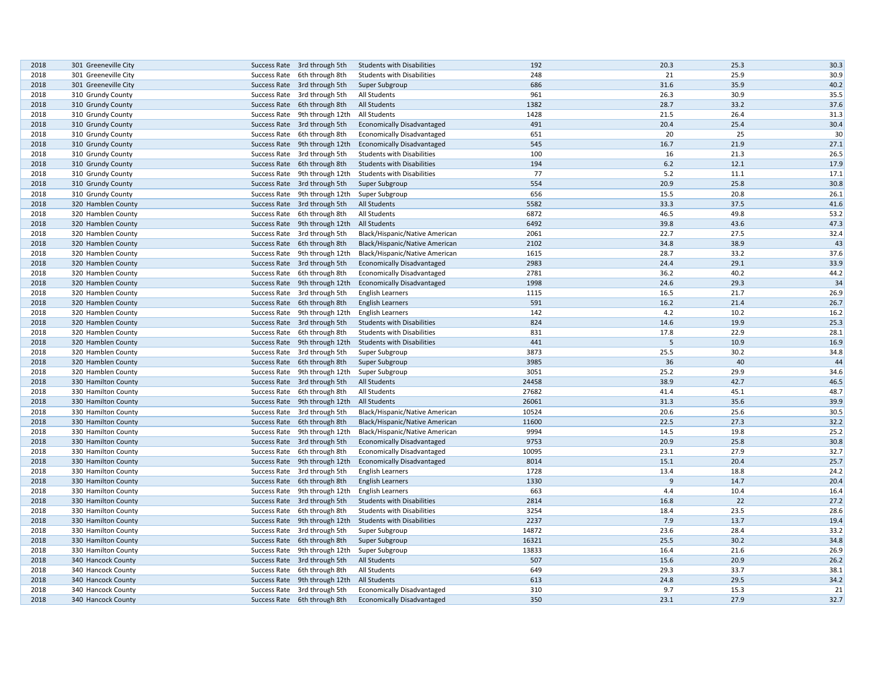| 2018 | 301 Greeneville City | Success Rate 3rd through 5th  | <b>Students with Disabilities</b> | 192   | 20.3           | 25.3 | 30.3 |
|------|----------------------|-------------------------------|-----------------------------------|-------|----------------|------|------|
| 2018 | 301 Greeneville City | Success Rate 6th through 8th  | <b>Students with Disabilities</b> | 248   | 21             | 25.9 | 30.9 |
| 2018 | 301 Greeneville City | Success Rate 3rd through 5th  | Super Subgroup                    | 686   | 31.6           | 35.9 | 40.2 |
| 2018 | 310 Grundy County    | Success Rate 3rd through 5th  | All Students                      | 961   | 26.3           | 30.9 | 35.5 |
| 2018 | 310 Grundy County    | Success Rate 6th through 8th  | All Students                      | 1382  | 28.7           | 33.2 | 37.6 |
| 2018 | 310 Grundy County    | Success Rate 9th through 12th | All Students                      | 1428  | 21.5           | 26.4 | 31.3 |
| 2018 | 310 Grundy County    | Success Rate 3rd through 5th  | <b>Economically Disadvantaged</b> | 491   | 20.4           | 25.4 | 30.4 |
| 2018 | 310 Grundy County    | Success Rate 6th through 8th  | <b>Economically Disadvantaged</b> | 651   | 20             | 25   | 30   |
| 2018 | 310 Grundy County    | Success Rate 9th through 12th | <b>Economically Disadvantaged</b> | 545   | 16.7           | 21.9 | 27.1 |
| 2018 | 310 Grundy County    | Success Rate 3rd through 5th  | <b>Students with Disabilities</b> | 100   | 16             | 21.3 | 26.5 |
| 2018 | 310 Grundy County    | Success Rate 6th through 8th  | <b>Students with Disabilities</b> | 194   | 6.2            | 12.1 | 17.9 |
| 2018 | 310 Grundy County    | Success Rate 9th through 12th | <b>Students with Disabilities</b> | 77    | 5.2            | 11.1 | 17.1 |
| 2018 | 310 Grundy County    | Success Rate 3rd through 5th  | Super Subgroup                    | 554   | 20.9           | 25.8 | 30.8 |
| 2018 | 310 Grundy County    | Success Rate 9th through 12th | Super Subgroup                    | 656   | 15.5           | 20.8 | 26.1 |
| 2018 | 320 Hamblen County   | Success Rate 3rd through 5th  | All Students                      | 5582  | 33.3           | 37.5 | 41.6 |
| 2018 | 320 Hamblen County   | Success Rate 6th through 8th  | All Students                      | 6872  | 46.5           | 49.8 | 53.2 |
| 2018 | 320 Hamblen County   | Success Rate 9th through 12th | All Students                      | 6492  | 39.8           | 43.6 | 47.3 |
| 2018 | 320 Hamblen County   | Success Rate 3rd through 5th  | Black/Hispanic/Native American    | 2061  | 22.7           | 27.5 | 32.4 |
| 2018 | 320 Hamblen County   | Success Rate 6th through 8th  | Black/Hispanic/Native American    | 2102  | 34.8           | 38.9 | 43   |
| 2018 | 320 Hamblen County   | Success Rate 9th through 12th | Black/Hispanic/Native American    | 1615  | 28.7           | 33.2 | 37.6 |
| 2018 | 320 Hamblen County   | Success Rate 3rd through 5th  | <b>Economically Disadvantaged</b> | 2983  | 24.4           | 29.1 | 33.9 |
| 2018 | 320 Hamblen County   | Success Rate 6th through 8th  | <b>Economically Disadvantaged</b> | 2781  | 36.2           | 40.2 | 44.2 |
| 2018 | 320 Hamblen County   | Success Rate 9th through 12th | <b>Economically Disadvantaged</b> | 1998  | 24.6           | 29.3 | 34   |
| 2018 | 320 Hamblen County   | Success Rate 3rd through 5th  | <b>English Learners</b>           | 1115  | 16.5           | 21.7 | 26.9 |
| 2018 | 320 Hamblen County   | Success Rate 6th through 8th  | <b>English Learners</b>           | 591   | 16.2           | 21.4 | 26.7 |
| 2018 | 320 Hamblen County   | Success Rate 9th through 12th | <b>English Learners</b>           | 142   | 4.2            | 10.2 | 16.2 |
| 2018 | 320 Hamblen County   | Success Rate 3rd through 5th  | <b>Students with Disabilities</b> | 824   | 14.6           | 19.9 | 25.3 |
| 2018 | 320 Hamblen County   | Success Rate 6th through 8th  | <b>Students with Disabilities</b> | 831   | 17.8           | 22.9 | 28.1 |
| 2018 | 320 Hamblen County   | Success Rate 9th through 12th | <b>Students with Disabilities</b> | 441   | 5              | 10.9 | 16.9 |
| 2018 | 320 Hamblen County   | Success Rate 3rd through 5th  | Super Subgroup                    | 3873  | 25.5           | 30.2 | 34.8 |
| 2018 | 320 Hamblen County   | Success Rate 6th through 8th  | Super Subgroup                    | 3985  | 36             | 40   | 44   |
| 2018 | 320 Hamblen County   | Success Rate 9th through 12th | Super Subgroup                    | 3051  | 25.2           | 29.9 | 34.6 |
| 2018 | 330 Hamilton County  | Success Rate 3rd through 5th  | <b>All Students</b>               | 24458 | 38.9           | 42.7 | 46.5 |
| 2018 | 330 Hamilton County  | Success Rate 6th through 8th  | All Students                      | 27682 | 41.4           | 45.1 | 48.7 |
| 2018 | 330 Hamilton County  | Success Rate 9th through 12th | <b>All Students</b>               | 26061 | 31.3           | 35.6 | 39.9 |
| 2018 | 330 Hamilton County  | Success Rate 3rd through 5th  | Black/Hispanic/Native American    | 10524 | 20.6           | 25.6 | 30.5 |
| 2018 | 330 Hamilton County  | Success Rate 6th through 8th  | Black/Hispanic/Native American    | 11600 | 22.5           | 27.3 | 32.2 |
| 2018 | 330 Hamilton County  | Success Rate 9th through 12th | Black/Hispanic/Native American    | 9994  | 14.5           | 19.8 | 25.2 |
| 2018 | 330 Hamilton County  | Success Rate 3rd through 5th  | <b>Economically Disadvantaged</b> | 9753  | 20.9           | 25.8 | 30.8 |
| 2018 | 330 Hamilton County  | Success Rate 6th through 8th  | <b>Economically Disadvantaged</b> | 10095 | 23.1           | 27.9 | 32.7 |
| 2018 | 330 Hamilton County  | Success Rate 9th through 12th | <b>Economically Disadvantaged</b> | 8014  | 15.1           | 20.4 | 25.7 |
| 2018 | 330 Hamilton County  | Success Rate 3rd through 5th  | <b>English Learners</b>           | 1728  | 13.4           | 18.8 | 24.2 |
| 2018 |                      |                               |                                   | 1330  | $\overline{9}$ | 14.7 | 20.4 |
| 2018 | 330 Hamilton County  | Success Rate 6th through 8th  | <b>English Learners</b>           | 663   | 4.4            | 10.4 | 16.4 |
|      | 330 Hamilton County  | Success Rate 9th through 12th | <b>English Learners</b>           | 2814  | 16.8           | 22   |      |
| 2018 | 330 Hamilton County  | Success Rate 3rd through 5th  | <b>Students with Disabilities</b> |       | 18.4           | 23.5 | 27.2 |
| 2018 | 330 Hamilton County  | Success Rate 6th through 8th  | <b>Students with Disabilities</b> | 3254  |                |      | 28.6 |
| 2018 | 330 Hamilton County  | Success Rate 9th through 12th | <b>Students with Disabilities</b> | 2237  | 7.9            | 13.7 | 19.4 |
| 2018 | 330 Hamilton County  | Success Rate 3rd through 5th  | Super Subgroup                    | 14872 | 23.6           | 28.4 | 33.2 |
| 2018 | 330 Hamilton County  | Success Rate 6th through 8th  | Super Subgroup                    | 16321 | 25.5           | 30.2 | 34.8 |
| 2018 | 330 Hamilton County  | Success Rate 9th through 12th | Super Subgroup                    | 13833 | 16.4           | 21.6 | 26.9 |
| 2018 | 340 Hancock County   | Success Rate 3rd through 5th  | All Students                      | 507   | 15.6           | 20.9 | 26.2 |
| 2018 | 340 Hancock County   | Success Rate 6th through 8th  | All Students                      | 649   | 29.3           | 33.7 | 38.1 |
| 2018 | 340 Hancock County   | Success Rate 9th through 12th | <b>All Students</b>               | 613   | 24.8           | 29.5 | 34.2 |
| 2018 | 340 Hancock County   | Success Rate 3rd through 5th  | <b>Economically Disadvantaged</b> | 310   | 9.7            | 15.3 | 21   |
| 2018 | 340 Hancock County   | Success Rate 6th through 8th  | <b>Economically Disadvantaged</b> | 350   | 23.1           | 27.9 | 32.7 |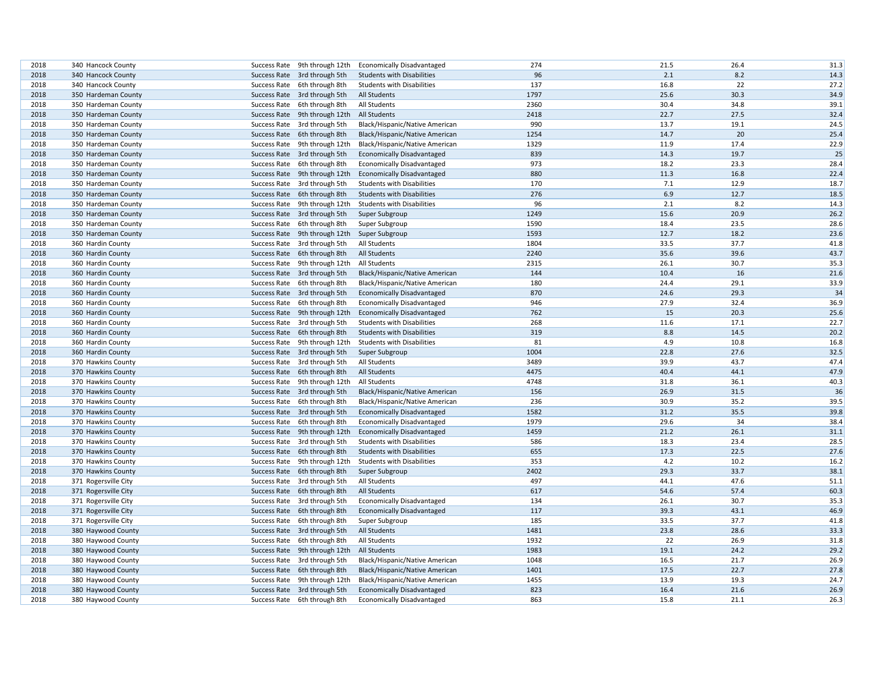| 2018 | 340 Hancock County   | Success Rate 9th through 12th | <b>Economically Disadvantaged</b> | 274  | 21.5 | 26.4 | 31.3 |
|------|----------------------|-------------------------------|-----------------------------------|------|------|------|------|
| 2018 | 340 Hancock County   | Success Rate 3rd through 5th  | <b>Students with Disabilities</b> | 96   | 2.1  | 8.2  | 14.3 |
| 2018 | 340 Hancock County   | Success Rate 6th through 8th  | <b>Students with Disabilities</b> | 137  | 16.8 | 22   | 27.2 |
| 2018 | 350 Hardeman County  | Success Rate 3rd through 5th  | All Students                      | 1797 | 25.6 | 30.3 | 34.9 |
| 2018 | 350 Hardeman County  | Success Rate 6th through 8th  | All Students                      | 2360 | 30.4 | 34.8 | 39.1 |
| 2018 | 350 Hardeman County  | Success Rate 9th through 12th | <b>All Students</b>               | 2418 | 22.7 | 27.5 | 32.4 |
| 2018 | 350 Hardeman County  | Success Rate 3rd through 5th  | Black/Hispanic/Native American    | 990  | 13.7 | 19.1 | 24.5 |
| 2018 | 350 Hardeman County  | Success Rate 6th through 8th  | Black/Hispanic/Native American    | 1254 | 14.7 | 20   | 25.4 |
| 2018 | 350 Hardeman County  | Success Rate 9th through 12th | Black/Hispanic/Native American    | 1329 | 11.9 | 17.4 | 22.9 |
| 2018 | 350 Hardeman County  | Success Rate 3rd through 5th  | <b>Economically Disadvantaged</b> | 839  | 14.3 | 19.7 | 25   |
| 2018 | 350 Hardeman County  | Success Rate 6th through 8th  | <b>Economically Disadvantaged</b> | 973  | 18.2 | 23.3 | 28.4 |
| 2018 | 350 Hardeman County  | Success Rate 9th through 12th | <b>Economically Disadvantaged</b> | 880  | 11.3 | 16.8 | 22.4 |
| 2018 | 350 Hardeman County  | Success Rate 3rd through 5th  | <b>Students with Disabilities</b> | 170  | 7.1  | 12.9 | 18.7 |
| 2018 | 350 Hardeman County  | Success Rate 6th through 8th  | <b>Students with Disabilities</b> | 276  | 6.9  | 12.7 | 18.5 |
| 2018 | 350 Hardeman County  | Success Rate 9th through 12th | <b>Students with Disabilities</b> | 96   | 2.1  | 8.2  | 14.3 |
| 2018 | 350 Hardeman County  | Success Rate 3rd through 5th  | Super Subgroup                    | 1249 | 15.6 | 20.9 | 26.2 |
| 2018 | 350 Hardeman County  | Success Rate 6th through 8th  | Super Subgroup                    | 1590 | 18.4 | 23.5 | 28.6 |
| 2018 | 350 Hardeman County  | Success Rate 9th through 12th | Super Subgroup                    | 1593 | 12.7 | 18.2 | 23.6 |
| 2018 | 360 Hardin County    | Success Rate 3rd through 5th  | All Students                      | 1804 | 33.5 | 37.7 | 41.8 |
| 2018 | 360 Hardin County    | Success Rate 6th through 8th  | All Students                      | 2240 | 35.6 | 39.6 | 43.7 |
| 2018 | 360 Hardin County    | Success Rate 9th through 12th | All Students                      | 2315 | 26.1 | 30.7 | 35.3 |
| 2018 | 360 Hardin County    | Success Rate 3rd through 5th  | Black/Hispanic/Native American    | 144  | 10.4 | 16   | 21.6 |
| 2018 | 360 Hardin County    | Success Rate 6th through 8th  | Black/Hispanic/Native American    | 180  | 24.4 | 29.1 | 33.9 |
| 2018 | 360 Hardin County    | Success Rate 3rd through 5th  | <b>Economically Disadvantaged</b> | 870  | 24.6 | 29.3 | 34   |
| 2018 | 360 Hardin County    | Success Rate 6th through 8th  | <b>Economically Disadvantaged</b> | 946  | 27.9 | 32.4 | 36.9 |
| 2018 | 360 Hardin County    | Success Rate 9th through 12th | <b>Economically Disadvantaged</b> | 762  | 15   | 20.3 | 25.6 |
| 2018 | 360 Hardin County    | Success Rate 3rd through 5th  | <b>Students with Disabilities</b> | 268  | 11.6 | 17.1 | 22.7 |
| 2018 | 360 Hardin County    | Success Rate 6th through 8th  | <b>Students with Disabilities</b> | 319  | 8.8  | 14.5 | 20.2 |
| 2018 | 360 Hardin County    | Success Rate 9th through 12th | <b>Students with Disabilities</b> | 81   | 4.9  | 10.8 | 16.8 |
| 2018 | 360 Hardin County    | Success Rate 3rd through 5th  | Super Subgroup                    | 1004 | 22.8 | 27.6 | 32.5 |
| 2018 | 370 Hawkins County   | Success Rate 3rd through 5th  | All Students                      | 3489 | 39.9 | 43.7 | 47.4 |
| 2018 | 370 Hawkins County   | Success Rate 6th through 8th  | <b>All Students</b>               | 4475 | 40.4 | 44.1 | 47.9 |
| 2018 | 370 Hawkins County   | Success Rate 9th through 12th | All Students                      | 4748 | 31.8 | 36.1 | 40.3 |
| 2018 | 370 Hawkins County   | Success Rate 3rd through 5th  | Black/Hispanic/Native American    | 156  | 26.9 | 31.5 | 36   |
| 2018 | 370 Hawkins County   | Success Rate 6th through 8th  | Black/Hispanic/Native American    | 236  | 30.9 | 35.2 | 39.5 |
| 2018 | 370 Hawkins County   | Success Rate 3rd through 5th  | <b>Economically Disadvantaged</b> | 1582 | 31.2 | 35.5 | 39.8 |
| 2018 | 370 Hawkins County   | Success Rate 6th through 8th  | <b>Economically Disadvantaged</b> | 1979 | 29.6 | 34   | 38.4 |
| 2018 | 370 Hawkins County   | Success Rate 9th through 12th | <b>Economically Disadvantaged</b> | 1459 | 21.2 | 26.1 | 31.1 |
| 2018 | 370 Hawkins County   | Success Rate 3rd through 5th  | <b>Students with Disabilities</b> | 586  | 18.3 | 23.4 | 28.5 |
| 2018 | 370 Hawkins County   | Success Rate 6th through 8th  | <b>Students with Disabilities</b> | 655  | 17.3 | 22.5 | 27.6 |
| 2018 | 370 Hawkins County   | Success Rate 9th through 12th | <b>Students with Disabilities</b> | 353  | 4.2  | 10.2 | 16.2 |
| 2018 | 370 Hawkins County   | Success Rate 6th through 8th  | Super Subgroup                    | 2402 | 29.3 | 33.7 | 38.1 |
| 2018 | 371 Rogersville City | Success Rate 3rd through 5th  | All Students                      | 497  | 44.1 | 47.6 | 51.1 |
| 2018 | 371 Rogersville City | Success Rate 6th through 8th  | <b>All Students</b>               | 617  | 54.6 | 57.4 | 60.3 |
| 2018 | 371 Rogersville City | Success Rate 3rd through 5th  | <b>Economically Disadvantaged</b> | 134  | 26.1 | 30.7 | 35.3 |
| 2018 | 371 Rogersville City | Success Rate 6th through 8th  | <b>Economically Disadvantaged</b> | 117  | 39.3 | 43.1 | 46.9 |
| 2018 | 371 Rogersville City | Success Rate 6th through 8th  | Super Subgroup                    | 185  | 33.5 | 37.7 | 41.8 |
| 2018 | 380 Haywood County   | Success Rate 3rd through 5th  | All Students                      | 1481 | 23.8 | 28.6 | 33.3 |
| 2018 | 380 Haywood County   | Success Rate 6th through 8th  | All Students                      | 1932 | 22   | 26.9 | 31.8 |
| 2018 | 380 Haywood County   | Success Rate 9th through 12th | <b>All Students</b>               | 1983 | 19.1 | 24.2 | 29.2 |
| 2018 | 380 Haywood County   | Success Rate 3rd through 5th  | Black/Hispanic/Native American    | 1048 | 16.5 | 21.7 | 26.9 |
| 2018 | 380 Haywood County   | Success Rate 6th through 8th  | Black/Hispanic/Native American    | 1401 | 17.5 | 22.7 | 27.8 |
| 2018 | 380 Haywood County   | Success Rate 9th through 12th | Black/Hispanic/Native American    | 1455 | 13.9 | 19.3 | 24.7 |
| 2018 | 380 Haywood County   | Success Rate 3rd through 5th  | <b>Economically Disadvantaged</b> | 823  | 16.4 | 21.6 | 26.9 |
| 2018 | 380 Haywood County   | Success Rate 6th through 8th  | <b>Economically Disadvantaged</b> | 863  | 15.8 | 21.1 | 26.3 |
|      |                      |                               |                                   |      |      |      |      |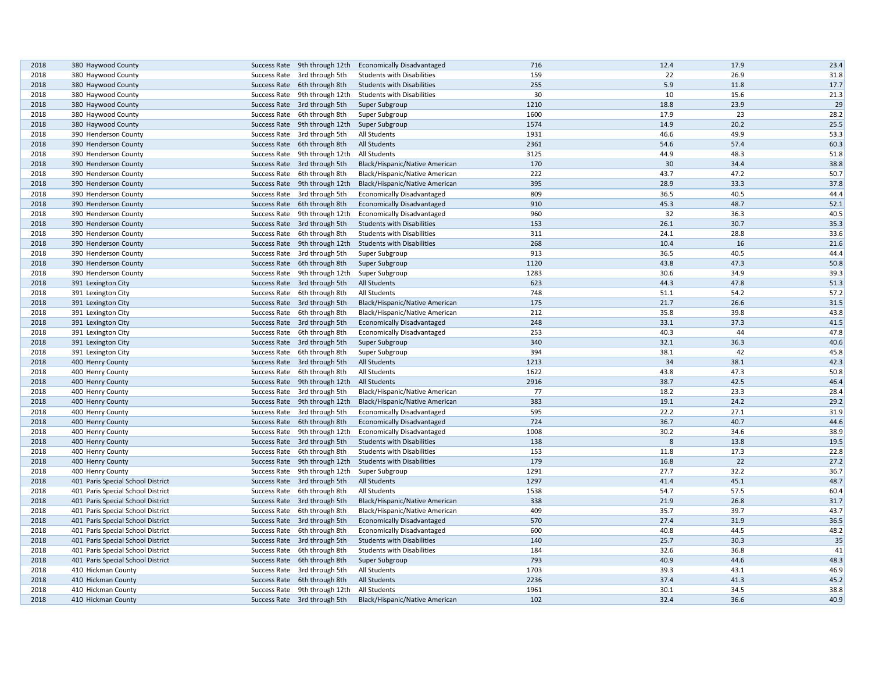| 2018 | 380 Haywood County                | Success Rate 9th through 12th | <b>Economically Disadvantaged</b> | 716  | 12.4 | 17.9 | 23.4 |
|------|-----------------------------------|-------------------------------|-----------------------------------|------|------|------|------|
| 2018 | 380 Haywood County                | Success Rate 3rd through 5th  | <b>Students with Disabilities</b> | 159  | 22   | 26.9 | 31.8 |
| 2018 | 380 Haywood County                | Success Rate 6th through 8th  | <b>Students with Disabilities</b> | 255  | 5.9  | 11.8 | 17.7 |
| 2018 | 380 Haywood County                | Success Rate 9th through 12th | <b>Students with Disabilities</b> | 30   | 10   | 15.6 | 21.3 |
| 2018 | 380 Haywood County                | Success Rate 3rd through 5th  | Super Subgroup                    | 1210 | 18.8 | 23.9 | 29   |
| 2018 | 380 Haywood County                | Success Rate 6th through 8th  | Super Subgroup                    | 1600 | 17.9 | 23   | 28.2 |
| 2018 | 380 Haywood County                | Success Rate 9th through 12th | Super Subgroup                    | 1574 | 14.9 | 20.2 | 25.5 |
| 2018 | 390 Henderson County              | Success Rate 3rd through 5th  | All Students                      | 1931 | 46.6 | 49.9 | 53.3 |
| 2018 | 390 Henderson County              | Success Rate 6th through 8th  | <b>All Students</b>               | 2361 | 54.6 | 57.4 | 60.3 |
| 2018 | 390 Henderson County              | Success Rate 9th through 12th | <b>All Students</b>               | 3125 | 44.9 | 48.3 | 51.8 |
| 2018 | 390 Henderson County              | Success Rate 3rd through 5th  | Black/Hispanic/Native American    | 170  | 30   | 34.4 | 38.8 |
| 2018 | 390 Henderson County              | Success Rate 6th through 8th  | Black/Hispanic/Native American    | 222  | 43.7 | 47.2 | 50.7 |
| 2018 | 390 Henderson County              | Success Rate 9th through 12th | Black/Hispanic/Native American    | 395  | 28.9 | 33.3 | 37.8 |
| 2018 | 390 Henderson County              | Success Rate 3rd through 5th  | <b>Economically Disadvantaged</b> | 809  | 36.5 | 40.5 | 44.4 |
| 2018 | 390 Henderson County              | Success Rate 6th through 8th  | <b>Economically Disadvantaged</b> | 910  | 45.3 | 48.7 | 52.1 |
| 2018 | 390 Henderson County              | Success Rate 9th through 12th | <b>Economically Disadvantaged</b> | 960  | 32   | 36.3 | 40.5 |
| 2018 | 390 Henderson County              | Success Rate 3rd through 5th  | <b>Students with Disabilities</b> | 153  | 26.1 | 30.7 | 35.3 |
| 2018 | 390 Henderson County              | Success Rate 6th through 8th  | <b>Students with Disabilities</b> | 311  | 24.1 | 28.8 | 33.6 |
| 2018 | 390 Henderson County              | Success Rate 9th through 12th | <b>Students with Disabilities</b> | 268  | 10.4 | 16   | 21.6 |
| 2018 | 390 Henderson County              | Success Rate 3rd through 5th  | Super Subgroup                    | 913  | 36.5 | 40.5 | 44.4 |
| 2018 | 390 Henderson County              | Success Rate 6th through 8th  | Super Subgroup                    | 1120 | 43.8 | 47.3 | 50.8 |
| 2018 | 390 Henderson County              | Success Rate 9th through 12th | Super Subgroup                    | 1283 | 30.6 | 34.9 | 39.3 |
| 2018 | 391 Lexington City                |                               | <b>All Students</b>               | 623  | 44.3 | 47.8 | 51.3 |
|      |                                   | Success Rate 3rd through 5th  |                                   | 748  |      |      | 57.2 |
| 2018 | 391 Lexington City                | Success Rate 6th through 8th  | All Students                      |      | 51.1 | 54.2 |      |
| 2018 | 391 Lexington City                | Success Rate 3rd through 5th  | Black/Hispanic/Native American    | 175  | 21.7 | 26.6 | 31.5 |
| 2018 | 391 Lexington City                | Success Rate 6th through 8th  | Black/Hispanic/Native American    | 212  | 35.8 | 39.8 | 43.8 |
| 2018 | 391 Lexington City                | Success Rate 3rd through 5th  | <b>Economically Disadvantaged</b> | 248  | 33.1 | 37.3 | 41.5 |
| 2018 | 391 Lexington City                | Success Rate 6th through 8th  | <b>Economically Disadvantaged</b> | 253  | 40.3 | 44   | 47.8 |
| 2018 | 391 Lexington City                | Success Rate 3rd through 5th  | Super Subgroup                    | 340  | 32.1 | 36.3 | 40.6 |
| 2018 | 391 Lexington City                | Success Rate 6th through 8th  | Super Subgroup                    | 394  | 38.1 | 42   | 45.8 |
| 2018 | 400 Henry County                  | Success Rate 3rd through 5th  | All Students                      | 1213 | 34   | 38.1 | 42.3 |
| 2018 | 400 Henry County                  | Success Rate 6th through 8th  | <b>All Students</b>               | 1622 | 43.8 | 47.3 | 50.8 |
| 2018 | 400 Henry County                  | Success Rate 9th through 12th | <b>All Students</b>               | 2916 | 38.7 | 42.5 | 46.4 |
| 2018 | 400 Henry County                  | Success Rate 3rd through 5th  | Black/Hispanic/Native American    | 77   | 18.2 | 23.3 | 28.4 |
| 2018 | 400 Henry County                  | Success Rate 9th through 12th | Black/Hispanic/Native American    | 383  | 19.1 | 24.2 | 29.2 |
| 2018 | 400 Henry County                  | Success Rate 3rd through 5th  | <b>Economically Disadvantaged</b> | 595  | 22.2 | 27.1 | 31.9 |
| 2018 | 400 Henry County                  | Success Rate 6th through 8th  | <b>Economically Disadvantaged</b> | 724  | 36.7 | 40.7 | 44.6 |
| 2018 | 400 Henry County                  | Success Rate 9th through 12th | <b>Economically Disadvantaged</b> | 1008 | 30.2 | 34.6 | 38.9 |
| 2018 | 400 Henry County                  | Success Rate 3rd through 5th  | <b>Students with Disabilities</b> | 138  | 8    | 13.8 | 19.5 |
| 2018 | 400 Henry County                  | Success Rate 6th through 8th  | <b>Students with Disabilities</b> | 153  | 11.8 | 17.3 | 22.8 |
| 2018 | 400 Henry County                  | Success Rate 9th through 12th | <b>Students with Disabilities</b> | 179  | 16.8 | 22   | 27.2 |
| 2018 | 400 Henry County                  | Success Rate 9th through 12th | Super Subgroup                    | 1291 | 27.7 | 32.2 | 36.7 |
| 2018 | 401 Paris Special School District | Success Rate 3rd through 5th  | All Students                      | 1297 | 41.4 | 45.1 | 48.7 |
| 2018 | 401 Paris Special School District | Success Rate 6th through 8th  | All Students                      | 1538 | 54.7 | 57.5 | 60.4 |
| 2018 | 401 Paris Special School District | Success Rate 3rd through 5th  | Black/Hispanic/Native American    | 338  | 21.9 | 26.8 | 31.7 |
| 2018 | 401 Paris Special School District | Success Rate 6th through 8th  | Black/Hispanic/Native American    | 409  | 35.7 | 39.7 | 43.7 |
| 2018 | 401 Paris Special School District | Success Rate 3rd through 5th  | <b>Economically Disadvantaged</b> | 570  | 27.4 | 31.9 | 36.5 |
| 2018 | 401 Paris Special School District | Success Rate 6th through 8th  | <b>Economically Disadvantaged</b> | 600  | 40.8 | 44.5 | 48.2 |
| 2018 | 401 Paris Special School District | Success Rate 3rd through 5th  | <b>Students with Disabilities</b> | 140  | 25.7 | 30.3 | 35   |
| 2018 | 401 Paris Special School District | Success Rate 6th through 8th  | <b>Students with Disabilities</b> | 184  | 32.6 | 36.8 | 41   |
| 2018 | 401 Paris Special School District | Success Rate 6th through 8th  | Super Subgroup                    | 793  | 40.9 | 44.6 | 48.3 |
| 2018 | 410 Hickman County                | Success Rate 3rd through 5th  | All Students                      | 1703 | 39.3 | 43.1 | 46.9 |
| 2018 | 410 Hickman County                | Success Rate 6th through 8th  | <b>All Students</b>               | 2236 | 37.4 | 41.3 | 45.2 |
| 2018 | 410 Hickman County                | Success Rate 9th through 12th | All Students                      | 1961 | 30.1 | 34.5 | 38.8 |
| 2018 | 410 Hickman County                | Success Rate 3rd through 5th  | Black/Hispanic/Native American    | 102  | 32.4 | 36.6 | 40.9 |
|      |                                   |                               |                                   |      |      |      |      |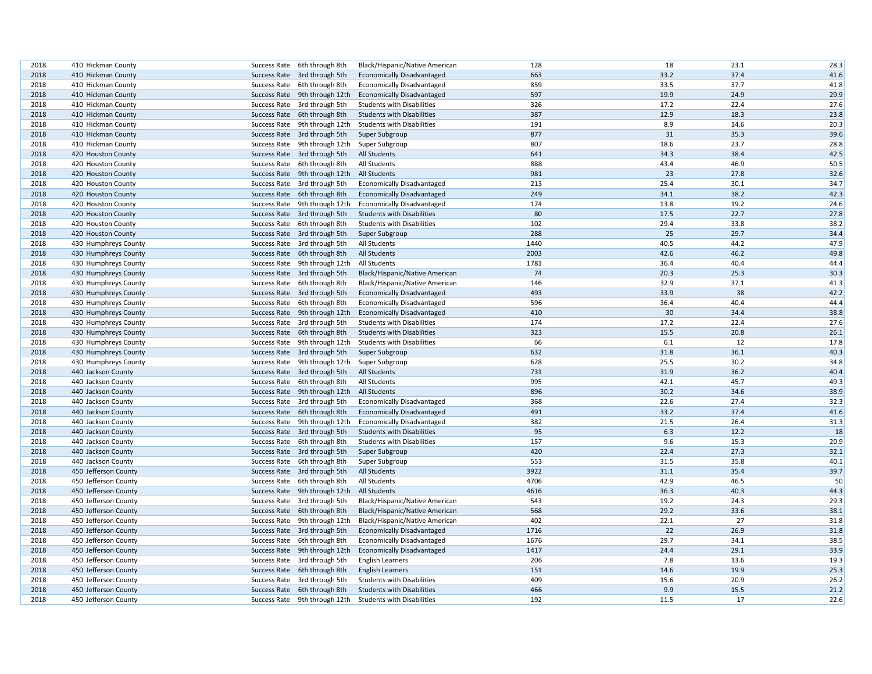| 2018 | 410 Hickman County   |              | Success Rate 6th through 8th  | Black/Hispanic/Native American    | 128  | 18   | 23.1 | 28.3 |
|------|----------------------|--------------|-------------------------------|-----------------------------------|------|------|------|------|
| 2018 | 410 Hickman County   |              | Success Rate 3rd through 5th  | <b>Economically Disadvantaged</b> | 663  | 33.2 | 37.4 | 41.6 |
| 2018 | 410 Hickman County   |              | Success Rate 6th through 8th  | <b>Economically Disadvantaged</b> | 859  | 33.5 | 37.7 | 41.8 |
| 2018 | 410 Hickman County   |              | Success Rate 9th through 12th | <b>Economically Disadvantaged</b> | 597  | 19.9 | 24.9 | 29.9 |
| 2018 | 410 Hickman County   |              | Success Rate 3rd through 5th  | <b>Students with Disabilities</b> | 326  | 17.2 | 22.4 | 27.6 |
| 2018 | 410 Hickman County   |              | Success Rate 6th through 8th  | <b>Students with Disabilities</b> | 387  | 12.9 | 18.3 | 23.8 |
| 2018 | 410 Hickman County   |              | Success Rate 9th through 12th | <b>Students with Disabilities</b> | 191  | 8.9  | 14.6 | 20.3 |
| 2018 | 410 Hickman County   |              | Success Rate 3rd through 5th  | Super Subgroup                    | 877  | 31   | 35.3 | 39.6 |
| 2018 | 410 Hickman County   |              | Success Rate 9th through 12th | Super Subgroup                    | 807  | 18.6 | 23.7 | 28.8 |
| 2018 | 420 Houston County   |              | Success Rate 3rd through 5th  | All Students                      | 641  | 34.3 | 38.4 | 42.5 |
| 2018 | 420 Houston County   |              | Success Rate 6th through 8th  | All Students                      | 888  | 43.4 | 46.9 | 50.5 |
| 2018 | 420 Houston County   |              | Success Rate 9th through 12th | All Students                      | 981  | 23   | 27.8 | 32.6 |
| 2018 | 420 Houston County   |              | Success Rate 3rd through 5th  | <b>Economically Disadvantaged</b> | 213  | 25.4 | 30.1 | 34.7 |
| 2018 | 420 Houston County   |              | Success Rate 6th through 8th  | <b>Economically Disadvantaged</b> | 249  | 34.1 | 38.2 | 42.3 |
| 2018 | 420 Houston County   |              | Success Rate 9th through 12th | <b>Economically Disadvantaged</b> | 174  | 13.8 | 19.2 | 24.6 |
| 2018 | 420 Houston County   |              | Success Rate 3rd through 5th  | <b>Students with Disabilities</b> | 80   | 17.5 | 22.7 | 27.8 |
| 2018 | 420 Houston County   |              | Success Rate 6th through 8th  | <b>Students with Disabilities</b> | 102  | 29.4 | 33.8 | 38.2 |
| 2018 | 420 Houston County   |              | Success Rate 3rd through 5th  | Super Subgroup                    | 288  | 25   | 29.7 | 34.4 |
| 2018 | 430 Humphreys County |              | Success Rate 3rd through 5th  | All Students                      | 1440 | 40.5 | 44.2 | 47.9 |
| 2018 | 430 Humphreys County |              | Success Rate 6th through 8th  | <b>All Students</b>               | 2003 | 42.6 | 46.2 | 49.8 |
| 2018 | 430 Humphreys County |              | Success Rate 9th through 12th | All Students                      | 1781 | 36.4 | 40.4 | 44.4 |
| 2018 | 430 Humphreys County |              | Success Rate 3rd through 5th  | Black/Hispanic/Native American    | 74   | 20.3 | 25.3 | 30.3 |
| 2018 | 430 Humphreys County |              | Success Rate 6th through 8th  | Black/Hispanic/Native American    | 146  | 32.9 | 37.1 | 41.3 |
| 2018 | 430 Humphreys County |              | Success Rate 3rd through 5th  | <b>Economically Disadvantaged</b> | 493  | 33.9 | 38   | 42.2 |
| 2018 | 430 Humphreys County |              | Success Rate 6th through 8th  | <b>Economically Disadvantaged</b> | 596  | 36.4 | 40.4 | 44.4 |
| 2018 | 430 Humphreys County |              | Success Rate 9th through 12th | <b>Economically Disadvantaged</b> | 410  | 30   | 34.4 | 38.8 |
| 2018 | 430 Humphreys County |              | Success Rate 3rd through 5th  | <b>Students with Disabilities</b> | 174  | 17.2 | 22.4 | 27.6 |
| 2018 | 430 Humphreys County |              | Success Rate 6th through 8th  | <b>Students with Disabilities</b> | 323  | 15.5 | 20.8 | 26.1 |
| 2018 | 430 Humphreys County |              | Success Rate 9th through 12th | <b>Students with Disabilities</b> | 66   | 6.1  | 12   | 17.8 |
| 2018 | 430 Humphreys County |              | Success Rate 3rd through 5th  | Super Subgroup                    | 632  | 31.8 | 36.1 | 40.3 |
| 2018 | 430 Humphreys County |              | Success Rate 9th through 12th | Super Subgroup                    | 628  | 25.5 | 30.2 | 34.8 |
| 2018 | 440 Jackson County   |              | Success Rate 3rd through 5th  | <b>All Students</b>               | 731  | 31.9 | 36.2 | 40.4 |
| 2018 | 440 Jackson County   |              | Success Rate 6th through 8th  | All Students                      | 995  | 42.1 | 45.7 | 49.3 |
| 2018 | 440 Jackson County   |              | Success Rate 9th through 12th | All Students                      | 896  | 30.2 | 34.6 | 38.9 |
| 2018 | 440 Jackson County   |              | Success Rate 3rd through 5th  | <b>Economically Disadvantaged</b> | 368  | 22.6 | 27.4 | 32.3 |
| 2018 | 440 Jackson County   |              | Success Rate 6th through 8th  | <b>Economically Disadvantaged</b> | 491  | 33.2 | 37.4 | 41.6 |
| 2018 | 440 Jackson County   |              | Success Rate 9th through 12th | <b>Economically Disadvantaged</b> | 382  | 21.5 | 26.4 | 31.3 |
| 2018 | 440 Jackson County   |              | Success Rate 3rd through 5th  | <b>Students with Disabilities</b> | 95   | 6.3  | 12.2 | 18   |
| 2018 | 440 Jackson County   |              | Success Rate 6th through 8th  | <b>Students with Disabilities</b> | 157  | 9.6  | 15.3 | 20.9 |
| 2018 | 440 Jackson County   |              | Success Rate 3rd through 5th  | Super Subgroup                    | 420  | 22.4 | 27.3 | 32.1 |
| 2018 | 440 Jackson County   |              | Success Rate 6th through 8th  | Super Subgroup                    | 553  | 31.5 | 35.8 | 40.1 |
| 2018 | 450 Jefferson County |              | Success Rate 3rd through 5th  | All Students                      | 3922 | 31.1 | 35.4 | 39.7 |
| 2018 | 450 Jefferson County |              | Success Rate 6th through 8th  | All Students                      | 4706 | 42.9 | 46.5 | 50   |
| 2018 | 450 Jefferson County |              | Success Rate 9th through 12th | All Students                      | 4616 | 36.3 | 40.3 | 44.3 |
| 2018 | 450 Jefferson County |              | Success Rate 3rd through 5th  | Black/Hispanic/Native American    | 543  | 19.2 | 24.3 | 29.3 |
| 2018 | 450 Jefferson County |              | Success Rate 6th through 8th  | Black/Hispanic/Native American    | 568  | 29.2 | 33.6 | 38.1 |
| 2018 | 450 Jefferson County |              | Success Rate 9th through 12th | Black/Hispanic/Native American    | 402  | 22.1 | 27   | 31.8 |
| 2018 | 450 Jefferson County |              | Success Rate 3rd through 5th  | <b>Economically Disadvantaged</b> | 1716 | 22   | 26.9 | 31.8 |
| 2018 | 450 Jefferson County |              | Success Rate 6th through 8th  | <b>Economically Disadvantaged</b> | 1676 | 29.7 | 34.1 | 38.5 |
| 2018 | 450 Jefferson County |              | Success Rate 9th through 12th | <b>Economically Disadvantaged</b> | 1417 | 24.4 | 29.1 | 33.9 |
| 2018 | 450 Jefferson County |              | Success Rate 3rd through 5th  | <b>English Learners</b>           | 206  | 7.8  | 13.6 | 19.3 |
| 2018 | 450 Jefferson County |              | Success Rate 6th through 8th  | <b>English Learners</b>           | 151  | 14.6 | 19.9 | 25.3 |
| 2018 | 450 Jefferson County | Success Rate | 3rd through 5th               | <b>Students with Disabilities</b> | 409  | 15.6 | 20.9 | 26.2 |
| 2018 | 450 Jefferson County |              | Success Rate 6th through 8th  | <b>Students with Disabilities</b> | 466  | 9.9  | 15.5 | 21.2 |
| 2018 | 450 Jefferson County |              | Success Rate 9th through 12th | <b>Students with Disabilities</b> | 192  | 11.5 | 17   | 22.6 |
|      |                      |              |                               |                                   |      |      |      |      |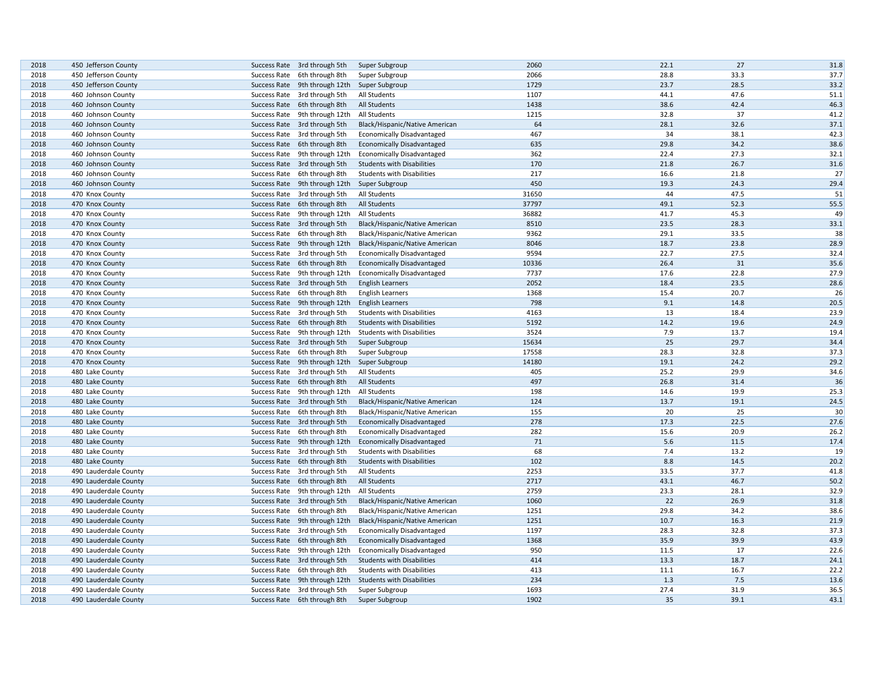| 2018 | 450 Jefferson County  | Success Rate 3rd through 5th                 | Super Subgroup                    | 2060  | 22.1 | 27   | 31.8 |
|------|-----------------------|----------------------------------------------|-----------------------------------|-------|------|------|------|
| 2018 | 450 Jefferson County  | Success Rate 6th through 8th                 | Super Subgroup                    | 2066  | 28.8 | 33.3 | 37.7 |
| 2018 | 450 Jefferson County  | Success Rate 9th through 12th Super Subgroup |                                   | 1729  | 23.7 | 28.5 | 33.2 |
| 2018 | 460 Johnson County    | Success Rate 3rd through 5th                 | All Students                      | 1107  | 44.1 | 47.6 | 51.1 |
| 2018 | 460 Johnson County    | Success Rate 6th through 8th                 | All Students                      | 1438  | 38.6 | 42.4 | 46.3 |
| 2018 | 460 Johnson County    | Success Rate 9th through 12th                | All Students                      | 1215  | 32.8 | 37   | 41.2 |
| 2018 | 460 Johnson County    | Success Rate 3rd through 5th                 | Black/Hispanic/Native American    | 64    | 28.1 | 32.6 | 37.1 |
| 2018 | 460 Johnson County    | Success Rate 3rd through 5th                 | <b>Economically Disadvantaged</b> | 467   | 34   | 38.1 | 42.3 |
| 2018 | 460 Johnson County    | Success Rate 6th through 8th                 | <b>Economically Disadvantaged</b> | 635   | 29.8 | 34.2 | 38.6 |
| 2018 | 460 Johnson County    | Success Rate 9th through 12th                | <b>Economically Disadvantaged</b> | 362   | 22.4 | 27.3 | 32.1 |
| 2018 | 460 Johnson County    | Success Rate 3rd through 5th                 | <b>Students with Disabilities</b> | 170   | 21.8 | 26.7 | 31.6 |
| 2018 | 460 Johnson County    | Success Rate 6th through 8th                 | <b>Students with Disabilities</b> | 217   | 16.6 | 21.8 | 27   |
| 2018 | 460 Johnson County    | Success Rate 9th through 12th                | Super Subgroup                    | 450   | 19.3 | 24.3 | 29.4 |
| 2018 | 470 Knox County       | Success Rate 3rd through 5th                 | All Students                      | 31650 | 44   | 47.5 | 51   |
| 2018 | 470 Knox County       | Success Rate 6th through 8th                 | All Students                      | 37797 | 49.1 | 52.3 | 55.5 |
| 2018 |                       |                                              | All Students                      | 36882 | 41.7 | 45.3 | 49   |
|      | 470 Knox County       | Success Rate 9th through 12th                |                                   |       |      |      |      |
| 2018 | 470 Knox County       | Success Rate 3rd through 5th                 | Black/Hispanic/Native American    | 8510  | 23.5 | 28.3 | 33.1 |
| 2018 | 470 Knox County       | Success Rate 6th through 8th                 | Black/Hispanic/Native American    | 9362  | 29.1 | 33.5 | 38   |
| 2018 | 470 Knox County       | Success Rate 9th through 12th                | Black/Hispanic/Native American    | 8046  | 18.7 | 23.8 | 28.9 |
| 2018 | 470 Knox County       | Success Rate 3rd through 5th                 | <b>Economically Disadvantaged</b> | 9594  | 22.7 | 27.5 | 32.4 |
| 2018 | 470 Knox County       | Success Rate 6th through 8th                 | <b>Economically Disadvantaged</b> | 10336 | 26.4 | 31   | 35.6 |
| 2018 | 470 Knox County       | Success Rate 9th through 12th                | <b>Economically Disadvantaged</b> | 7737  | 17.6 | 22.8 | 27.9 |
| 2018 | 470 Knox County       | Success Rate 3rd through 5th                 | <b>English Learners</b>           | 2052  | 18.4 | 23.5 | 28.6 |
| 2018 | 470 Knox County       | Success Rate 6th through 8th                 | <b>English Learners</b>           | 1368  | 15.4 | 20.7 | 26   |
| 2018 | 470 Knox County       | Success Rate 9th through 12th                | <b>English Learners</b>           | 798   | 9.1  | 14.8 | 20.5 |
| 2018 | 470 Knox County       | Success Rate 3rd through 5th                 | <b>Students with Disabilities</b> | 4163  | 13   | 18.4 | 23.9 |
| 2018 | 470 Knox County       | Success Rate 6th through 8th                 | <b>Students with Disabilities</b> | 5192  | 14.2 | 19.6 | 24.9 |
| 2018 | 470 Knox County       | Success Rate 9th through 12th                | <b>Students with Disabilities</b> | 3524  | 7.9  | 13.7 | 19.4 |
| 2018 | 470 Knox County       | Success Rate 3rd through 5th                 | Super Subgroup                    | 15634 | 25   | 29.7 | 34.4 |
| 2018 | 470 Knox County       | Success Rate 6th through 8th                 | Super Subgroup                    | 17558 | 28.3 | 32.8 | 37.3 |
| 2018 | 470 Knox County       | Success Rate 9th through 12th Super Subgroup |                                   | 14180 | 19.1 | 24.2 | 29.2 |
| 2018 | 480 Lake County       | Success Rate 3rd through 5th                 | All Students                      | 405   | 25.2 | 29.9 | 34.6 |
| 2018 | 480 Lake County       | Success Rate 6th through 8th                 | All Students                      | 497   | 26.8 | 31.4 | 36   |
| 2018 | 480 Lake County       | Success Rate 9th through 12th                | All Students                      | 198   | 14.6 | 19.9 | 25.3 |
| 2018 | 480 Lake County       | Success Rate 3rd through 5th                 | Black/Hispanic/Native American    | 124   | 13.7 | 19.1 | 24.5 |
| 2018 | 480 Lake County       | Success Rate 6th through 8th                 | Black/Hispanic/Native American    | 155   | 20   | 25   | 30   |
| 2018 | 480 Lake County       | Success Rate 3rd through 5th                 | <b>Economically Disadvantaged</b> | 278   | 17.3 | 22.5 | 27.6 |
| 2018 | 480 Lake County       | Success Rate 6th through 8th                 | <b>Economically Disadvantaged</b> | 282   | 15.6 | 20.9 | 26.2 |
| 2018 | 480 Lake County       | Success Rate 9th through 12th                | <b>Economically Disadvantaged</b> | 71    | 5.6  | 11.5 | 17.4 |
| 2018 | 480 Lake County       | Success Rate 3rd through 5th                 | <b>Students with Disabilities</b> | 68    | 7.4  | 13.2 | 19   |
| 2018 |                       | Success Rate 6th through 8th                 | <b>Students with Disabilities</b> | 102   | 8.8  | 14.5 | 20.2 |
| 2018 | 480 Lake County       |                                              |                                   | 2253  | 33.5 | 37.7 | 41.8 |
|      | 490 Lauderdale County | Success Rate 3rd through 5th                 | All Students                      |       |      |      |      |
| 2018 | 490 Lauderdale County | Success Rate 6th through 8th                 | All Students                      | 2717  | 43.1 | 46.7 | 50.2 |
| 2018 | 490 Lauderdale County | Success Rate 9th through 12th                | All Students                      | 2759  | 23.3 | 28.1 | 32.9 |
| 2018 | 490 Lauderdale County | Success Rate 3rd through 5th                 | Black/Hispanic/Native American    | 1060  | 22   | 26.9 | 31.8 |
| 2018 | 490 Lauderdale County | Success Rate 6th through 8th                 | Black/Hispanic/Native American    | 1251  | 29.8 | 34.2 | 38.6 |
| 2018 | 490 Lauderdale County | Success Rate 9th through 12th                | Black/Hispanic/Native American    | 1251  | 10.7 | 16.3 | 21.9 |
| 2018 | 490 Lauderdale County | Success Rate 3rd through 5th                 | <b>Economically Disadvantaged</b> | 1197  | 28.3 | 32.8 | 37.3 |
| 2018 | 490 Lauderdale County | Success Rate 6th through 8th                 | <b>Economically Disadvantaged</b> | 1368  | 35.9 | 39.9 | 43.9 |
| 2018 | 490 Lauderdale County | Success Rate 9th through 12th                | <b>Economically Disadvantaged</b> | 950   | 11.5 | 17   | 22.6 |
| 2018 | 490 Lauderdale County | Success Rate 3rd through 5th                 | <b>Students with Disabilities</b> | 414   | 13.3 | 18.7 | 24.1 |
| 2018 | 490 Lauderdale County | Success Rate 6th through 8th                 | <b>Students with Disabilities</b> | 413   | 11.1 | 16.7 | 22.2 |
| 2018 | 490 Lauderdale County | Success Rate 9th through 12th                | <b>Students with Disabilities</b> | 234   | 1.3  | 7.5  | 13.6 |
| 2018 | 490 Lauderdale County | Success Rate 3rd through 5th                 | Super Subgroup                    | 1693  | 27.4 | 31.9 | 36.5 |
| 2018 | 490 Lauderdale County | Success Rate 6th through 8th                 | Super Subgroup                    | 1902  | 35   | 39.1 | 43.1 |
|      |                       |                                              |                                   |       |      |      |      |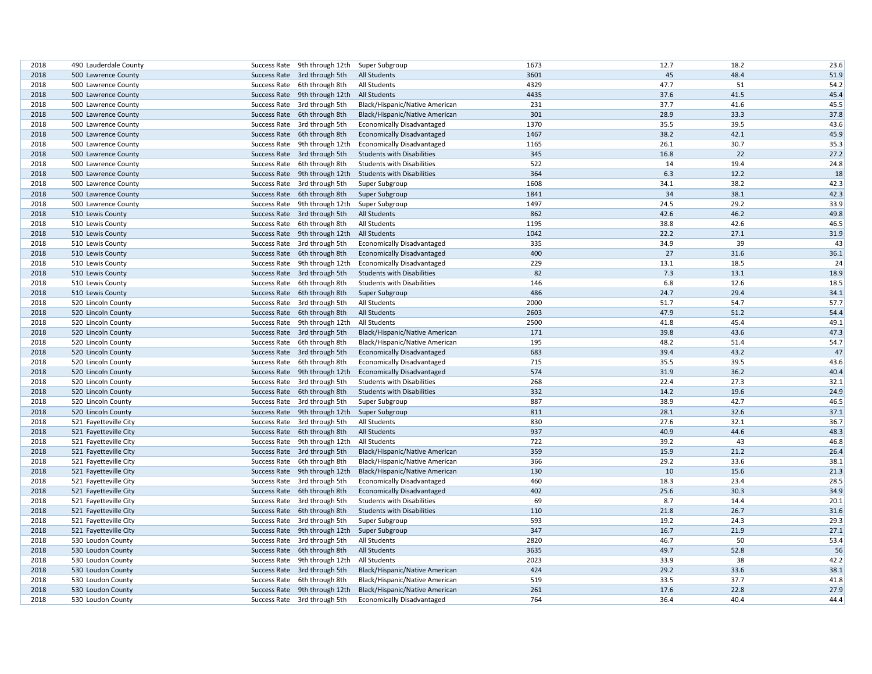| 2018         |                                            |              |                                                               |                                                                        | 1673 | 12.7         | 18.2       | 23.6         |
|--------------|--------------------------------------------|--------------|---------------------------------------------------------------|------------------------------------------------------------------------|------|--------------|------------|--------------|
| 2018         | 490 Lauderdale County                      |              | Success Rate 9th through 12th                                 | Super Subgroup                                                         | 3601 | 45           | 48.4       | 51.9         |
|              | 500 Lawrence County                        |              | Success Rate 3rd through 5th                                  | <b>All Students</b>                                                    | 4329 | 47.7         | 51         |              |
| 2018         | 500 Lawrence County                        |              | Success Rate 6th through 8th                                  | All Students                                                           | 4435 | 37.6         | 41.5       | 54.2         |
| 2018<br>2018 | 500 Lawrence County<br>500 Lawrence County |              | Success Rate 9th through 12th<br>Success Rate 3rd through 5th | All Students<br>Black/Hispanic/Native American                         | 231  | 37.7         | 41.6       | 45.4<br>45.5 |
|              |                                            |              |                                                               |                                                                        | 301  | 28.9         | 33.3       | 37.8         |
| 2018<br>2018 | 500 Lawrence County                        |              | Success Rate 6th through 8th                                  | Black/Hispanic/Native American                                         | 1370 | 35.5         | 39.5       | 43.6         |
| 2018         | 500 Lawrence County<br>500 Lawrence County |              | Success Rate 3rd through 5th<br>Success Rate 6th through 8th  | <b>Economically Disadvantaged</b><br><b>Economically Disadvantaged</b> | 1467 | 38.2         | 42.1       | 45.9         |
| 2018         |                                            |              | Success Rate 9th through 12th                                 |                                                                        | 1165 | 26.1         | 30.7       | 35.3         |
| 2018         | 500 Lawrence County                        |              |                                                               | <b>Economically Disadvantaged</b>                                      | 345  | 16.8         | 22         | 27.2         |
| 2018         | 500 Lawrence County<br>500 Lawrence County |              | Success Rate 3rd through 5th<br>Success Rate 6th through 8th  | <b>Students with Disabilities</b><br><b>Students with Disabilities</b> | 522  | 14           | 19.4       | 24.8         |
| 2018         | 500 Lawrence County                        |              | Success Rate 9th through 12th                                 | <b>Students with Disabilities</b>                                      | 364  | 6.3          | 12.2       | 18           |
| 2018         |                                            |              |                                                               |                                                                        | 1608 | 34.1         | 38.2       | 42.3         |
| 2018         | 500 Lawrence County                        |              | Success Rate 3rd through 5th                                  | Super Subgroup                                                         | 1841 | 34           | 38.1       | 42.3         |
| 2018         | 500 Lawrence County                        |              | Success Rate 6th through 8th<br>Success Rate 9th through 12th | Super Subgroup                                                         | 1497 | 24.5         | 29.2       | 33.9         |
| 2018         | 500 Lawrence County<br>510 Lewis County    |              | Success Rate 3rd through 5th                                  | Super Subgroup                                                         | 862  | 42.6         | 46.2       | 49.8         |
|              |                                            |              |                                                               | <b>All Students</b>                                                    | 1195 |              | 42.6       |              |
| 2018         | 510 Lewis County                           |              | Success Rate 6th through 8th                                  | All Students                                                           | 1042 | 38.8<br>22.2 |            | 46.5         |
| 2018         | 510 Lewis County                           |              | Success Rate 9th through 12th                                 | <b>All Students</b>                                                    |      |              | 27.1<br>39 | 31.9         |
| 2018         | 510 Lewis County                           |              | Success Rate 3rd through 5th                                  | <b>Economically Disadvantaged</b>                                      | 335  | 34.9<br>27   | 31.6       | 43           |
| 2018         | 510 Lewis County                           |              | Success Rate 6th through 8th                                  | <b>Economically Disadvantaged</b>                                      | 400  |              |            | 36.1         |
| 2018         | 510 Lewis County                           |              | Success Rate 9th through 12th                                 | <b>Economically Disadvantaged</b>                                      | 229  | 13.1         | 18.5       | 24           |
| 2018         | 510 Lewis County                           |              | Success Rate 3rd through 5th                                  | <b>Students with Disabilities</b>                                      | 82   | 7.3          | 13.1       | 18.9         |
| 2018         | 510 Lewis County                           |              | Success Rate 6th through 8th                                  | <b>Students with Disabilities</b>                                      | 146  | 6.8          | 12.6       | 18.5         |
| 2018         | 510 Lewis County                           |              | Success Rate 6th through 8th                                  | Super Subgroup                                                         | 486  | 24.7         | 29.4       | 34.1         |
| 2018         | 520 Lincoln County                         |              | Success Rate 3rd through 5th                                  | All Students                                                           | 2000 | 51.7         | 54.7       | 57.7         |
| 2018         | 520 Lincoln County                         |              | Success Rate 6th through 8th                                  | All Students                                                           | 2603 | 47.9         | 51.2       | 54.4         |
| 2018         | 520 Lincoln County                         |              | Success Rate 9th through 12th                                 | All Students                                                           | 2500 | 41.8         | 45.4       | 49.1         |
| 2018         | 520 Lincoln County                         |              | Success Rate 3rd through 5th                                  | Black/Hispanic/Native American                                         | 171  | 39.8         | 43.6       | 47.3         |
| 2018         | 520 Lincoln County                         |              | Success Rate 6th through 8th                                  | Black/Hispanic/Native American                                         | 195  | 48.2         | 51.4       | 54.7         |
| 2018         | 520 Lincoln County                         |              | Success Rate 3rd through 5th                                  | <b>Economically Disadvantaged</b>                                      | 683  | 39.4         | 43.2       | 47           |
| 2018         | 520 Lincoln County                         |              | Success Rate 6th through 8th                                  | <b>Economically Disadvantaged</b>                                      | 715  | 35.5         | 39.5       | 43.6         |
| 2018         | 520 Lincoln County                         |              | Success Rate 9th through 12th                                 | <b>Economically Disadvantaged</b>                                      | 574  | 31.9         | 36.2       | 40.4         |
| 2018         | 520 Lincoln County                         |              | Success Rate 3rd through 5th                                  | <b>Students with Disabilities</b>                                      | 268  | 22.4         | 27.3       | 32.1         |
| 2018         | 520 Lincoln County                         |              | Success Rate 6th through 8th                                  | <b>Students with Disabilities</b>                                      | 332  | 14.2         | 19.6       | 24.9         |
| 2018         | 520 Lincoln County                         |              | Success Rate 3rd through 5th                                  | Super Subgroup                                                         | 887  | 38.9         | 42.7       | 46.5         |
| 2018         | 520 Lincoln County                         |              | Success Rate 9th through 12th                                 | Super Subgroup                                                         | 811  | 28.1         | 32.6       | 37.1         |
| 2018         | 521 Fayetteville City                      |              | Success Rate 3rd through 5th                                  | All Students                                                           | 830  | 27.6         | 32.1       | 36.7         |
| 2018         | 521 Fayetteville City                      |              | Success Rate 6th through 8th                                  | All Students                                                           | 937  | 40.9         | 44.6       | 48.3         |
| 2018         | 521 Fayetteville City                      |              | Success Rate 9th through 12th                                 | All Students                                                           | 722  | 39.2         | 43         | 46.8         |
| 2018         | 521 Fayetteville City                      |              | Success Rate 3rd through 5th                                  | Black/Hispanic/Native American                                         | 359  | 15.9         | 21.2       | 26.4         |
| 2018         | 521 Fayetteville City                      |              | Success Rate 6th through 8th                                  | Black/Hispanic/Native American                                         | 366  | 29.2         | 33.6       | 38.1         |
| 2018         | 521 Fayetteville City                      |              | Success Rate 9th through 12th                                 | Black/Hispanic/Native American                                         | 130  | 10           | 15.6       | 21.3         |
| 2018         | 521 Fayetteville City                      |              | Success Rate 3rd through 5th                                  | <b>Economically Disadvantaged</b>                                      | 460  | 18.3         | 23.4       | 28.5         |
| 2018         | 521 Fayetteville City                      |              | Success Rate 6th through 8th                                  | <b>Economically Disadvantaged</b>                                      | 402  | 25.6         | 30.3       | 34.9         |
| 2018         | 521 Fayetteville City                      |              | Success Rate 3rd through 5th                                  | <b>Students with Disabilities</b>                                      | 69   | 8.7          | 14.4       | 20.1         |
| 2018         | 521 Fayetteville City                      |              | Success Rate 6th through 8th                                  | <b>Students with Disabilities</b>                                      | 110  | 21.8         | 26.7       | 31.6         |
| 2018         | 521 Fayetteville City                      |              | Success Rate 3rd through 5th                                  | Super Subgroup                                                         | 593  | 19.2         | 24.3       | 29.3         |
| 2018         | 521 Fayetteville City                      |              | Success Rate 9th through 12th                                 | Super Subgroup                                                         | 347  | 16.7         | 21.9       | 27.1         |
| 2018         | 530 Loudon County                          |              | Success Rate 3rd through 5th                                  | All Students                                                           | 2820 | 46.7         | 50         | 53.4         |
| 2018         | 530 Loudon County                          |              | Success Rate 6th through 8th                                  | <b>All Students</b>                                                    | 3635 | 49.7         | 52.8       | 56           |
| 2018         | 530 Loudon County                          |              | Success Rate 9th through 12th                                 | All Students                                                           | 2023 | 33.9         | 38         | 42.2         |
| 2018         | 530 Loudon County                          |              | Success Rate 3rd through 5th                                  | Black/Hispanic/Native American                                         | 424  | 29.2         | 33.6       | 38.1         |
| 2018         | 530 Loudon County                          | Success Rate | 6th through 8th                                               | Black/Hispanic/Native American                                         | 519  | 33.5         | 37.7       | 41.8         |
| 2018         | 530 Loudon County                          |              | Success Rate 9th through 12th                                 | Black/Hispanic/Native American                                         | 261  | 17.6         | 22.8       | 27.9         |
| 2018         | 530 Loudon County                          |              | Success Rate 3rd through 5th                                  | <b>Economically Disadvantaged</b>                                      | 764  | 36.4         | 40.4       | 44.4         |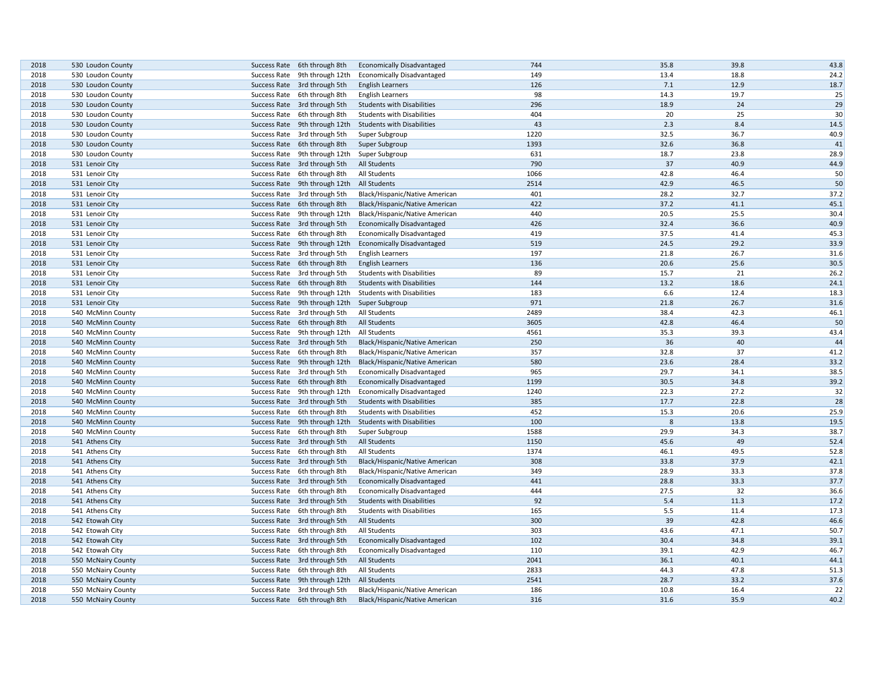| 2018 | 530 Loudon County  | Success Rate 6th through 8th |                               | <b>Economically Disadvantaged</b> | 744  | 35.8 | 39.8 | 43.8 |
|------|--------------------|------------------------------|-------------------------------|-----------------------------------|------|------|------|------|
| 2018 | 530 Loudon County  |                              | Success Rate 9th through 12th | <b>Economically Disadvantaged</b> | 149  | 13.4 | 18.8 | 24.2 |
| 2018 | 530 Loudon County  | Success Rate 3rd through 5th |                               | <b>English Learners</b>           | 126  | 7.1  | 12.9 | 18.7 |
| 2018 | 530 Loudon County  | Success Rate 6th through 8th |                               | <b>English Learners</b>           | 98   | 14.3 | 19.7 | 25   |
| 2018 | 530 Loudon County  | Success Rate 3rd through 5th |                               | <b>Students with Disabilities</b> | 296  | 18.9 | 24   | 29   |
| 2018 | 530 Loudon County  | Success Rate 6th through 8th |                               | <b>Students with Disabilities</b> | 404  | 20   | 25   | 30   |
| 2018 | 530 Loudon County  |                              | Success Rate 9th through 12th | <b>Students with Disabilities</b> | 43   | 2.3  | 8.4  | 14.5 |
| 2018 | 530 Loudon County  | Success Rate 3rd through 5th |                               | Super Subgroup                    | 1220 | 32.5 | 36.7 | 40.9 |
| 2018 | 530 Loudon County  | Success Rate 6th through 8th |                               | Super Subgroup                    | 1393 | 32.6 | 36.8 | 41   |
| 2018 | 530 Loudon County  |                              | Success Rate 9th through 12th | Super Subgroup                    | 631  | 18.7 | 23.8 | 28.9 |
| 2018 | 531 Lenoir City    | Success Rate 3rd through 5th |                               | <b>All Students</b>               | 790  | 37   | 40.9 | 44.9 |
| 2018 | 531 Lenoir City    | Success Rate 6th through 8th |                               | All Students                      | 1066 | 42.8 | 46.4 | 50   |
| 2018 | 531 Lenoir City    |                              | Success Rate 9th through 12th | All Students                      | 2514 | 42.9 | 46.5 | 50   |
| 2018 | 531 Lenoir City    | Success Rate 3rd through 5th |                               | Black/Hispanic/Native American    | 401  | 28.2 | 32.7 | 37.2 |
| 2018 | 531 Lenoir City    | Success Rate 6th through 8th |                               | Black/Hispanic/Native American    | 422  | 37.2 | 41.1 | 45.1 |
| 2018 | 531 Lenoir City    |                              | Success Rate 9th through 12th | Black/Hispanic/Native American    | 440  | 20.5 | 25.5 | 30.4 |
| 2018 | 531 Lenoir City    | Success Rate 3rd through 5th |                               | <b>Economically Disadvantaged</b> | 426  | 32.4 | 36.6 | 40.9 |
| 2018 | 531 Lenoir City    | Success Rate 6th through 8th |                               | <b>Economically Disadvantaged</b> | 419  | 37.5 | 41.4 | 45.3 |
| 2018 | 531 Lenoir City    |                              | Success Rate 9th through 12th | <b>Economically Disadvantaged</b> | 519  | 24.5 | 29.2 | 33.9 |
| 2018 | 531 Lenoir City    | Success Rate 3rd through 5th |                               | <b>English Learners</b>           | 197  | 21.8 | 26.7 | 31.6 |
| 2018 | 531 Lenoir City    | Success Rate 6th through 8th |                               | <b>English Learners</b>           | 136  | 20.6 | 25.6 | 30.5 |
| 2018 | 531 Lenoir City    | Success Rate 3rd through 5th |                               | <b>Students with Disabilities</b> | 89   | 15.7 | 21   | 26.2 |
| 2018 | 531 Lenoir City    | Success Rate 6th through 8th |                               | <b>Students with Disabilities</b> | 144  | 13.2 | 18.6 | 24.1 |
| 2018 | 531 Lenoir City    |                              | Success Rate 9th through 12th | <b>Students with Disabilities</b> | 183  | 6.6  | 12.4 | 18.3 |
| 2018 | 531 Lenoir City    |                              | Success Rate 9th through 12th | Super Subgroup                    | 971  | 21.8 | 26.7 | 31.6 |
| 2018 | 540 McMinn County  | Success Rate 3rd through 5th |                               | All Students                      | 2489 | 38.4 | 42.3 | 46.1 |
| 2018 | 540 McMinn County  | Success Rate 6th through 8th |                               | All Students                      | 3605 | 42.8 | 46.4 | 50   |
| 2018 | 540 McMinn County  |                              | Success Rate 9th through 12th | All Students                      | 4561 | 35.3 | 39.3 | 43.4 |
| 2018 | 540 McMinn County  | Success Rate 3rd through 5th |                               | Black/Hispanic/Native American    | 250  | 36   | 40   | 44   |
| 2018 | 540 McMinn County  | Success Rate 6th through 8th |                               | Black/Hispanic/Native American    | 357  | 32.8 | 37   | 41.2 |
| 2018 | 540 McMinn County  |                              | Success Rate 9th through 12th | Black/Hispanic/Native American    | 580  | 23.6 | 28.4 | 33.2 |
| 2018 | 540 McMinn County  | Success Rate 3rd through 5th |                               | <b>Economically Disadvantaged</b> | 965  | 29.7 | 34.1 | 38.5 |
| 2018 | 540 McMinn County  | Success Rate 6th through 8th |                               | <b>Economically Disadvantaged</b> | 1199 | 30.5 | 34.8 | 39.2 |
| 2018 | 540 McMinn County  |                              | Success Rate 9th through 12th | <b>Economically Disadvantaged</b> | 1240 | 22.3 | 27.2 | 32   |
| 2018 | 540 McMinn County  | Success Rate 3rd through 5th |                               | <b>Students with Disabilities</b> | 385  | 17.7 | 22.8 | 28   |
| 2018 | 540 McMinn County  | Success Rate 6th through 8th |                               | <b>Students with Disabilities</b> | 452  | 15.3 | 20.6 | 25.9 |
| 2018 | 540 McMinn County  |                              | Success Rate 9th through 12th | <b>Students with Disabilities</b> | 100  | 8    | 13.8 | 19.5 |
| 2018 | 540 McMinn County  | Success Rate 6th through 8th |                               | Super Subgroup                    | 1588 | 29.9 | 34.3 | 38.7 |
| 2018 | 541 Athens City    | Success Rate 3rd through 5th |                               | <b>All Students</b>               | 1150 | 45.6 | 49   | 52.4 |
| 2018 | 541 Athens City    | Success Rate 6th through 8th |                               | All Students                      | 1374 | 46.1 | 49.5 | 52.8 |
| 2018 | 541 Athens City    | Success Rate 3rd through 5th |                               | Black/Hispanic/Native American    | 308  | 33.8 | 37.9 | 42.1 |
| 2018 | 541 Athens City    | Success Rate 6th through 8th |                               | Black/Hispanic/Native American    | 349  | 28.9 | 33.3 | 37.8 |
| 2018 | 541 Athens City    | Success Rate 3rd through 5th |                               | <b>Economically Disadvantaged</b> | 441  | 28.8 | 33.3 | 37.7 |
| 2018 | 541 Athens City    | Success Rate 6th through 8th |                               | <b>Economically Disadvantaged</b> | 444  | 27.5 | 32   | 36.6 |
| 2018 | 541 Athens City    | Success Rate 3rd through 5th |                               | <b>Students with Disabilities</b> | 92   | 5.4  | 11.3 | 17.2 |
| 2018 | 541 Athens City    | Success Rate 6th through 8th |                               | <b>Students with Disabilities</b> | 165  | 5.5  | 11.4 | 17.3 |
| 2018 | 542 Etowah City    | Success Rate 3rd through 5th |                               | All Students                      | 300  | 39   | 42.8 | 46.6 |
|      |                    |                              |                               |                                   |      |      |      |      |
| 2018 | 542 Etowah City    | Success Rate 6th through 8th |                               | All Students                      | 303  | 43.6 | 47.1 | 50.7 |
| 2018 | 542 Etowah City    | Success Rate 3rd through 5th |                               | <b>Economically Disadvantaged</b> | 102  | 30.4 | 34.8 | 39.1 |
| 2018 | 542 Etowah City    | Success Rate 6th through 8th |                               | <b>Economically Disadvantaged</b> | 110  | 39.1 | 42.9 | 46.7 |
| 2018 | 550 McNairy County | Success Rate 3rd through 5th |                               | All Students                      | 2041 | 36.1 | 40.1 | 44.1 |
| 2018 | 550 McNairy County | Success Rate 6th through 8th |                               | All Students                      | 2833 | 44.3 | 47.8 | 51.3 |
| 2018 | 550 McNairy County |                              | Success Rate 9th through 12th | <b>All Students</b>               | 2541 | 28.7 | 33.2 | 37.6 |
| 2018 | 550 McNairy County | Success Rate 3rd through 5th |                               | Black/Hispanic/Native American    | 186  | 10.8 | 16.4 | 22   |
| 2018 | 550 McNairy County | Success Rate 6th through 8th |                               | Black/Hispanic/Native American    | 316  | 31.6 | 35.9 | 40.2 |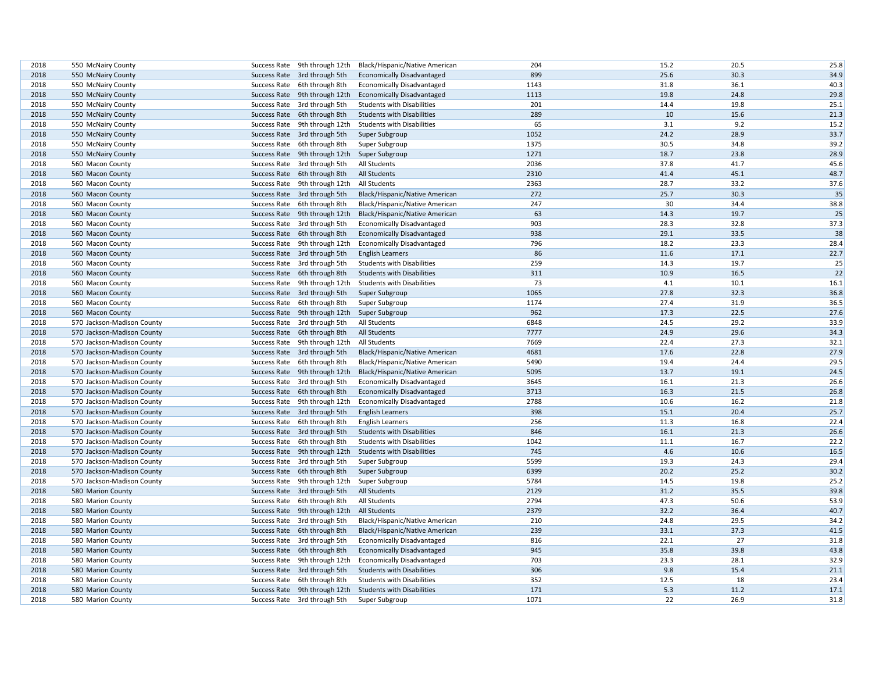| 2018 | 550 McNairy County         | Success Rate 9th through 12th | Black/Hispanic/Native American                           | 204  | 15.2 | 20.5 | 25.8 |
|------|----------------------------|-------------------------------|----------------------------------------------------------|------|------|------|------|
| 2018 | 550 McNairy County         | Success Rate 3rd through 5th  | <b>Economically Disadvantaged</b>                        | 899  | 25.6 | 30.3 | 34.9 |
| 2018 | 550 McNairy County         | Success Rate 6th through 8th  | <b>Economically Disadvantaged</b>                        | 1143 | 31.8 | 36.1 | 40.3 |
| 2018 | 550 McNairy County         | Success Rate 9th through 12th | <b>Economically Disadvantaged</b>                        | 1113 | 19.8 | 24.8 | 29.8 |
| 2018 | 550 McNairy County         | Success Rate 3rd through 5th  | <b>Students with Disabilities</b>                        | 201  | 14.4 | 19.8 | 25.1 |
| 2018 | 550 McNairy County         | Success Rate 6th through 8th  | <b>Students with Disabilities</b>                        | 289  | 10   | 15.6 | 21.3 |
| 2018 | 550 McNairy County         | Success Rate 9th through 12th | <b>Students with Disabilities</b>                        | 65   | 3.1  | 9.2  | 15.2 |
| 2018 | 550 McNairy County         | Success Rate 3rd through 5th  | Super Subgroup                                           | 1052 | 24.2 | 28.9 | 33.7 |
| 2018 | 550 McNairy County         | Success Rate 6th through 8th  | Super Subgroup                                           | 1375 | 30.5 | 34.8 | 39.2 |
| 2018 | 550 McNairy County         | Success Rate 9th through 12th | Super Subgroup                                           | 1271 | 18.7 | 23.8 | 28.9 |
| 2018 | 560 Macon County           | Success Rate 3rd through 5th  | All Students                                             | 2036 | 37.8 | 41.7 | 45.6 |
| 2018 | 560 Macon County           | Success Rate 6th through 8th  | <b>All Students</b>                                      | 2310 | 41.4 | 45.1 | 48.7 |
| 2018 | 560 Macon County           | Success Rate 9th through 12th | All Students                                             | 2363 | 28.7 | 33.2 | 37.6 |
| 2018 | 560 Macon County           | Success Rate 3rd through 5th  | Black/Hispanic/Native American                           | 272  | 25.7 | 30.3 | 35   |
| 2018 | 560 Macon County           | Success Rate 6th through 8th  | Black/Hispanic/Native American                           | 247  | 30   | 34.4 | 38.8 |
| 2018 | 560 Macon County           | Success Rate 9th through 12th | Black/Hispanic/Native American                           | 63   | 14.3 | 19.7 | 25   |
| 2018 | 560 Macon County           | Success Rate 3rd through 5th  | <b>Economically Disadvantaged</b>                        | 903  | 28.3 | 32.8 | 37.3 |
| 2018 | 560 Macon County           | Success Rate 6th through 8th  | <b>Economically Disadvantaged</b>                        | 938  | 29.1 | 33.5 | 38   |
| 2018 | 560 Macon County           | Success Rate 9th through 12th | <b>Economically Disadvantaged</b>                        | 796  | 18.2 | 23.3 | 28.4 |
| 2018 | 560 Macon County           | Success Rate 3rd through 5th  | <b>English Learners</b>                                  | 86   | 11.6 | 17.1 | 22.7 |
| 2018 | 560 Macon County           | Success Rate 3rd through 5th  | <b>Students with Disabilities</b>                        | 259  | 14.3 | 19.7 | 25   |
| 2018 | 560 Macon County           | Success Rate 6th through 8th  | <b>Students with Disabilities</b>                        | 311  | 10.9 | 16.5 | 22   |
| 2018 | 560 Macon County           | Success Rate 9th through 12th | <b>Students with Disabilities</b>                        | 73   | 4.1  | 10.1 | 16.1 |
| 2018 | 560 Macon County           | Success Rate 3rd through 5th  | Super Subgroup                                           | 1065 | 27.8 | 32.3 | 36.8 |
| 2018 | 560 Macon County           | Success Rate 6th through 8th  | Super Subgroup                                           | 1174 | 27.4 | 31.9 | 36.5 |
| 2018 | 560 Macon County           | Success Rate 9th through 12th | Super Subgroup                                           | 962  | 17.3 | 22.5 | 27.6 |
| 2018 | 570 Jackson-Madison County | Success Rate 3rd through 5th  | All Students                                             | 6848 | 24.5 | 29.2 | 33.9 |
| 2018 | 570 Jackson-Madison County | Success Rate 6th through 8th  | All Students                                             | 7777 | 24.9 | 29.6 | 34.3 |
| 2018 | 570 Jackson-Madison County | Success Rate 9th through 12th | All Students                                             | 7669 | 22.4 | 27.3 | 32.1 |
| 2018 | 570 Jackson-Madison County | Success Rate 3rd through 5th  | Black/Hispanic/Native American                           | 4681 | 17.6 | 22.8 | 27.9 |
| 2018 | 570 Jackson-Madison County | Success Rate 6th through 8th  | Black/Hispanic/Native American                           | 5490 | 19.4 | 24.4 | 29.5 |
| 2018 | 570 Jackson-Madison County | Success Rate 9th through 12th | Black/Hispanic/Native American                           | 5095 | 13.7 | 19.1 | 24.5 |
| 2018 | 570 Jackson-Madison County | Success Rate 3rd through 5th  | <b>Economically Disadvantaged</b>                        | 3645 | 16.1 | 21.3 | 26.6 |
| 2018 | 570 Jackson-Madison County | Success Rate 6th through 8th  | <b>Economically Disadvantaged</b>                        | 3713 | 16.3 | 21.5 | 26.8 |
| 2018 | 570 Jackson-Madison County | Success Rate 9th through 12th | <b>Economically Disadvantaged</b>                        | 2788 | 10.6 | 16.2 | 21.8 |
| 2018 | 570 Jackson-Madison County | Success Rate 3rd through 5th  | <b>English Learners</b>                                  | 398  | 15.1 | 20.4 | 25.7 |
| 2018 | 570 Jackson-Madison County | Success Rate 6th through 8th  | <b>English Learners</b>                                  | 256  | 11.3 | 16.8 | 22.4 |
| 2018 | 570 Jackson-Madison County | Success Rate 3rd through 5th  | <b>Students with Disabilities</b>                        | 846  | 16.1 | 21.3 | 26.6 |
| 2018 | 570 Jackson-Madison County | Success Rate 6th through 8th  | <b>Students with Disabilities</b>                        | 1042 | 11.1 | 16.7 | 22.2 |
| 2018 | 570 Jackson-Madison County | Success Rate 9th through 12th | <b>Students with Disabilities</b>                        | 745  | 4.6  | 10.6 | 16.5 |
| 2018 | 570 Jackson-Madison County | Success Rate 3rd through 5th  | Super Subgroup                                           | 5599 | 19.3 | 24.3 | 29.4 |
| 2018 | 570 Jackson-Madison County | Success Rate 6th through 8th  | Super Subgroup                                           | 6399 | 20.2 | 25.2 | 30.2 |
| 2018 | 570 Jackson-Madison County | Success Rate 9th through 12th | Super Subgroup                                           | 5784 | 14.5 | 19.8 | 25.2 |
| 2018 | 580 Marion County          | Success Rate 3rd through 5th  | <b>All Students</b>                                      | 2129 | 31.2 | 35.5 | 39.8 |
| 2018 | 580 Marion County          | Success Rate 6th through 8th  | All Students                                             | 2794 | 47.3 | 50.6 | 53.9 |
| 2018 | 580 Marion County          | Success Rate 9th through 12th | <b>All Students</b>                                      | 2379 | 32.2 | 36.4 | 40.7 |
| 2018 | 580 Marion County          | Success Rate 3rd through 5th  | Black/Hispanic/Native American                           | 210  | 24.8 | 29.5 | 34.2 |
| 2018 | 580 Marion County          | Success Rate 6th through 8th  | Black/Hispanic/Native American                           | 239  | 33.1 | 37.3 | 41.5 |
| 2018 | 580 Marion County          | Success Rate 3rd through 5th  | <b>Economically Disadvantaged</b>                        | 816  | 22.1 | 27   | 31.8 |
| 2018 | 580 Marion County          | Success Rate 6th through 8th  | <b>Economically Disadvantaged</b>                        | 945  | 35.8 | 39.8 | 43.8 |
| 2018 | 580 Marion County          | Success Rate 9th through 12th | <b>Economically Disadvantaged</b>                        | 703  | 23.3 | 28.1 | 32.9 |
| 2018 | 580 Marion County          | Success Rate 3rd through 5th  | <b>Students with Disabilities</b>                        | 306  | 9.8  | 15.4 | 21.1 |
| 2018 | 580 Marion County          | Success Rate 6th through 8th  | <b>Students with Disabilities</b>                        | 352  | 12.5 | 18   | 23.4 |
| 2018 | 580 Marion County          |                               | Success Rate 9th through 12th Students with Disabilities | 171  | 5.3  | 11.2 | 17.1 |
| 2018 | 580 Marion County          | Success Rate 3rd through 5th  | Super Subgroup                                           | 1071 | 22   | 26.9 | 31.8 |
|      |                            |                               |                                                          |      |      |      |      |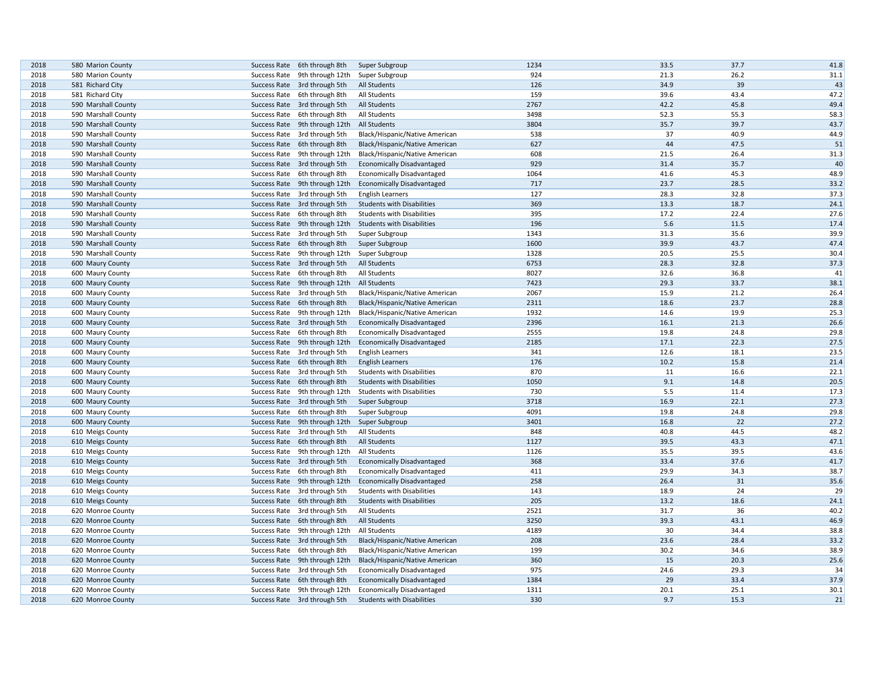| 2018 | 580 Marion County   |              | Success Rate 6th through 8th                 | Super Subgroup                    | 1234 | 33.5 | 37.7 | 41.8 |
|------|---------------------|--------------|----------------------------------------------|-----------------------------------|------|------|------|------|
| 2018 | 580 Marion County   |              | Success Rate 9th through 12th                | Super Subgroup                    | 924  | 21.3 | 26.2 | 31.1 |
| 2018 | 581 Richard City    |              | Success Rate 3rd through 5th                 | <b>All Students</b>               | 126  | 34.9 | 39   | 43   |
| 2018 | 581 Richard City    |              | Success Rate 6th through 8th                 | All Students                      | 159  | 39.6 | 43.4 | 47.2 |
| 2018 | 590 Marshall County |              | Success Rate 3rd through 5th                 | All Students                      | 2767 | 42.2 | 45.8 | 49.4 |
| 2018 | 590 Marshall County |              | Success Rate 6th through 8th                 | All Students                      | 3498 | 52.3 | 55.3 | 58.3 |
| 2018 | 590 Marshall County |              | Success Rate 9th through 12th                | <b>All Students</b>               | 3804 | 35.7 | 39.7 | 43.7 |
| 2018 | 590 Marshall County |              | Success Rate 3rd through 5th                 | Black/Hispanic/Native American    | 538  | 37   | 40.9 | 44.9 |
| 2018 | 590 Marshall County |              | Success Rate 6th through 8th                 | Black/Hispanic/Native American    | 627  | 44   | 47.5 | 51   |
| 2018 | 590 Marshall County |              | Success Rate 9th through 12th                | Black/Hispanic/Native American    | 608  | 21.5 | 26.4 | 31.3 |
| 2018 | 590 Marshall County |              | Success Rate 3rd through 5th                 | <b>Economically Disadvantaged</b> | 929  | 31.4 | 35.7 | 40   |
| 2018 | 590 Marshall County |              | Success Rate 6th through 8th                 | <b>Economically Disadvantaged</b> | 1064 | 41.6 | 45.3 | 48.9 |
| 2018 | 590 Marshall County |              | Success Rate 9th through 12th                | <b>Economically Disadvantaged</b> | 717  | 23.7 | 28.5 | 33.2 |
| 2018 | 590 Marshall County |              | Success Rate 3rd through 5th                 | <b>English Learners</b>           | 127  | 28.3 | 32.8 | 37.3 |
| 2018 | 590 Marshall County |              | Success Rate 3rd through 5th                 | <b>Students with Disabilities</b> | 369  | 13.3 | 18.7 | 24.1 |
| 2018 | 590 Marshall County |              | Success Rate 6th through 8th                 | <b>Students with Disabilities</b> | 395  | 17.2 | 22.4 | 27.6 |
| 2018 | 590 Marshall County |              | Success Rate 9th through 12th                | <b>Students with Disabilities</b> | 196  | 5.6  | 11.5 | 17.4 |
| 2018 | 590 Marshall County |              | Success Rate 3rd through 5th                 | Super Subgroup                    | 1343 | 31.3 | 35.6 | 39.9 |
| 2018 | 590 Marshall County |              | Success Rate 6th through 8th                 | Super Subgroup                    | 1600 | 39.9 | 43.7 | 47.4 |
| 2018 | 590 Marshall County |              | Success Rate 9th through 12th                | Super Subgroup                    | 1328 | 20.5 | 25.5 | 30.4 |
| 2018 | 600 Maury County    |              | Success Rate 3rd through 5th                 | <b>All Students</b>               | 6753 | 28.3 | 32.8 | 37.3 |
| 2018 | 600 Maury County    |              | Success Rate 6th through 8th                 | All Students                      | 8027 | 32.6 | 36.8 | 41   |
| 2018 | 600 Maury County    |              | Success Rate 9th through 12th                | <b>All Students</b>               | 7423 | 29.3 | 33.7 | 38.1 |
| 2018 | 600 Maury County    |              | Success Rate 3rd through 5th                 | Black/Hispanic/Native American    | 2067 | 15.9 | 21.2 | 26.4 |
| 2018 | 600 Maury County    |              | Success Rate 6th through 8th                 | Black/Hispanic/Native American    | 2311 | 18.6 | 23.7 | 28.8 |
| 2018 | 600 Maury County    |              | Success Rate 9th through 12th                | Black/Hispanic/Native American    | 1932 | 14.6 | 19.9 | 25.3 |
| 2018 | 600 Maury County    |              | Success Rate 3rd through 5th                 | <b>Economically Disadvantaged</b> | 2396 | 16.1 | 21.3 | 26.6 |
| 2018 | 600 Maury County    |              | Success Rate 6th through 8th                 | <b>Economically Disadvantaged</b> | 2555 | 19.8 | 24.8 | 29.8 |
| 2018 | 600 Maury County    |              | Success Rate 9th through 12th                | <b>Economically Disadvantaged</b> | 2185 | 17.1 | 22.3 | 27.5 |
| 2018 | 600 Maury County    |              | Success Rate 3rd through 5th                 | <b>English Learners</b>           | 341  | 12.6 | 18.1 | 23.5 |
| 2018 | 600 Maury County    |              | Success Rate 6th through 8th                 | <b>English Learners</b>           | 176  | 10.2 | 15.8 | 21.4 |
| 2018 | 600 Maury County    |              | Success Rate 3rd through 5th                 | <b>Students with Disabilities</b> | 870  | 11   | 16.6 | 22.1 |
| 2018 | 600 Maury County    |              | Success Rate 6th through 8th                 | <b>Students with Disabilities</b> | 1050 | 9.1  | 14.8 | 20.5 |
| 2018 | 600 Maury County    |              | Success Rate 9th through 12th                | <b>Students with Disabilities</b> | 730  | 5.5  | 11.4 | 17.3 |
| 2018 | 600 Maury County    |              | Success Rate 3rd through 5th                 | Super Subgroup                    | 3718 | 16.9 | 22.1 | 27.3 |
| 2018 | 600 Maury County    |              | Success Rate 6th through 8th                 | Super Subgroup                    | 4091 | 19.8 | 24.8 | 29.8 |
| 2018 | 600 Maury County    |              | Success Rate 9th through 12th Super Subgroup |                                   | 3401 | 16.8 | 22   | 27.2 |
| 2018 | 610 Meigs County    |              | Success Rate 3rd through 5th                 | All Students                      | 848  | 40.8 | 44.5 | 48.2 |
| 2018 | 610 Meigs County    |              | Success Rate 6th through 8th                 | All Students                      | 1127 | 39.5 | 43.3 | 47.1 |
| 2018 | 610 Meigs County    |              | Success Rate 9th through 12th                | All Students                      | 1126 | 35.5 | 39.5 | 43.6 |
| 2018 | 610 Meigs County    |              | Success Rate 3rd through 5th                 | <b>Economically Disadvantaged</b> | 368  | 33.4 | 37.6 | 41.7 |
| 2018 | 610 Meigs County    |              | Success Rate 6th through 8th                 | <b>Economically Disadvantaged</b> | 411  | 29.9 | 34.3 | 38.7 |
| 2018 | 610 Meigs County    |              | Success Rate 9th through 12th                | <b>Economically Disadvantaged</b> | 258  | 26.4 | 31   | 35.6 |
| 2018 | 610 Meigs County    |              | Success Rate 3rd through 5th                 | <b>Students with Disabilities</b> | 143  | 18.9 | 24   | 29   |
| 2018 | 610 Meigs County    |              | Success Rate 6th through 8th                 | <b>Students with Disabilities</b> | 205  | 13.2 | 18.6 | 24.1 |
| 2018 | 620 Monroe County   |              | Success Rate 3rd through 5th                 | All Students                      | 2521 | 31.7 | 36   | 40.2 |
| 2018 | 620 Monroe County   |              | Success Rate 6th through 8th                 | <b>All Students</b>               | 3250 | 39.3 | 43.1 | 46.9 |
| 2018 | 620 Monroe County   |              | Success Rate 9th through 12th                | All Students                      | 4189 | 30   | 34.4 | 38.8 |
| 2018 | 620 Monroe County   |              | Success Rate 3rd through 5th                 | Black/Hispanic/Native American    | 208  | 23.6 | 28.4 | 33.2 |
| 2018 | 620 Monroe County   | Success Rate | 6th through 8th                              | Black/Hispanic/Native American    | 199  | 30.2 | 34.6 | 38.9 |
| 2018 | 620 Monroe County   |              | Success Rate 9th through 12th                | Black/Hispanic/Native American    | 360  | 15   | 20.3 | 25.6 |
| 2018 | 620 Monroe County   |              | Success Rate 3rd through 5th                 | <b>Economically Disadvantaged</b> | 975  | 24.6 | 29.3 | 34   |
| 2018 | 620 Monroe County   |              | Success Rate 6th through 8th                 | <b>Economically Disadvantaged</b> | 1384 | 29   | 33.4 | 37.9 |
| 2018 | 620 Monroe County   |              | Success Rate 9th through 12th                | <b>Economically Disadvantaged</b> | 1311 | 20.1 | 25.1 | 30.1 |
| 2018 | 620 Monroe County   |              | Success Rate 3rd through 5th                 | <b>Students with Disabilities</b> | 330  | 9.7  | 15.3 | 21   |
|      |                     |              |                                              |                                   |      |      |      |      |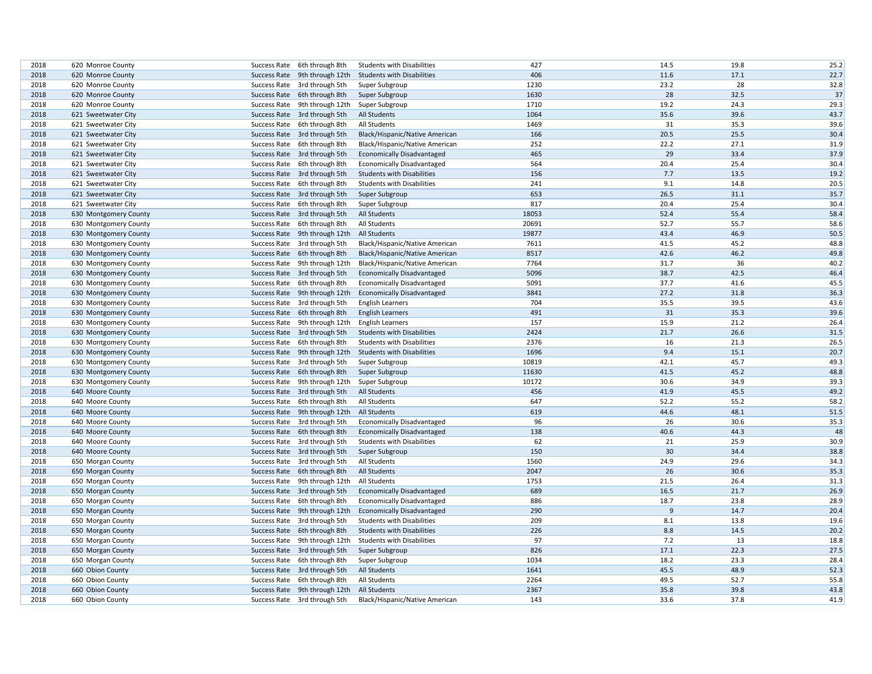| 2018         | 620 Monroe County     |              | Success Rate 6th through 8th  | <b>Students with Disabilities</b> | 427   | 14.5 | 19.8 | 25.2 |
|--------------|-----------------------|--------------|-------------------------------|-----------------------------------|-------|------|------|------|
| 2018         | 620 Monroe County     |              | Success Rate 9th through 12th | <b>Students with Disabilities</b> | 406   | 11.6 | 17.1 | 22.7 |
| 2018         | 620 Monroe County     |              | Success Rate 3rd through 5th  | Super Subgroup                    | 1230  | 23.2 | 28   | 32.8 |
| 2018         | 620 Monroe County     |              | Success Rate 6th through 8th  | Super Subgroup                    | 1630  | 28   | 32.5 | 37   |
| 2018         | 620 Monroe County     |              | Success Rate 9th through 12th | Super Subgroup                    | 1710  | 19.2 | 24.3 | 29.3 |
| 2018         | 621 Sweetwater City   |              | Success Rate 3rd through 5th  | <b>All Students</b>               | 1064  | 35.6 | 39.6 | 43.7 |
| 2018         | 621 Sweetwater City   |              | Success Rate 6th through 8th  | All Students                      | 1469  | 31   | 35.3 | 39.6 |
| 2018         | 621 Sweetwater City   |              | Success Rate 3rd through 5th  | Black/Hispanic/Native American    | 166   | 20.5 | 25.5 | 30.4 |
| 2018         | 621 Sweetwater City   |              | Success Rate 6th through 8th  | Black/Hispanic/Native American    | 252   | 22.2 | 27.1 | 31.9 |
| 2018         | 621 Sweetwater City   |              | Success Rate 3rd through 5th  | <b>Economically Disadvantaged</b> | 465   | 29   | 33.4 | 37.9 |
| 2018         | 621 Sweetwater City   |              | Success Rate 6th through 8th  | Economically Disadvantaged        | 564   | 20.4 | 25.4 | 30.4 |
| 2018         | 621 Sweetwater City   |              | Success Rate 3rd through 5th  | <b>Students with Disabilities</b> | 156   | 7.7  | 13.5 | 19.2 |
| 2018         | 621 Sweetwater City   |              | Success Rate 6th through 8th  | <b>Students with Disabilities</b> | 241   | 9.1  | 14.8 | 20.5 |
| 2018         |                       |              |                               |                                   | 653   | 26.5 | 31.1 | 35.7 |
|              | 621 Sweetwater City   |              | Success Rate 3rd through 5th  | Super Subgroup                    |       |      |      |      |
| 2018         | 621 Sweetwater City   |              | Success Rate 6th through 8th  | Super Subgroup                    | 817   | 20.4 | 25.4 | 30.4 |
| 2018         | 630 Montgomery County |              | Success Rate 3rd through 5th  | All Students                      | 18053 | 52.4 | 55.4 | 58.4 |
| 2018         | 630 Montgomery County |              | Success Rate 6th through 8th  | All Students                      | 20691 | 52.7 | 55.7 | 58.6 |
| 2018         | 630 Montgomery County |              | Success Rate 9th through 12th | <b>All Students</b>               | 19877 | 43.4 | 46.9 | 50.5 |
| 2018         | 630 Montgomery County |              | Success Rate 3rd through 5th  | Black/Hispanic/Native American    | 7611  | 41.5 | 45.2 | 48.8 |
| 2018         | 630 Montgomery County |              | Success Rate 6th through 8th  | Black/Hispanic/Native American    | 8517  | 42.6 | 46.2 | 49.8 |
| 2018         | 630 Montgomery County |              | Success Rate 9th through 12th | Black/Hispanic/Native American    | 7764  | 31.7 | 36   | 40.2 |
| 2018         | 630 Montgomery County |              | Success Rate 3rd through 5th  | <b>Economically Disadvantaged</b> | 5096  | 38.7 | 42.5 | 46.4 |
| 2018         | 630 Montgomery County |              | Success Rate 6th through 8th  | <b>Economically Disadvantaged</b> | 5091  | 37.7 | 41.6 | 45.5 |
| 2018         | 630 Montgomery County |              | Success Rate 9th through 12th | <b>Economically Disadvantaged</b> | 3841  | 27.2 | 31.8 | 36.3 |
| 2018         | 630 Montgomery County |              | Success Rate 3rd through 5th  | <b>English Learners</b>           | 704   | 35.5 | 39.5 | 43.6 |
| 2018         | 630 Montgomery County |              | Success Rate 6th through 8th  | <b>English Learners</b>           | 491   | 31   | 35.3 | 39.6 |
| 2018         | 630 Montgomery County |              | Success Rate 9th through 12th | <b>English Learners</b>           | 157   | 15.9 | 21.2 | 26.4 |
| 2018         | 630 Montgomery County |              | Success Rate 3rd through 5th  | <b>Students with Disabilities</b> | 2424  | 21.7 | 26.6 | 31.5 |
| 2018         | 630 Montgomery County |              | Success Rate 6th through 8th  | <b>Students with Disabilities</b> | 2376  | 16   | 21.3 | 26.5 |
| 2018         | 630 Montgomery County |              | Success Rate 9th through 12th | <b>Students with Disabilities</b> | 1696  | 9.4  | 15.1 | 20.7 |
| 2018         | 630 Montgomery County |              | Success Rate 3rd through 5th  | Super Subgroup                    | 10819 | 42.1 | 45.7 | 49.3 |
| 2018         | 630 Montgomery County |              | Success Rate 6th through 8th  | Super Subgroup                    | 11630 | 41.5 | 45.2 | 48.8 |
| 2018         | 630 Montgomery County | Success Rate | 9th through 12th              | Super Subgroup                    | 10172 | 30.6 | 34.9 | 39.3 |
| 2018         | 640 Moore County      |              | Success Rate 3rd through 5th  | <b>All Students</b>               | 456   | 41.9 | 45.5 | 49.2 |
| 2018         | 640 Moore County      |              | Success Rate 6th through 8th  | All Students                      | 647   | 52.2 | 55.2 | 58.2 |
| 2018         | 640 Moore County      |              | Success Rate 9th through 12th | All Students                      | 619   | 44.6 | 48.1 | 51.5 |
| 2018         | 640 Moore County      |              | Success Rate 3rd through 5th  | <b>Economically Disadvantaged</b> | 96    | 26   | 30.6 | 35.3 |
| 2018         | 640 Moore County      |              | Success Rate 6th through 8th  | <b>Economically Disadvantaged</b> | 138   | 40.6 | 44.3 | 48   |
| 2018         | 640 Moore County      | Success Rate | 3rd through 5th               | <b>Students with Disabilities</b> | 62    | 21   | 25.9 | 30.9 |
|              |                       |              |                               |                                   | 150   | 30   | 34.4 | 38.8 |
| 2018<br>2018 | 640 Moore County      |              | Success Rate 3rd through 5th  | Super Subgroup                    | 1560  |      |      |      |
|              | 650 Morgan County     |              | Success Rate 3rd through 5th  | All Students                      |       | 24.9 | 29.6 | 34.3 |
| 2018         | 650 Morgan County     |              | Success Rate 6th through 8th  | All Students                      | 2047  | 26   | 30.6 | 35.3 |
| 2018         | 650 Morgan County     |              | Success Rate 9th through 12th | All Students                      | 1753  | 21.5 | 26.4 | 31.3 |
| 2018         | 650 Morgan County     |              | Success Rate 3rd through 5th  | <b>Economically Disadvantaged</b> | 689   | 16.5 | 21.7 | 26.9 |
| 2018         | 650 Morgan County     |              | Success Rate 6th through 8th  | <b>Economically Disadvantaged</b> | 886   | 18.7 | 23.8 | 28.9 |
| 2018         | 650 Morgan County     |              | Success Rate 9th through 12th | <b>Economically Disadvantaged</b> | 290   | 9    | 14.7 | 20.4 |
| 2018         | 650 Morgan County     |              | Success Rate 3rd through 5th  | <b>Students with Disabilities</b> | 209   | 8.1  | 13.8 | 19.6 |
| 2018         | 650 Morgan County     |              | Success Rate 6th through 8th  | <b>Students with Disabilities</b> | 226   | 8.8  | 14.5 | 20.2 |
| 2018         | 650 Morgan County     | Success Rate | 9th through 12th              | <b>Students with Disabilities</b> | 97    | 7.2  | 13   | 18.8 |
| 2018         | 650 Morgan County     |              | Success Rate 3rd through 5th  | Super Subgroup                    | 826   | 17.1 | 22.3 | 27.5 |
| 2018         | 650 Morgan County     |              | Success Rate 6th through 8th  | Super Subgroup                    | 1034  | 18.2 | 23.3 | 28.4 |
| 2018         | 660 Obion County      |              | Success Rate 3rd through 5th  | All Students                      | 1641  | 45.5 | 48.9 | 52.3 |
| 2018         | 660 Obion County      | Success Rate | 6th through 8th               | All Students                      | 2264  | 49.5 | 52.7 | 55.8 |
| 2018         | 660 Obion County      |              | Success Rate 9th through 12th | All Students                      | 2367  | 35.8 | 39.8 | 43.8 |
| 2018         | 660 Obion County      |              | Success Rate 3rd through 5th  | Black/Hispanic/Native American    | 143   | 33.6 | 37.8 | 41.9 |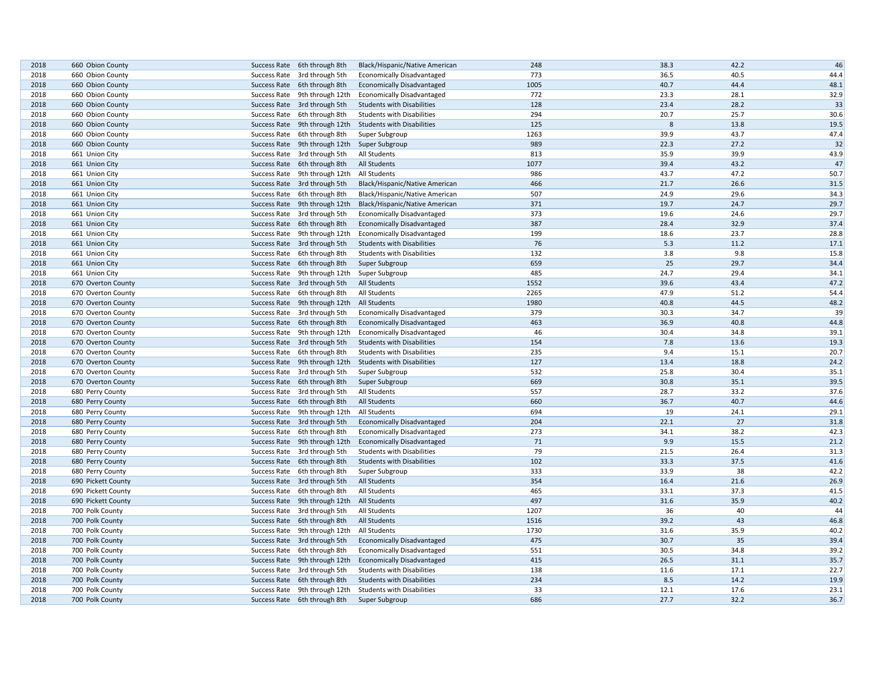| 2018 | 660 Obion County   | Success Rate 6th through 8th  |                                              | Black/Hispanic/Native American    | 248  | 38.3 | 42.2 | 46   |
|------|--------------------|-------------------------------|----------------------------------------------|-----------------------------------|------|------|------|------|
| 2018 | 660 Obion County   | Success Rate 3rd through 5th  |                                              | <b>Economically Disadvantaged</b> | 773  | 36.5 | 40.5 | 44.4 |
| 2018 | 660 Obion County   | Success Rate 6th through 8th  |                                              | <b>Economically Disadvantaged</b> | 1005 | 40.7 | 44.4 | 48.1 |
| 2018 | 660 Obion County   | Success Rate 9th through 12th |                                              | <b>Economically Disadvantaged</b> | 772  | 23.3 | 28.1 | 32.9 |
| 2018 | 660 Obion County   | Success Rate 3rd through 5th  |                                              | <b>Students with Disabilities</b> | 128  | 23.4 | 28.2 | 33   |
| 2018 | 660 Obion County   | Success Rate 6th through 8th  |                                              | <b>Students with Disabilities</b> | 294  | 20.7 | 25.7 | 30.6 |
| 2018 | 660 Obion County   |                               | Success Rate 9th through 12th                | <b>Students with Disabilities</b> | 125  | 8    | 13.8 | 19.5 |
| 2018 | 660 Obion County   | Success Rate 6th through 8th  |                                              | Super Subgroup                    | 1263 | 39.9 | 43.7 | 47.4 |
| 2018 | 660 Obion County   |                               | Success Rate 9th through 12th Super Subgroup |                                   | 989  | 22.3 | 27.2 | 32   |
| 2018 | 661 Union City     | Success Rate 3rd through 5th  |                                              | All Students                      | 813  | 35.9 | 39.9 | 43.9 |
| 2018 | 661 Union City     | Success Rate 6th through 8th  |                                              | <b>All Students</b>               | 1077 | 39.4 | 43.2 | 47   |
| 2018 | 661 Union City     |                               | Success Rate 9th through 12th                | All Students                      | 986  | 43.7 | 47.2 | 50.7 |
| 2018 | 661 Union City     | Success Rate 3rd through 5th  |                                              | Black/Hispanic/Native American    | 466  | 21.7 | 26.6 | 31.5 |
| 2018 | 661 Union City     | Success Rate 6th through 8th  |                                              | Black/Hispanic/Native American    | 507  | 24.9 | 29.6 | 34.3 |
| 2018 | 661 Union City     |                               | Success Rate 9th through 12th                | Black/Hispanic/Native American    | 371  | 19.7 | 24.7 | 29.7 |
| 2018 | 661 Union City     | Success Rate 3rd through 5th  |                                              | <b>Economically Disadvantaged</b> | 373  | 19.6 | 24.6 | 29.7 |
| 2018 | 661 Union City     | Success Rate 6th through 8th  |                                              | <b>Economically Disadvantaged</b> | 387  | 28.4 | 32.9 | 37.4 |
| 2018 | 661 Union City     | Success Rate 9th through 12th |                                              | <b>Economically Disadvantaged</b> | 199  | 18.6 | 23.7 | 28.8 |
| 2018 | 661 Union City     | Success Rate 3rd through 5th  |                                              | <b>Students with Disabilities</b> | 76   | 5.3  | 11.2 | 17.1 |
| 2018 | 661 Union City     | Success Rate 6th through 8th  |                                              | <b>Students with Disabilities</b> | 132  | 3.8  | 9.8  | 15.8 |
| 2018 | 661 Union City     | Success Rate 6th through 8th  |                                              | Super Subgroup                    | 659  | 25   | 29.7 | 34.4 |
| 2018 | 661 Union City     |                               | Success Rate 9th through 12th                | Super Subgroup                    | 485  | 24.7 | 29.4 | 34.1 |
| 2018 | 670 Overton County | Success Rate 3rd through 5th  |                                              | All Students                      | 1552 | 39.6 | 43.4 | 47.2 |
| 2018 | 670 Overton County | Success Rate 6th through 8th  |                                              | All Students                      | 2265 | 47.9 | 51.2 | 54.4 |
| 2018 | 670 Overton County | Success Rate 9th through 12th |                                              | <b>All Students</b>               | 1980 | 40.8 | 44.5 | 48.2 |
| 2018 | 670 Overton County | Success Rate 3rd through 5th  |                                              | <b>Economically Disadvantaged</b> | 379  | 30.3 | 34.7 | 39   |
| 2018 | 670 Overton County | Success Rate 6th through 8th  |                                              | <b>Economically Disadvantaged</b> | 463  | 36.9 | 40.8 | 44.8 |
| 2018 | 670 Overton County |                               | Success Rate 9th through 12th                | Economically Disadvantaged        | 46   | 30.4 | 34.8 | 39.1 |
| 2018 | 670 Overton County | Success Rate 3rd through 5th  |                                              | <b>Students with Disabilities</b> | 154  | 7.8  | 13.6 | 19.3 |
| 2018 | 670 Overton County | Success Rate 6th through 8th  |                                              | <b>Students with Disabilities</b> | 235  | 9.4  | 15.1 | 20.7 |
| 2018 | 670 Overton County |                               | Success Rate 9th through 12th                | <b>Students with Disabilities</b> | 127  | 13.4 | 18.8 | 24.2 |
| 2018 | 670 Overton County | Success Rate 3rd through 5th  |                                              | Super Subgroup                    | 532  | 25.8 | 30.4 | 35.1 |
| 2018 | 670 Overton County | Success Rate 6th through 8th  |                                              | Super Subgroup                    | 669  | 30.8 | 35.1 | 39.5 |
| 2018 | 680 Perry County   | Success Rate 3rd through 5th  |                                              | All Students                      | 557  | 28.7 | 33.2 | 37.6 |
| 2018 | 680 Perry County   | Success Rate 6th through 8th  |                                              | <b>All Students</b>               | 660  | 36.7 | 40.7 | 44.6 |
| 2018 | 680 Perry County   | Success Rate 9th through 12th |                                              | All Students                      | 694  | 19   | 24.1 | 29.1 |
| 2018 | 680 Perry County   | Success Rate 3rd through 5th  |                                              | <b>Economically Disadvantaged</b> | 204  | 22.1 | 27   | 31.8 |
| 2018 | 680 Perry County   | Success Rate 6th through 8th  |                                              | <b>Economically Disadvantaged</b> | 273  | 34.1 | 38.2 | 42.3 |
| 2018 | 680 Perry County   |                               | Success Rate 9th through 12th                | Economically Disadvantaged        | 71   | 9.9  | 15.5 | 21.2 |
| 2018 | 680 Perry County   | Success Rate 3rd through 5th  |                                              | <b>Students with Disabilities</b> | 79   | 21.5 | 26.4 | 31.3 |
| 2018 | 680 Perry County   | Success Rate 6th through 8th  |                                              | <b>Students with Disabilities</b> | 102  | 33.3 | 37.5 | 41.6 |
| 2018 | 680 Perry County   | Success Rate 6th through 8th  |                                              | Super Subgroup                    | 333  | 33.9 | 38   | 42.2 |
| 2018 | 690 Pickett County | Success Rate 3rd through 5th  |                                              | <b>All Students</b>               | 354  | 16.4 | 21.6 | 26.9 |
| 2018 | 690 Pickett County | Success Rate 6th through 8th  |                                              | All Students                      | 465  | 33.1 | 37.3 | 41.5 |
| 2018 | 690 Pickett County |                               | Success Rate 9th through 12th                | <b>All Students</b>               | 497  | 31.6 | 35.9 | 40.2 |
| 2018 | 700 Polk County    | Success Rate 3rd through 5th  |                                              | <b>All Students</b>               | 1207 | 36   | 40   | 44   |
| 2018 | 700 Polk County    | Success Rate 6th through 8th  |                                              | <b>All Students</b>               | 1516 | 39.2 | 43   | 46.8 |
| 2018 | 700 Polk County    |                               | Success Rate 9th through 12th                | All Students                      | 1730 | 31.6 | 35.9 | 40.2 |
| 2018 | 700 Polk County    | Success Rate 3rd through 5th  |                                              | <b>Economically Disadvantaged</b> | 475  | 30.7 | 35   | 39.4 |
| 2018 | 700 Polk County    | Success Rate 6th through 8th  |                                              | <b>Economically Disadvantaged</b> | 551  | 30.5 | 34.8 | 39.2 |
| 2018 | 700 Polk County    |                               | Success Rate 9th through 12th                | <b>Economically Disadvantaged</b> | 415  | 26.5 | 31.1 | 35.7 |
| 2018 | 700 Polk County    | Success Rate 3rd through 5th  |                                              | <b>Students with Disabilities</b> | 138  | 11.6 | 17.1 | 22.7 |
| 2018 | 700 Polk County    | Success Rate 6th through 8th  |                                              | <b>Students with Disabilities</b> | 234  | 8.5  | 14.2 | 19.9 |
| 2018 | 700 Polk County    |                               | Success Rate 9th through 12th                | <b>Students with Disabilities</b> | 33   | 12.1 | 17.6 | 23.1 |
| 2018 | 700 Polk County    | Success Rate 6th through 8th  |                                              | Super Subgroup                    | 686  | 27.7 | 32.2 | 36.7 |
|      |                    |                               |                                              |                                   |      |      |      |      |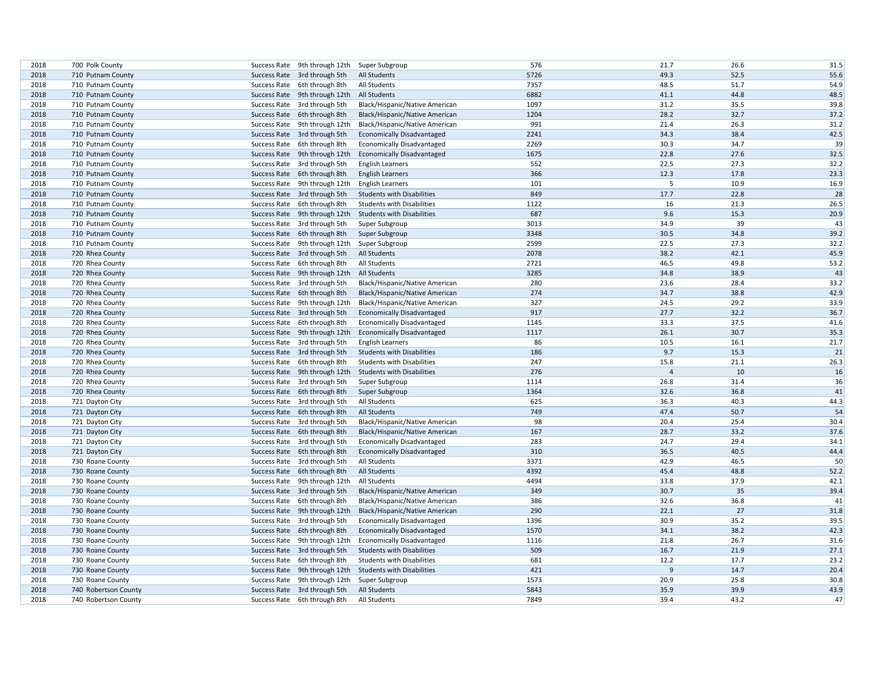| 2018         | 700 Polk County      | Success Rate 9th through 12th Super Subgroup                 |                                   | 576          | 21.7           | 26.6         | 31.5 |
|--------------|----------------------|--------------------------------------------------------------|-----------------------------------|--------------|----------------|--------------|------|
| 2018         | 710 Putnam County    | Success Rate 3rd through 5th                                 | <b>All Students</b>               | 5726         | 49.3           | 52.5         | 55.6 |
| 2018         | 710 Putnam County    | Success Rate 6th through 8th                                 | All Students                      | 7357         | 48.5           | 51.7         | 54.9 |
| 2018         | 710 Putnam County    | Success Rate 9th through 12th                                | All Students                      | 6882         | 41.1           | 44.8         | 48.5 |
| 2018         | 710 Putnam County    | Success Rate 3rd through 5th                                 | Black/Hispanic/Native American    | 1097         | 31.2           | 35.5         | 39.8 |
| 2018         | 710 Putnam County    | Success Rate 6th through 8th                                 | Black/Hispanic/Native American    | 1204         | 28.2           | 32.7         | 37.2 |
| 2018         | 710 Putnam County    | Success Rate 9th through 12th                                | Black/Hispanic/Native American    | 991          | 21.4           | 26.3         | 31.2 |
| 2018         | 710 Putnam County    | Success Rate 3rd through 5th                                 | <b>Economically Disadvantaged</b> | 2241         | 34.3           | 38.4         | 42.5 |
| 2018         | 710 Putnam County    | Success Rate 6th through 8th                                 | <b>Economically Disadvantaged</b> | 2269         | 30.3           | 34.7         | 39   |
| 2018         | 710 Putnam County    | Success Rate 9th through 12th                                | <b>Economically Disadvantaged</b> | 1675         | 22.8           | 27.6         | 32.5 |
| 2018         | 710 Putnam County    | Success Rate 3rd through 5th                                 | <b>English Learners</b>           | 552          | 22.5           | 27.3         | 32.2 |
| 2018         | 710 Putnam County    | Success Rate 6th through 8th                                 | <b>English Learners</b>           | 366          | 12.3           | 17.8         | 23.3 |
| 2018         | 710 Putnam County    | Success Rate 9th through 12th                                | <b>English Learners</b>           | 101          | 5              | 10.9         | 16.9 |
| 2018         | 710 Putnam County    | Success Rate 3rd through 5th                                 | <b>Students with Disabilities</b> | 849          | 17.7           | 22.8         | 28   |
| 2018         | 710 Putnam County    | Success Rate 6th through 8th                                 | <b>Students with Disabilities</b> | 1122         | 16             | 21.3         | 26.5 |
| 2018         | 710 Putnam County    | Success Rate 9th through 12th                                | <b>Students with Disabilities</b> | 687          | 9.6            | 15.3         | 20.9 |
| 2018         | 710 Putnam County    | Success Rate 3rd through 5th                                 | Super Subgroup                    | 3013         | 34.9           | 39           | 43   |
| 2018         | 710 Putnam County    | Success Rate 6th through 8th                                 | Super Subgroup                    | 3348         | 30.5           | 34.8         | 39.2 |
| 2018         | 710 Putnam County    | Success Rate 9th through 12th                                | Super Subgroup                    | 2599         | 22.5           | 27.3         | 32.2 |
| 2018         | 720 Rhea County      | Success Rate 3rd through 5th                                 | All Students                      | 2078         | 38.2           | 42.1         | 45.9 |
| 2018         | 720 Rhea County      | Success Rate 6th through 8th                                 | All Students                      | 2721         | 46.5           | 49.8         | 53.2 |
| 2018         | 720 Rhea County      | Success Rate 9th through 12th                                | All Students                      | 3285         | 34.8           | 38.9         | 43   |
| 2018         | 720 Rhea County      | Success Rate 3rd through 5th                                 | Black/Hispanic/Native American    | 280          | 23.6           | 28.4         | 33.2 |
| 2018         | 720 Rhea County      | Success Rate 6th through 8th                                 | Black/Hispanic/Native American    | 274          | 34.7           | 38.8         | 42.9 |
| 2018         | 720 Rhea County      | Success Rate 9th through 12th                                | Black/Hispanic/Native American    | 327          | 24.5           | 29.2         | 33.9 |
| 2018         | 720 Rhea County      | Success Rate 3rd through 5th                                 | <b>Economically Disadvantaged</b> | 917          | 27.7           | 32.2         | 36.7 |
| 2018         | 720 Rhea County      | Success Rate 6th through 8th                                 | <b>Economically Disadvantaged</b> | 1145         | 33.3           | 37.5         | 41.6 |
| 2018         | 720 Rhea County      | Success Rate 9th through 12th                                | <b>Economically Disadvantaged</b> | 1117         | 26.1           | 30.7         | 35.3 |
| 2018         | 720 Rhea County      | Success Rate 3rd through 5th                                 | <b>English Learners</b>           | 86           | 10.5           | 16.1         | 21.7 |
| 2018         | 720 Rhea County      | Success Rate 3rd through 5th                                 | <b>Students with Disabilities</b> | 186          | 9.7            | 15.3         | 21   |
| 2018         | 720 Rhea County      | Success Rate 6th through 8th                                 | <b>Students with Disabilities</b> | 247          | 15.8           | 21.1         | 26.3 |
| 2018         | 720 Rhea County      | Success Rate 9th through 12th                                |                                   | 276          | $\overline{4}$ | 10           | 16   |
|              |                      |                                                              | <b>Students with Disabilities</b> |              |                | 31.4         | 36   |
| 2018<br>2018 | 720 Rhea County      | Success Rate 3rd through 5th<br>Success Rate 6th through 8th | Super Subgroup                    | 1114<br>1364 | 26.8<br>32.6   | 36.8         | 41   |
|              | 720 Rhea County      |                                                              | Super Subgroup                    |              |                |              |      |
| 2018<br>2018 | 721 Dayton City      | Success Rate 3rd through 5th                                 | All Students                      | 625<br>749   | 36.3<br>47.4   | 40.3<br>50.7 | 44.3 |
|              | 721 Dayton City      | Success Rate 6th through 8th                                 | <b>All Students</b>               |              |                |              | 54   |
| 2018         | 721 Dayton City      | Success Rate 3rd through 5th                                 | Black/Hispanic/Native American    | 98           | 20.4           | 25.4         | 30.4 |
| 2018         | 721 Dayton City      | Success Rate 6th through 8th                                 | Black/Hispanic/Native American    | 167          | 28.7           | 33.2         | 37.6 |
| 2018         | 721 Dayton City      | Success Rate 3rd through 5th                                 | <b>Economically Disadvantaged</b> | 283          | 24.7           | 29.4         | 34.1 |
| 2018         | 721 Dayton City      | Success Rate 6th through 8th                                 | <b>Economically Disadvantaged</b> | 310          | 36.5           | 40.5         | 44.4 |
| 2018         | 730 Roane County     | Success Rate 3rd through 5th                                 | All Students                      | 3371         | 42.9           | 46.5         | 50   |
| 2018         | 730 Roane County     | Success Rate 6th through 8th                                 | All Students                      | 4392         | 45.4           | 48.8         | 52.2 |
| 2018         | 730 Roane County     | Success Rate 9th through 12th                                | All Students                      | 4494         | 33.8           | 37.9         | 42.1 |
| 2018         | 730 Roane County     | Success Rate 3rd through 5th                                 | Black/Hispanic/Native American    | 349          | 30.7           | 35           | 39.4 |
| 2018         | 730 Roane County     | Success Rate 6th through 8th                                 | Black/Hispanic/Native American    | 386          | 32.6           | 36.8         | 41   |
| 2018         | 730 Roane County     | Success Rate 9th through 12th                                | Black/Hispanic/Native American    | 290          | 22.1           | 27           | 31.8 |
| 2018         | 730 Roane County     | Success Rate 3rd through 5th                                 | <b>Economically Disadvantaged</b> | 1396         | 30.9           | 35.2         | 39.5 |
| 2018         | 730 Roane County     | Success Rate 6th through 8th                                 | <b>Economically Disadvantaged</b> | 1570         | 34.1           | 38.2         | 42.3 |
| 2018         | 730 Roane County     | Success Rate 9th through 12th                                | <b>Economically Disadvantaged</b> | 1116         | 21.8           | 26.7         | 31.6 |
| 2018         | 730 Roane County     | Success Rate 3rd through 5th                                 | <b>Students with Disabilities</b> | 509          | 16.7           | 21.9         | 27.1 |
| 2018         | 730 Roane County     | Success Rate 6th through 8th                                 | <b>Students with Disabilities</b> | 681          | 12.2           | 17.7         | 23.2 |
| 2018         | 730 Roane County     | Success Rate 9th through 12th                                | <b>Students with Disabilities</b> | 421          | $\overline{9}$ | 14.7         | 20.4 |
| 2018         | 730 Roane County     | Success Rate 9th through 12th                                | Super Subgroup                    | 1573         | 20.9           | 25.8         | 30.8 |
| 2018         | 740 Robertson County | Success Rate 3rd through 5th                                 | All Students                      | 5843         | 35.9           | 39.9         | 43.9 |
| 2018         | 740 Robertson County | Success Rate 6th through 8th                                 | All Students                      | 7849         | 39.4           | 43.2         | 47   |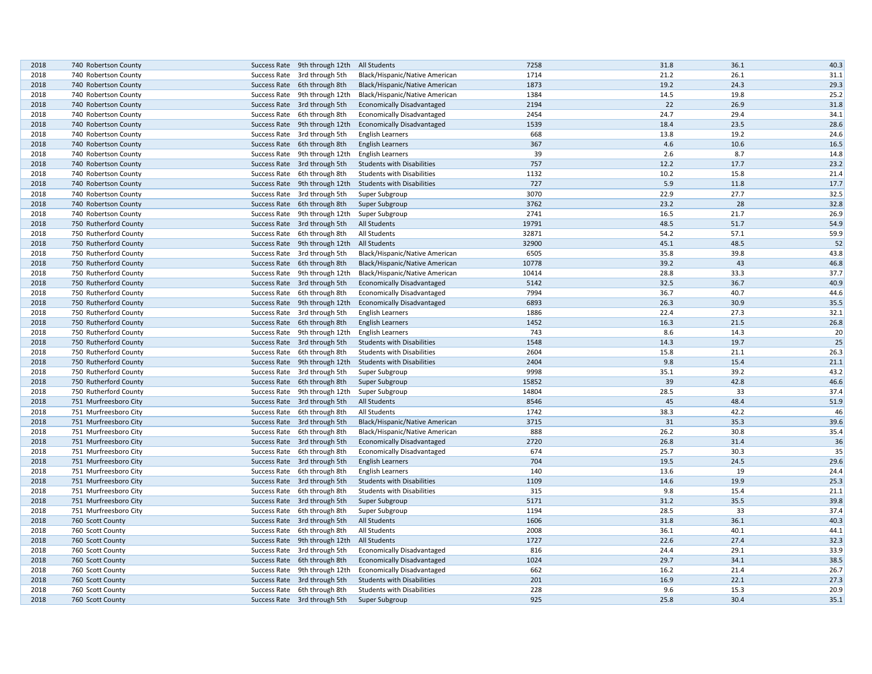| 2018         | 740 Robertson County  | Success Rate 9th through 12th                                 | All Students                      | 7258  | 31.8        | 36.1 | 40.3         |
|--------------|-----------------------|---------------------------------------------------------------|-----------------------------------|-------|-------------|------|--------------|
| 2018         | 740 Robertson County  | Success Rate 3rd through 5th                                  | Black/Hispanic/Native American    | 1714  | 21.2        | 26.1 | 31.1         |
| 2018         | 740 Robertson County  | Success Rate 6th through 8th                                  | Black/Hispanic/Native American    | 1873  | 19.2        | 24.3 | 29.3         |
| 2018         | 740 Robertson County  | Success Rate 9th through 12th                                 | Black/Hispanic/Native American    | 1384  | 14.5        | 19.8 | 25.2         |
| 2018         | 740 Robertson County  | Success Rate 3rd through 5th                                  | <b>Economically Disadvantaged</b> | 2194  | 22          | 26.9 | 31.8         |
| 2018         | 740 Robertson County  | Success Rate 6th through 8th                                  | <b>Economically Disadvantaged</b> | 2454  | 24.7        | 29.4 | 34.1         |
| 2018         | 740 Robertson County  | Success Rate 9th through 12th                                 | <b>Economically Disadvantaged</b> | 1539  | 18.4        | 23.5 | 28.6         |
| 2018         | 740 Robertson County  | Success Rate 3rd through 5th                                  | <b>English Learners</b>           | 668   | 13.8        | 19.2 | 24.6         |
| 2018         |                       |                                                               |                                   | 367   | 4.6         | 10.6 | 16.5         |
|              | 740 Robertson County  | Success Rate 6th through 8th                                  | <b>English Learners</b>           | 39    |             | 8.7  |              |
| 2018<br>2018 | 740 Robertson County  | Success Rate 9th through 12th<br>Success Rate 3rd through 5th | <b>English Learners</b>           | 757   | 2.6<br>12.2 | 17.7 | 14.8<br>23.2 |
|              | 740 Robertson County  |                                                               | <b>Students with Disabilities</b> | 1132  |             | 15.8 |              |
| 2018         | 740 Robertson County  | Success Rate 6th through 8th                                  | <b>Students with Disabilities</b> |       | 10.2        |      | 21.4         |
| 2018         | 740 Robertson County  | Success Rate 9th through 12th                                 | <b>Students with Disabilities</b> | 727   | 5.9         | 11.8 | 17.7         |
| 2018         | 740 Robertson County  | Success Rate 3rd through 5th                                  | Super Subgroup                    | 3070  | 22.9        | 27.7 | 32.5         |
| 2018         | 740 Robertson County  | Success Rate 6th through 8th                                  | Super Subgroup                    | 3762  | 23.2        | 28   | 32.8         |
| 2018         | 740 Robertson County  | Success Rate 9th through 12th                                 | Super Subgroup                    | 2741  | 16.5        | 21.7 | 26.9         |
| 2018         | 750 Rutherford County | Success Rate 3rd through 5th                                  | All Students                      | 19791 | 48.5        | 51.7 | 54.9         |
| 2018         | 750 Rutherford County | Success Rate 6th through 8th                                  | All Students                      | 32871 | 54.2        | 57.1 | 59.9         |
| 2018         | 750 Rutherford County | Success Rate 9th through 12th                                 | All Students                      | 32900 | 45.1        | 48.5 | 52           |
| 2018         | 750 Rutherford County | Success Rate 3rd through 5th                                  | Black/Hispanic/Native American    | 6505  | 35.8        | 39.8 | 43.8         |
| 2018         | 750 Rutherford County | Success Rate 6th through 8th                                  | Black/Hispanic/Native American    | 10778 | 39.2        | 43   | 46.8         |
| 2018         | 750 Rutherford County | Success Rate 9th through 12th                                 | Black/Hispanic/Native American    | 10414 | 28.8        | 33.3 | 37.7         |
| 2018         | 750 Rutherford County | Success Rate 3rd through 5th                                  | <b>Economically Disadvantaged</b> | 5142  | 32.5        | 36.7 | 40.9         |
| 2018         | 750 Rutherford County | Success Rate 6th through 8th                                  | <b>Economically Disadvantaged</b> | 7994  | 36.7        | 40.7 | 44.6         |
| 2018         | 750 Rutherford County | Success Rate 9th through 12th                                 | <b>Economically Disadvantaged</b> | 6893  | 26.3        | 30.9 | 35.5         |
| 2018         | 750 Rutherford County | Success Rate 3rd through 5th                                  | <b>English Learners</b>           | 1886  | 22.4        | 27.3 | 32.1         |
| 2018         | 750 Rutherford County | Success Rate 6th through 8th                                  | <b>English Learners</b>           | 1452  | 16.3        | 21.5 | 26.8         |
| 2018         | 750 Rutherford County | Success Rate 9th through 12th                                 | <b>English Learners</b>           | 743   | 8.6         | 14.3 | 20           |
| 2018         | 750 Rutherford County | Success Rate 3rd through 5th                                  | <b>Students with Disabilities</b> | 1548  | 14.3        | 19.7 | 25           |
| 2018         | 750 Rutherford County | Success Rate 6th through 8th                                  | <b>Students with Disabilities</b> | 2604  | 15.8        | 21.1 | 26.3         |
| 2018         | 750 Rutherford County | Success Rate 9th through 12th                                 | <b>Students with Disabilities</b> | 2404  | 9.8         | 15.4 | 21.1         |
| 2018         | 750 Rutherford County | Success Rate 3rd through 5th                                  | Super Subgroup                    | 9998  | 35.1        | 39.2 | 43.2         |
| 2018         | 750 Rutherford County | Success Rate 6th through 8th                                  | Super Subgroup                    | 15852 | 39          | 42.8 | 46.6         |
| 2018         | 750 Rutherford County | Success Rate 9th through 12th                                 | Super Subgroup                    | 14804 | 28.5        | 33   | 37.4         |
| 2018         | 751 Murfreesboro City | Success Rate 3rd through 5th                                  | <b>All Students</b>               | 8546  | 45          | 48.4 | 51.9         |
| 2018         | 751 Murfreesboro City | Success Rate 6th through 8th                                  | All Students                      | 1742  | 38.3        | 42.2 | 46           |
| 2018         | 751 Murfreesboro City | Success Rate 3rd through 5th                                  | Black/Hispanic/Native American    | 3715  | 31          | 35.3 | 39.6         |
| 2018         | 751 Murfreesboro City | Success Rate 6th through 8th                                  | Black/Hispanic/Native American    | 888   | 26.2        | 30.8 | 35.4         |
| 2018         | 751 Murfreesboro City | Success Rate 3rd through 5th                                  | <b>Economically Disadvantaged</b> | 2720  | 26.8        | 31.4 | 36           |
| 2018         | 751 Murfreesboro City | Success Rate 6th through 8th                                  | <b>Economically Disadvantaged</b> | 674   | 25.7        | 30.3 | 35           |
| 2018         | 751 Murfreesboro City | Success Rate 3rd through 5th                                  | <b>English Learners</b>           | 704   | 19.5        | 24.5 | 29.6         |
| 2018         | 751 Murfreesboro City | Success Rate 6th through 8th                                  | <b>English Learners</b>           | 140   | 13.6        | 19   | 24.4         |
| 2018         | 751 Murfreesboro City | Success Rate 3rd through 5th                                  | <b>Students with Disabilities</b> | 1109  | 14.6        | 19.9 | 25.3         |
| 2018         | 751 Murfreesboro City | Success Rate 6th through 8th                                  | <b>Students with Disabilities</b> | 315   | 9.8         | 15.4 | 21.1         |
| 2018         | 751 Murfreesboro City | Success Rate 3rd through 5th                                  | Super Subgroup                    | 5171  | 31.2        | 35.5 | 39.8         |
| 2018         | 751 Murfreesboro City | Success Rate 6th through 8th                                  | Super Subgroup                    | 1194  | 28.5        | 33   | 37.4         |
| 2018         | 760 Scott County      | Success Rate 3rd through 5th                                  | <b>All Students</b>               | 1606  | 31.8        | 36.1 | 40.3         |
| 2018         | 760 Scott County      | Success Rate 6th through 8th                                  | All Students                      | 2008  | 36.1        | 40.1 | 44.1         |
| 2018         | 760 Scott County      | Success Rate 9th through 12th                                 | <b>All Students</b>               | 1727  | 22.6        | 27.4 | 32.3         |
| 2018         | 760 Scott County      | Success Rate 3rd through 5th                                  | <b>Economically Disadvantaged</b> | 816   | 24.4        | 29.1 | 33.9         |
| 2018         | 760 Scott County      | Success Rate 6th through 8th                                  | <b>Economically Disadvantaged</b> | 1024  | 29.7        | 34.1 | 38.5         |
| 2018         | 760 Scott County      | Success Rate 9th through 12th                                 | <b>Economically Disadvantaged</b> | 662   | 16.2        | 21.4 | 26.7         |
| 2018         | 760 Scott County      | Success Rate 3rd through 5th                                  | <b>Students with Disabilities</b> | 201   | 16.9        | 22.1 | 27.3         |
| 2018         | 760 Scott County      | Success Rate 6th through 8th                                  | <b>Students with Disabilities</b> | 228   | 9.6         | 15.3 | 20.9         |
| 2018         | 760 Scott County      | Success Rate 3rd through 5th                                  | Super Subgroup                    | 925   | 25.8        | 30.4 | 35.1         |
|              |                       |                                                               |                                   |       |             |      |              |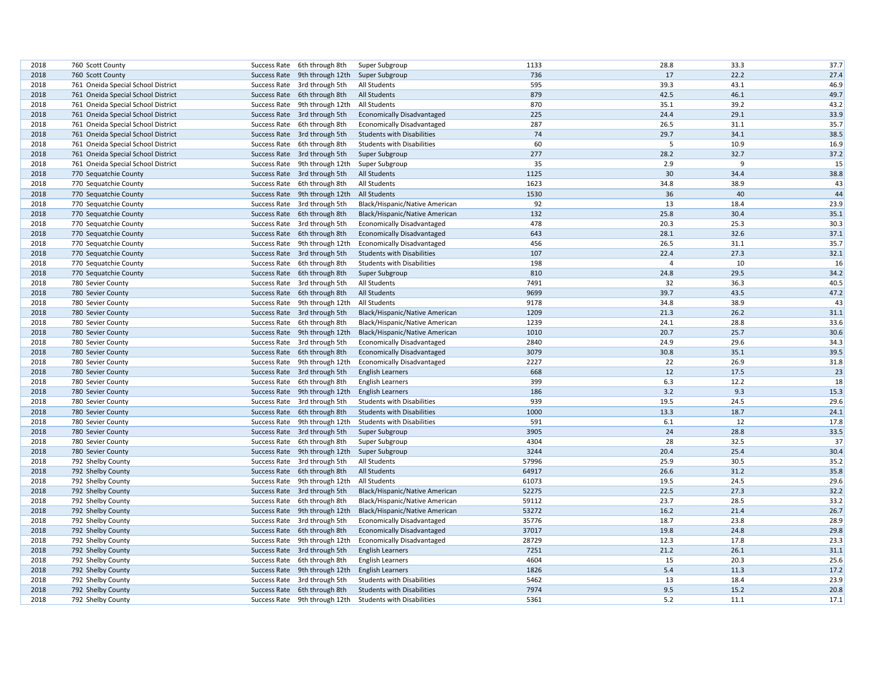| 2018 | 760 Scott County                   | Success Rate 6th through 8th  | Super Subgroup                    | 1133  | 28.8     | 33.3 | 37.7 |
|------|------------------------------------|-------------------------------|-----------------------------------|-------|----------|------|------|
| 2018 | 760 Scott County                   | Success Rate 9th through 12th | Super Subgroup                    | 736   | 17       | 22.2 | 27.4 |
| 2018 | 761 Oneida Special School District | Success Rate 3rd through 5th  | All Students                      | 595   | 39.3     | 43.1 | 46.9 |
| 2018 | 761 Oneida Special School District | Success Rate 6th through 8th  | All Students                      | 879   | 42.5     | 46.1 | 49.7 |
| 2018 | 761 Oneida Special School District | Success Rate 9th through 12th | All Students                      | 870   | 35.1     | 39.2 | 43.2 |
| 2018 | 761 Oneida Special School District | Success Rate 3rd through 5th  | <b>Economically Disadvantaged</b> | 225   | 24.4     | 29.1 | 33.9 |
| 2018 | 761 Oneida Special School District | Success Rate 6th through 8th  | <b>Economically Disadvantaged</b> | 287   | 26.5     | 31.1 | 35.7 |
| 2018 | 761 Oneida Special School District | Success Rate 3rd through 5th  | <b>Students with Disabilities</b> | 74    | 29.7     | 34.1 | 38.5 |
| 2018 | 761 Oneida Special School District | Success Rate 6th through 8th  | <b>Students with Disabilities</b> | 60    | 5        | 10.9 | 16.9 |
| 2018 | 761 Oneida Special School District | Success Rate 3rd through 5th  | Super Subgroup                    | 277   | 28.2     | 32.7 | 37.2 |
| 2018 | 761 Oneida Special School District | Success Rate 9th through 12th | Super Subgroup                    | 35    | 2.9      | 9    | 15   |
| 2018 | 770 Sequatchie County              | Success Rate 3rd through 5th  | All Students                      | 1125  | 30       | 34.4 | 38.8 |
| 2018 | 770 Sequatchie County              | Success Rate 6th through 8th  | All Students                      | 1623  | 34.8     | 38.9 | 43   |
| 2018 | 770 Sequatchie County              | Success Rate 9th through 12th | All Students                      | 1530  | 36       | 40   | 44   |
| 2018 | 770 Sequatchie County              | Success Rate 3rd through 5th  | Black/Hispanic/Native American    | 92    | 13       | 18.4 | 23.9 |
| 2018 | 770 Sequatchie County              | Success Rate 6th through 8th  | Black/Hispanic/Native American    | 132   | 25.8     | 30.4 | 35.1 |
| 2018 | 770 Sequatchie County              | Success Rate 3rd through 5th  | <b>Economically Disadvantaged</b> | 478   | 20.3     | 25.3 | 30.3 |
| 2018 | 770 Sequatchie County              | Success Rate 6th through 8th  | <b>Economically Disadvantaged</b> | 643   | 28.1     | 32.6 | 37.1 |
| 2018 | 770 Sequatchie County              | Success Rate 9th through 12th | <b>Economically Disadvantaged</b> | 456   | 26.5     | 31.1 | 35.7 |
| 2018 | 770 Sequatchie County              | Success Rate 3rd through 5th  | <b>Students with Disabilities</b> | 107   | 22.4     | 27.3 | 32.1 |
| 2018 | 770 Sequatchie County              | Success Rate 6th through 8th  | <b>Students with Disabilities</b> | 198   | $\Delta$ | 10   | 16   |
| 2018 | 770 Sequatchie County              | Success Rate 6th through 8th  | Super Subgroup                    | 810   | 24.8     | 29.5 | 34.2 |
| 2018 | 780 Sevier County                  | Success Rate 3rd through 5th  | All Students                      | 7491  | 32       | 36.3 | 40.5 |
| 2018 | 780 Sevier County                  | Success Rate 6th through 8th  | All Students                      | 9699  | 39.7     | 43.5 | 47.2 |
| 2018 | 780 Sevier County                  | Success Rate 9th through 12th | <b>All Students</b>               | 9178  | 34.8     | 38.9 | 43   |
| 2018 | 780 Sevier County                  | Success Rate 3rd through 5th  | Black/Hispanic/Native American    | 1209  | 21.3     | 26.2 | 31.1 |
| 2018 | 780 Sevier County                  | Success Rate 6th through 8th  | Black/Hispanic/Native American    | 1239  | 24.1     | 28.8 | 33.6 |
| 2018 | 780 Sevier County                  | Success Rate 9th through 12th | Black/Hispanic/Native American    | 1010  | 20.7     | 25.7 | 30.6 |
| 2018 | 780 Sevier County                  | Success Rate 3rd through 5th  | <b>Economically Disadvantaged</b> | 2840  | 24.9     | 29.6 | 34.3 |
| 2018 | 780 Sevier County                  | Success Rate 6th through 8th  | <b>Economically Disadvantaged</b> | 3079  | 30.8     | 35.1 | 39.5 |
| 2018 | 780 Sevier County                  | Success Rate 9th through 12th | <b>Economically Disadvantaged</b> | 2227  | 22       | 26.9 | 31.8 |
| 2018 | 780 Sevier County                  | Success Rate 3rd through 5th  | <b>English Learners</b>           | 668   | 12       | 17.5 | 23   |
| 2018 | 780 Sevier County                  | Success Rate 6th through 8th  | <b>English Learners</b>           | 399   | 6.3      | 12.2 | 18   |
| 2018 | 780 Sevier County                  | Success Rate 9th through 12th | <b>English Learners</b>           | 186   | 3.2      | 9.3  | 15.3 |
| 2018 | 780 Sevier County                  | Success Rate 3rd through 5th  | <b>Students with Disabilities</b> | 939   | 19.5     | 24.5 | 29.6 |
| 2018 | 780 Sevier County                  | Success Rate 6th through 8th  | <b>Students with Disabilities</b> | 1000  | 13.3     | 18.7 | 24.1 |
| 2018 | 780 Sevier County                  | Success Rate 9th through 12th | <b>Students with Disabilities</b> | 591   | 6.1      | 12   | 17.8 |
| 2018 | 780 Sevier County                  | Success Rate 3rd through 5th  | Super Subgroup                    | 3905  | 24       | 28.8 | 33.5 |
| 2018 | 780 Sevier County                  | Success Rate 6th through 8th  | Super Subgroup                    | 4304  | 28       | 32.5 | 37   |
| 2018 | 780 Sevier County                  | Success Rate 9th through 12th | Super Subgroup                    | 3244  | 20.4     | 25.4 | 30.4 |
| 2018 | 792 Shelby County                  | Success Rate 3rd through 5th  | All Students                      | 57996 | 25.9     | 30.5 | 35.2 |
| 2018 | 792 Shelby County                  | Success Rate 6th through 8th  | All Students                      | 64917 | 26.6     | 31.2 | 35.8 |
| 2018 | 792 Shelby County                  | Success Rate 9th through 12th | All Students                      | 61073 | 19.5     | 24.5 | 29.6 |
| 2018 | 792 Shelby County                  | Success Rate 3rd through 5th  | Black/Hispanic/Native American    | 52275 | 22.5     | 27.3 | 32.2 |
| 2018 | 792 Shelby County                  | Success Rate 6th through 8th  | Black/Hispanic/Native American    | 59112 | 23.7     | 28.5 | 33.2 |
| 2018 | 792 Shelby County                  | Success Rate 9th through 12th | Black/Hispanic/Native American    | 53272 | 16.2     | 21.4 | 26.7 |
| 2018 | 792 Shelby County                  | Success Rate 3rd through 5th  | <b>Economically Disadvantaged</b> | 35776 | 18.7     | 23.8 | 28.9 |
| 2018 | 792 Shelby County                  | Success Rate 6th through 8th  | <b>Economically Disadvantaged</b> | 37017 | 19.8     | 24.8 | 29.8 |
| 2018 | 792 Shelby County                  | Success Rate 9th through 12th | <b>Economically Disadvantaged</b> | 28729 | 12.3     | 17.8 | 23.3 |
| 2018 | 792 Shelby County                  | Success Rate 3rd through 5th  | <b>English Learners</b>           | 7251  | 21.2     | 26.1 | 31.1 |
| 2018 | 792 Shelby County                  | Success Rate 6th through 8th  | <b>English Learners</b>           | 4604  | 15       | 20.3 | 25.6 |
| 2018 | 792 Shelby County                  | Success Rate 9th through 12th | <b>English Learners</b>           | 1826  | 5.4      | 11.3 | 17.2 |
| 2018 | 792 Shelby County                  | Success Rate 3rd through 5th  | <b>Students with Disabilities</b> | 5462  | 13       | 18.4 | 23.9 |
| 2018 | 792 Shelby County                  | Success Rate 6th through 8th  | <b>Students with Disabilities</b> | 7974  | 9.5      | 15.2 | 20.8 |
| 2018 | 792 Shelby County                  | Success Rate 9th through 12th | <b>Students with Disabilities</b> | 5361  | 5.2      | 11.1 | 17.1 |
|      |                                    |                               |                                   |       |          |      |      |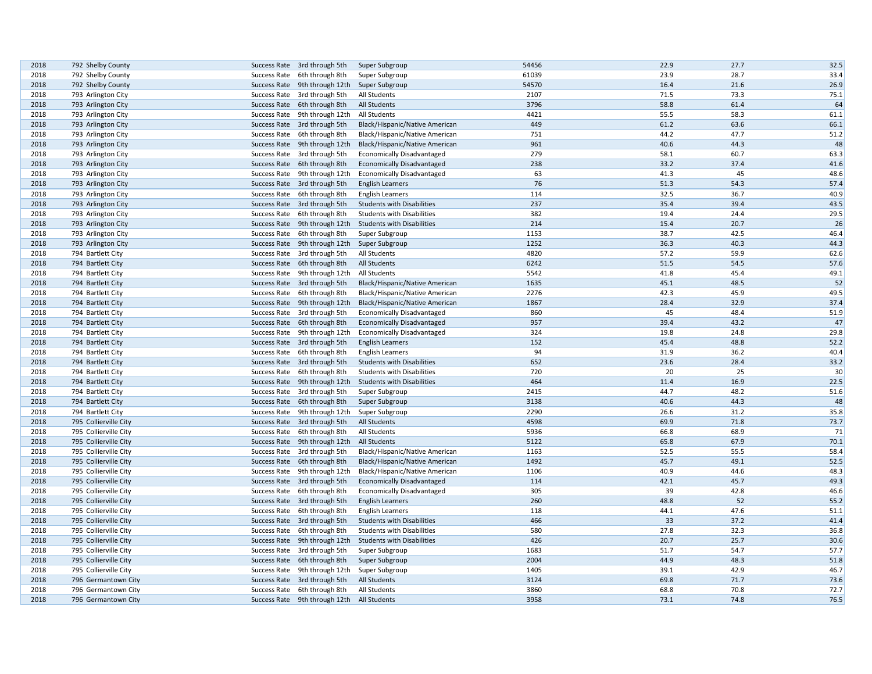| 2018 | 792 Shelby County     | Success Rate 3rd through 5th                 | Super Subgroup                    | 54456 | 22.9 | 27.7 | 32.5 |
|------|-----------------------|----------------------------------------------|-----------------------------------|-------|------|------|------|
| 2018 | 792 Shelby County     | Success Rate 6th through 8th                 | Super Subgroup                    | 61039 | 23.9 | 28.7 | 33.4 |
| 2018 | 792 Shelby County     | Success Rate 9th through 12th Super Subgroup |                                   | 54570 | 16.4 | 21.6 | 26.9 |
| 2018 | 793 Arlington City    | Success Rate 3rd through 5th                 | All Students                      | 2107  | 71.5 | 73.3 | 75.1 |
| 2018 | 793 Arlington City    | Success Rate 6th through 8th                 | All Students                      | 3796  | 58.8 | 61.4 | 64   |
| 2018 | 793 Arlington City    | Success Rate 9th through 12th                | All Students                      | 4421  | 55.5 | 58.3 | 61.1 |
| 2018 | 793 Arlington City    | Success Rate 3rd through 5th                 | Black/Hispanic/Native American    | 449   | 61.2 | 63.6 | 66.1 |
| 2018 | 793 Arlington City    | Success Rate 6th through 8th                 | Black/Hispanic/Native American    | 751   | 44.2 | 47.7 | 51.2 |
| 2018 | 793 Arlington City    | Success Rate 9th through 12th                | Black/Hispanic/Native American    | 961   | 40.6 | 44.3 | 48   |
| 2018 | 793 Arlington City    | Success Rate 3rd through 5th                 | <b>Economically Disadvantaged</b> | 279   | 58.1 | 60.7 | 63.3 |
| 2018 | 793 Arlington City    | Success Rate 6th through 8th                 | <b>Economically Disadvantaged</b> | 238   | 33.2 | 37.4 | 41.6 |
| 2018 | 793 Arlington City    | Success Rate 9th through 12th                | <b>Economically Disadvantaged</b> | 63    | 41.3 | 45   | 48.6 |
| 2018 | 793 Arlington City    | Success Rate 3rd through 5th                 | <b>English Learners</b>           | 76    | 51.3 | 54.3 | 57.4 |
| 2018 | 793 Arlington City    | Success Rate 6th through 8th                 | <b>English Learners</b>           | 114   | 32.5 | 36.7 | 40.9 |
| 2018 | 793 Arlington City    | Success Rate 3rd through 5th                 | <b>Students with Disabilities</b> | 237   | 35.4 | 39.4 | 43.5 |
| 2018 | 793 Arlington City    | Success Rate 6th through 8th                 | <b>Students with Disabilities</b> | 382   | 19.4 | 24.4 | 29.5 |
| 2018 | 793 Arlington City    | Success Rate 9th through 12th                | <b>Students with Disabilities</b> | 214   | 15.4 | 20.7 | 26   |
| 2018 | 793 Arlington City    | Success Rate 6th through 8th                 | Super Subgroup                    | 1153  | 38.7 | 42.5 | 46.4 |
| 2018 | 793 Arlington City    | Success Rate 9th through 12th                | Super Subgroup                    | 1252  | 36.3 | 40.3 | 44.3 |
| 2018 | 794 Bartlett City     | Success Rate 3rd through 5th                 | All Students                      | 4820  | 57.2 | 59.9 | 62.6 |
| 2018 | 794 Bartlett City     | Success Rate 6th through 8th                 | <b>All Students</b>               | 6242  | 51.5 | 54.5 | 57.6 |
| 2018 | 794 Bartlett City     | Success Rate 9th through 12th                | <b>All Students</b>               | 5542  | 41.8 | 45.4 | 49.1 |
| 2018 | 794 Bartlett City     | Success Rate 3rd through 5th                 | Black/Hispanic/Native American    | 1635  | 45.1 | 48.5 | 52   |
| 2018 | 794 Bartlett City     | Success Rate 6th through 8th                 | Black/Hispanic/Native American    | 2276  | 42.3 | 45.9 | 49.5 |
| 2018 | 794 Bartlett City     | Success Rate 9th through 12th                | Black/Hispanic/Native American    | 1867  | 28.4 | 32.9 | 37.4 |
| 2018 | 794 Bartlett City     | Success Rate 3rd through 5th                 | <b>Economically Disadvantaged</b> | 860   | 45   | 48.4 | 51.9 |
| 2018 | 794 Bartlett City     | Success Rate 6th through 8th                 | <b>Economically Disadvantaged</b> | 957   | 39.4 | 43.2 | 47   |
| 2018 | 794 Bartlett City     | Success Rate 9th through 12th                | <b>Economically Disadvantaged</b> | 324   | 19.8 | 24.8 | 29.8 |
| 2018 | 794 Bartlett City     | Success Rate 3rd through 5th                 | <b>English Learners</b>           | 152   | 45.4 | 48.8 | 52.2 |
| 2018 | 794 Bartlett City     | Success Rate 6th through 8th                 | <b>English Learners</b>           | 94    | 31.9 | 36.2 | 40.4 |
| 2018 | 794 Bartlett City     | Success Rate 3rd through 5th                 | <b>Students with Disabilities</b> | 652   | 23.6 | 28.4 | 33.2 |
| 2018 | 794 Bartlett City     | Success Rate 6th through 8th                 | <b>Students with Disabilities</b> | 720   | 20   | 25   | 30   |
| 2018 | 794 Bartlett City     | Success Rate 9th through 12th                | <b>Students with Disabilities</b> | 464   | 11.4 | 16.9 | 22.5 |
| 2018 | 794 Bartlett City     | Success Rate 3rd through 5th                 | Super Subgroup                    | 2415  | 44.7 | 48.2 | 51.6 |
| 2018 | 794 Bartlett City     | Success Rate 6th through 8th                 | Super Subgroup                    | 3138  | 40.6 | 44.3 | 48   |
| 2018 | 794 Bartlett City     | Success Rate 9th through 12th                | Super Subgroup                    | 2290  | 26.6 | 31.2 | 35.8 |
| 2018 | 795 Collierville City | Success Rate 3rd through 5th                 | <b>All Students</b>               | 4598  | 69.9 | 71.8 | 73.7 |
| 2018 | 795 Collierville City | Success Rate 6th through 8th                 | All Students                      | 5936  | 66.8 | 68.9 | 71   |
| 2018 | 795 Collierville City | Success Rate 9th through 12th                | All Students                      | 5122  | 65.8 | 67.9 | 70.1 |
| 2018 | 795 Collierville City | Success Rate 3rd through 5th                 | Black/Hispanic/Native American    | 1163  | 52.5 | 55.5 | 58.4 |
| 2018 | 795 Collierville City | Success Rate 6th through 8th                 | Black/Hispanic/Native American    | 1492  | 45.7 | 49.1 | 52.5 |
| 2018 | 795 Collierville City | Success Rate 9th through 12th                | Black/Hispanic/Native American    | 1106  | 40.9 | 44.6 | 48.3 |
| 2018 | 795 Collierville City | Success Rate 3rd through 5th                 | <b>Economically Disadvantaged</b> | 114   | 42.1 | 45.7 | 49.3 |
| 2018 | 795 Collierville City | Success Rate 6th through 8th                 | <b>Economically Disadvantaged</b> | 305   | 39   | 42.8 | 46.6 |
| 2018 | 795 Collierville City | Success Rate 3rd through 5th                 | <b>English Learners</b>           | 260   | 48.8 | 52   | 55.2 |
| 2018 | 795 Collierville City | Success Rate 6th through 8th                 | <b>English Learners</b>           | 118   | 44.1 | 47.6 | 51.1 |
| 2018 | 795 Collierville City | Success Rate 3rd through 5th                 | <b>Students with Disabilities</b> | 466   | 33   | 37.2 | 41.4 |
| 2018 | 795 Collierville City | Success Rate 6th through 8th                 | <b>Students with Disabilities</b> | 580   | 27.8 | 32.3 | 36.8 |
| 2018 | 795 Collierville City | Success Rate 9th through 12th                | <b>Students with Disabilities</b> | 426   | 20.7 | 25.7 | 30.6 |
| 2018 | 795 Collierville City | Success Rate 3rd through 5th                 | Super Subgroup                    | 1683  | 51.7 | 54.7 | 57.7 |
| 2018 | 795 Collierville City | Success Rate 6th through 8th                 | Super Subgroup                    | 2004  | 44.9 | 48.3 | 51.8 |
| 2018 | 795 Collierville City | Success Rate 9th through 12th                | Super Subgroup                    | 1405  | 39.1 | 42.9 | 46.7 |
| 2018 | 796 Germantown City   | Success Rate 3rd through 5th                 | <b>All Students</b>               | 3124  | 69.8 | 71.7 | 73.6 |
| 2018 | 796 Germantown City   | Success Rate 6th through 8th                 | All Students                      | 3860  | 68.8 | 70.8 | 72.7 |
| 2018 | 796 Germantown City   | Success Rate 9th through 12th All Students   |                                   | 3958  | 73.1 | 74.8 | 76.5 |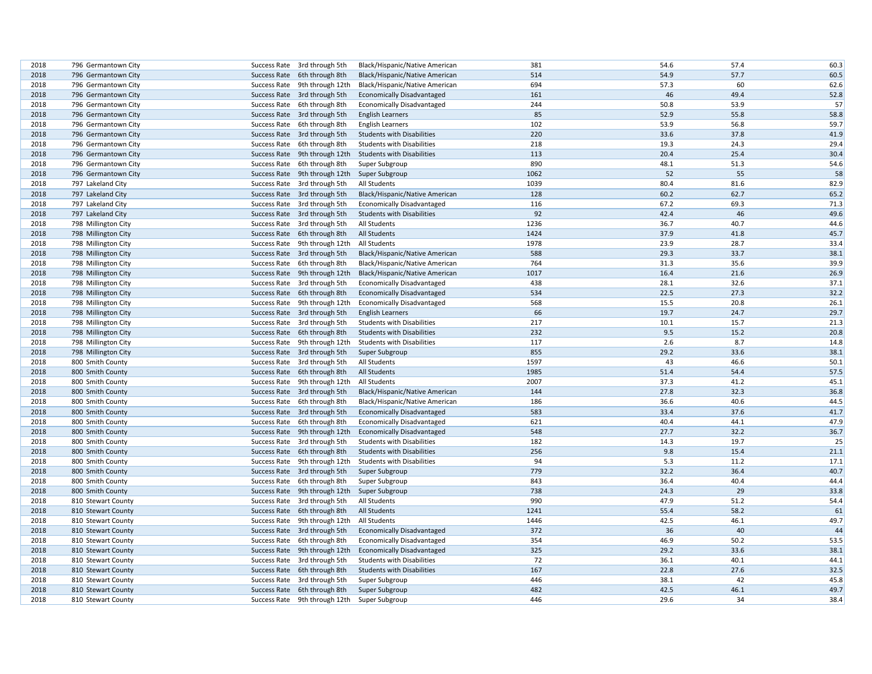| 2018 | 796 Germantown City |              | Success Rate 3rd through 5th                 | Black/Hispanic/Native American    | 381  | 54.6 | 57.4 | 60.3 |
|------|---------------------|--------------|----------------------------------------------|-----------------------------------|------|------|------|------|
| 2018 | 796 Germantown City |              | Success Rate 6th through 8th                 | Black/Hispanic/Native American    | 514  | 54.9 | 57.7 | 60.5 |
| 2018 | 796 Germantown City |              | Success Rate 9th through 12th                | Black/Hispanic/Native American    | 694  | 57.3 | 60   | 62.6 |
| 2018 | 796 Germantown City |              | Success Rate 3rd through 5th                 | <b>Economically Disadvantaged</b> | 161  | 46   | 49.4 | 52.8 |
| 2018 | 796 Germantown City |              | Success Rate 6th through 8th                 | <b>Economically Disadvantaged</b> | 244  | 50.8 | 53.9 | 57   |
| 2018 | 796 Germantown City |              | Success Rate 3rd through 5th                 | <b>English Learners</b>           | 85   | 52.9 | 55.8 | 58.8 |
| 2018 | 796 Germantown City |              | Success Rate 6th through 8th                 | <b>English Learners</b>           | 102  | 53.9 | 56.8 | 59.7 |
| 2018 | 796 Germantown City |              | Success Rate 3rd through 5th                 | <b>Students with Disabilities</b> | 220  | 33.6 | 37.8 | 41.9 |
| 2018 | 796 Germantown City |              | Success Rate 6th through 8th                 | <b>Students with Disabilities</b> | 218  | 19.3 | 24.3 | 29.4 |
| 2018 | 796 Germantown City |              | Success Rate 9th through 12th                | <b>Students with Disabilities</b> | 113  | 20.4 | 25.4 | 30.4 |
| 2018 | 796 Germantown City |              | Success Rate 6th through 8th                 | Super Subgroup                    | 890  | 48.1 | 51.3 | 54.6 |
| 2018 | 796 Germantown City |              | Success Rate 9th through 12th                | Super Subgroup                    | 1062 | 52   | 55   | 58   |
| 2018 | 797 Lakeland City   |              | Success Rate 3rd through 5th                 | All Students                      | 1039 | 80.4 | 81.6 | 82.9 |
|      |                     |              |                                              |                                   |      |      |      |      |
| 2018 | 797 Lakeland City   |              | Success Rate 3rd through 5th                 | Black/Hispanic/Native American    | 128  | 60.2 | 62.7 | 65.2 |
| 2018 | 797 Lakeland City   |              | Success Rate 3rd through 5th                 | <b>Economically Disadvantaged</b> | 116  | 67.2 | 69.3 | 71.3 |
| 2018 | 797 Lakeland City   |              | Success Rate 3rd through 5th                 | <b>Students with Disabilities</b> | 92   | 42.4 | 46   | 49.6 |
| 2018 | 798 Millington City |              | Success Rate 3rd through 5th                 | All Students                      | 1236 | 36.7 | 40.7 | 44.6 |
| 2018 | 798 Millington City |              | Success Rate 6th through 8th                 | All Students                      | 1424 | 37.9 | 41.8 | 45.7 |
| 2018 | 798 Millington City |              | Success Rate 9th through 12th                | All Students                      | 1978 | 23.9 | 28.7 | 33.4 |
| 2018 | 798 Millington City |              | Success Rate 3rd through 5th                 | Black/Hispanic/Native American    | 588  | 29.3 | 33.7 | 38.1 |
| 2018 | 798 Millington City |              | Success Rate 6th through 8th                 | Black/Hispanic/Native American    | 764  | 31.3 | 35.6 | 39.9 |
| 2018 | 798 Millington City |              | Success Rate 9th through 12th                | Black/Hispanic/Native American    | 1017 | 16.4 | 21.6 | 26.9 |
| 2018 | 798 Millington City |              | Success Rate 3rd through 5th                 | <b>Economically Disadvantaged</b> | 438  | 28.1 | 32.6 | 37.1 |
| 2018 | 798 Millington City |              | Success Rate 6th through 8th                 | <b>Economically Disadvantaged</b> | 534  | 22.5 | 27.3 | 32.2 |
| 2018 | 798 Millington City |              | Success Rate 9th through 12th                | <b>Economically Disadvantaged</b> | 568  | 15.5 | 20.8 | 26.1 |
| 2018 | 798 Millington City |              | Success Rate 3rd through 5th                 | <b>English Learners</b>           | 66   | 19.7 | 24.7 | 29.7 |
| 2018 | 798 Millington City |              | Success Rate 3rd through 5th                 | <b>Students with Disabilities</b> | 217  | 10.1 | 15.7 | 21.3 |
| 2018 | 798 Millington City |              | Success Rate 6th through 8th                 | <b>Students with Disabilities</b> | 232  | 9.5  | 15.2 | 20.8 |
| 2018 | 798 Millington City |              | Success Rate 9th through 12th                | <b>Students with Disabilities</b> | 117  | 2.6  | 8.7  | 14.8 |
| 2018 | 798 Millington City |              | Success Rate 3rd through 5th                 | Super Subgroup                    | 855  | 29.2 | 33.6 | 38.1 |
| 2018 | 800 Smith County    |              | Success Rate 3rd through 5th                 | All Students                      | 1597 | 43   | 46.6 | 50.1 |
| 2018 | 800 Smith County    |              | Success Rate 6th through 8th                 | All Students                      | 1985 | 51.4 | 54.4 | 57.5 |
| 2018 | 800 Smith County    |              | Success Rate 9th through 12th                | All Students                      | 2007 | 37.3 | 41.2 | 45.1 |
| 2018 | 800 Smith County    |              | Success Rate 3rd through 5th                 | Black/Hispanic/Native American    | 144  | 27.8 | 32.3 | 36.8 |
| 2018 | 800 Smith County    |              | Success Rate 6th through 8th                 | Black/Hispanic/Native American    | 186  | 36.6 | 40.6 | 44.5 |
| 2018 | 800 Smith County    |              | Success Rate 3rd through 5th                 | <b>Economically Disadvantaged</b> | 583  | 33.4 | 37.6 | 41.7 |
| 2018 | 800 Smith County    |              | Success Rate 6th through 8th                 | <b>Economically Disadvantaged</b> | 621  | 40.4 | 44.1 | 47.9 |
| 2018 | 800 Smith County    |              | Success Rate 9th through 12th                | <b>Economically Disadvantaged</b> | 548  | 27.7 | 32.2 | 36.7 |
| 2018 | 800 Smith County    |              | Success Rate 3rd through 5th                 | <b>Students with Disabilities</b> | 182  | 14.3 | 19.7 | 25   |
| 2018 | 800 Smith County    |              | Success Rate 6th through 8th                 | <b>Students with Disabilities</b> | 256  | 9.8  | 15.4 | 21.1 |
| 2018 |                     |              | Success Rate 9th through 12th                |                                   | 94   | 5.3  | 11.2 | 17.1 |
|      | 800 Smith County    |              |                                              | <b>Students with Disabilities</b> |      | 32.2 |      | 40.7 |
| 2018 | 800 Smith County    |              | Success Rate 3rd through 5th                 | Super Subgroup                    | 779  |      | 36.4 |      |
| 2018 | 800 Smith County    |              | Success Rate 6th through 8th                 | Super Subgroup                    | 843  | 36.4 | 40.4 | 44.4 |
| 2018 | 800 Smith County    |              | Success Rate 9th through 12th                | Super Subgroup                    | 738  | 24.3 | 29   | 33.8 |
| 2018 | 810 Stewart County  |              | Success Rate 3rd through 5th                 | All Students                      | 990  | 47.9 | 51.2 | 54.4 |
| 2018 | 810 Stewart County  |              | Success Rate 6th through 8th                 | <b>All Students</b>               | 1241 | 55.4 | 58.2 | 61   |
| 2018 | 810 Stewart County  |              | Success Rate 9th through 12th                | All Students                      | 1446 | 42.5 | 46.1 | 49.7 |
| 2018 | 810 Stewart County  |              | Success Rate 3rd through 5th                 | <b>Economically Disadvantaged</b> | 372  | 36   | 40   | 44   |
| 2018 | 810 Stewart County  | Success Rate | 6th through 8th                              | <b>Economically Disadvantaged</b> | 354  | 46.9 | 50.2 | 53.5 |
| 2018 | 810 Stewart County  |              | Success Rate 9th through 12th                | <b>Economically Disadvantaged</b> | 325  | 29.2 | 33.6 | 38.1 |
| 2018 | 810 Stewart County  |              | Success Rate 3rd through 5th                 | <b>Students with Disabilities</b> | 72   | 36.1 | 40.1 | 44.1 |
| 2018 | 810 Stewart County  |              | Success Rate 6th through 8th                 | <b>Students with Disabilities</b> | 167  | 22.8 | 27.6 | 32.5 |
| 2018 | 810 Stewart County  |              | Success Rate 3rd through 5th                 | Super Subgroup                    | 446  | 38.1 | 42   | 45.8 |
| 2018 | 810 Stewart County  |              | Success Rate 6th through 8th                 | Super Subgroup                    | 482  | 42.5 | 46.1 | 49.7 |
| 2018 | 810 Stewart County  |              | Success Rate 9th through 12th Super Subgroup |                                   | 446  | 29.6 | 34   | 38.4 |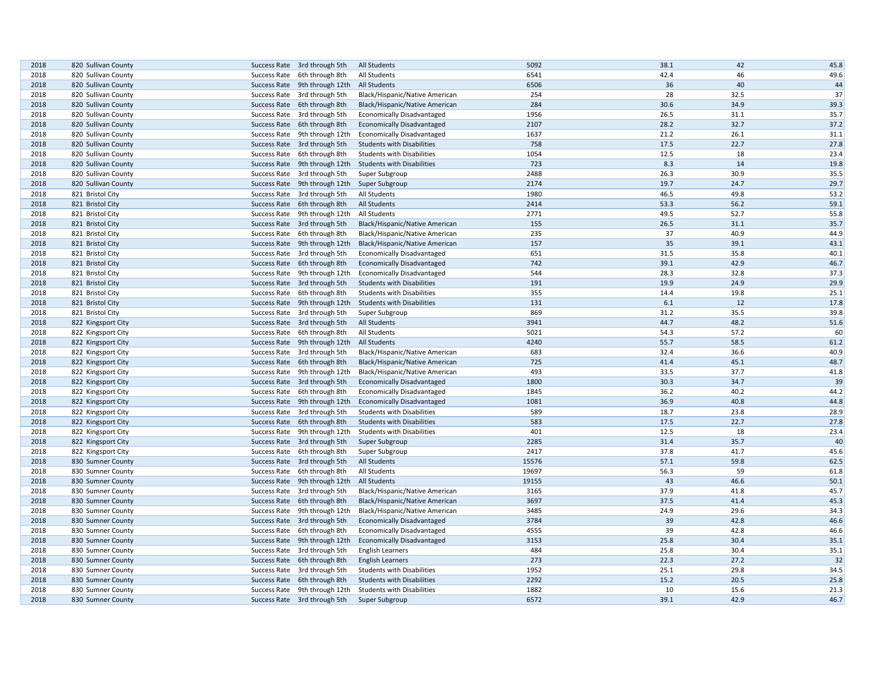| 2018 | 820 Sullivan County | Success Rate 3rd through 5th  | All Students                      | 5092  | 38.1 | 42   | 45.8 |
|------|---------------------|-------------------------------|-----------------------------------|-------|------|------|------|
| 2018 | 820 Sullivan County | Success Rate 6th through 8th  | All Students                      | 6541  | 42.4 | 46   | 49.6 |
| 2018 | 820 Sullivan County | Success Rate 9th through 12th | <b>All Students</b>               | 6506  | 36   | 40   | 44   |
| 2018 | 820 Sullivan County | Success Rate 3rd through 5th  | Black/Hispanic/Native American    | 254   | 28   | 32.5 | 37   |
| 2018 | 820 Sullivan County | Success Rate 6th through 8th  | Black/Hispanic/Native American    | 284   | 30.6 | 34.9 | 39.3 |
| 2018 | 820 Sullivan County | Success Rate 3rd through 5th  | <b>Economically Disadvantaged</b> | 1956  | 26.5 | 31.1 | 35.7 |
| 2018 | 820 Sullivan County | Success Rate 6th through 8th  | <b>Economically Disadvantaged</b> | 2107  | 28.2 | 32.7 | 37.2 |
| 2018 | 820 Sullivan County | Success Rate 9th through 12th | <b>Economically Disadvantaged</b> | 1637  | 21.2 | 26.1 | 31.1 |
| 2018 | 820 Sullivan County | Success Rate 3rd through 5th  | <b>Students with Disabilities</b> | 758   | 17.5 | 22.7 | 27.8 |
| 2018 | 820 Sullivan County | Success Rate 6th through 8th  | <b>Students with Disabilities</b> | 1054  | 12.5 | 18   | 23.4 |
| 2018 | 820 Sullivan County | Success Rate 9th through 12th | <b>Students with Disabilities</b> | 723   | 8.3  | 14   | 19.8 |
| 2018 | 820 Sullivan County | Success Rate 3rd through 5th  | Super Subgroup                    | 2488  | 26.3 | 30.9 | 35.5 |
| 2018 | 820 Sullivan County | Success Rate 9th through 12th | Super Subgroup                    | 2174  | 19.7 | 24.7 | 29.7 |
| 2018 | 821 Bristol City    | Success Rate 3rd through 5th  | All Students                      | 1980  | 46.5 | 49.8 | 53.2 |
| 2018 | 821 Bristol City    | Success Rate 6th through 8th  | All Students                      | 2414  | 53.3 | 56.2 | 59.1 |
| 2018 | 821 Bristol City    | Success Rate 9th through 12th | All Students                      | 2771  | 49.5 | 52.7 | 55.8 |
| 2018 | 821 Bristol City    | Success Rate 3rd through 5th  | Black/Hispanic/Native American    | 155   | 26.5 | 31.1 | 35.7 |
| 2018 | 821 Bristol City    | Success Rate 6th through 8th  | Black/Hispanic/Native American    | 235   | 37   | 40.9 | 44.9 |
| 2018 | 821 Bristol City    | Success Rate 9th through 12th | Black/Hispanic/Native American    | 157   | 35   | 39.1 | 43.1 |
| 2018 | 821 Bristol City    | Success Rate 3rd through 5th  | <b>Economically Disadvantaged</b> | 651   | 31.5 | 35.8 | 40.1 |
| 2018 | 821 Bristol City    | Success Rate 6th through 8th  | <b>Economically Disadvantaged</b> | 742   | 39.1 | 42.9 | 46.7 |
| 2018 | 821 Bristol City    | Success Rate 9th through 12th | <b>Economically Disadvantaged</b> | 544   | 28.3 | 32.8 | 37.3 |
| 2018 | 821 Bristol City    | Success Rate 3rd through 5th  | <b>Students with Disabilities</b> | 191   | 19.9 | 24.9 | 29.9 |
| 2018 | 821 Bristol City    | Success Rate 6th through 8th  | <b>Students with Disabilities</b> | 355   | 14.4 | 19.8 | 25.1 |
| 2018 | 821 Bristol City    | Success Rate 9th through 12th | <b>Students with Disabilities</b> | 131   | 6.1  | 12   | 17.8 |
| 2018 | 821 Bristol City    | Success Rate 3rd through 5th  |                                   | 869   | 31.2 | 35.5 | 39.8 |
| 2018 |                     |                               | Super Subgroup                    | 3941  | 44.7 | 48.2 | 51.6 |
| 2018 | 822 Kingsport City  | Success Rate 3rd through 5th  | All Students                      | 5021  | 54.3 | 57.2 | 60   |
|      | 822 Kingsport City  | Success Rate 6th through 8th  | All Students                      |       |      | 58.5 |      |
| 2018 | 822 Kingsport City  | Success Rate 9th through 12th | All Students                      | 4240  | 55.7 |      | 61.2 |
| 2018 | 822 Kingsport City  | Success Rate 3rd through 5th  | Black/Hispanic/Native American    | 683   | 32.4 | 36.6 | 40.9 |
| 2018 | 822 Kingsport City  | Success Rate 6th through 8th  | Black/Hispanic/Native American    | 725   | 41.4 | 45.1 | 48.7 |
| 2018 | 822 Kingsport City  | Success Rate 9th through 12th | Black/Hispanic/Native American    | 493   | 33.5 | 37.7 | 41.8 |
| 2018 | 822 Kingsport City  | Success Rate 3rd through 5th  | <b>Economically Disadvantaged</b> | 1800  | 30.3 | 34.7 | 39   |
| 2018 | 822 Kingsport City  | Success Rate 6th through 8th  | <b>Economically Disadvantaged</b> | 1845  | 36.2 | 40.2 | 44.2 |
| 2018 | 822 Kingsport City  | Success Rate 9th through 12th | <b>Economically Disadvantaged</b> | 1081  | 36.9 | 40.8 | 44.8 |
| 2018 | 822 Kingsport City  | Success Rate 3rd through 5th  | <b>Students with Disabilities</b> | 589   | 18.7 | 23.8 | 28.9 |
| 2018 | 822 Kingsport City  | Success Rate 6th through 8th  | <b>Students with Disabilities</b> | 583   | 17.5 | 22.7 | 27.8 |
| 2018 | 822 Kingsport City  | Success Rate 9th through 12th | <b>Students with Disabilities</b> | 401   | 12.5 | 18   | 23.4 |
| 2018 | 822 Kingsport City  | Success Rate 3rd through 5th  | Super Subgroup                    | 2285  | 31.4 | 35.7 | 40   |
| 2018 | 822 Kingsport City  | Success Rate 6th through 8th  | Super Subgroup                    | 2417  | 37.8 | 41.7 | 45.6 |
| 2018 | 830 Sumner County   | Success Rate 3rd through 5th  | All Students                      | 15576 | 57.1 | 59.8 | 62.5 |
| 2018 | 830 Sumner County   | Success Rate 6th through 8th  | All Students                      | 19697 | 56.3 | 59   | 61.8 |
| 2018 | 830 Sumner County   | Success Rate 9th through 12th | <b>All Students</b>               | 19155 | 43   | 46.6 | 50.1 |
| 2018 | 830 Sumner County   | Success Rate 3rd through 5th  | Black/Hispanic/Native American    | 3165  | 37.9 | 41.8 | 45.7 |
| 2018 | 830 Sumner County   | Success Rate 6th through 8th  | Black/Hispanic/Native American    | 3697  | 37.5 | 41.4 | 45.3 |
| 2018 | 830 Sumner County   | Success Rate 9th through 12th | Black/Hispanic/Native American    | 3485  | 24.9 | 29.6 | 34.3 |
| 2018 | 830 Sumner County   | Success Rate 3rd through 5th  | <b>Economically Disadvantaged</b> | 3784  | 39   | 42.8 | 46.6 |
| 2018 | 830 Sumner County   | Success Rate 6th through 8th  | <b>Economically Disadvantaged</b> | 4555  | 39   | 42.8 | 46.6 |
| 2018 | 830 Sumner County   | Success Rate 9th through 12th | <b>Economically Disadvantaged</b> | 3153  | 25.8 | 30.4 | 35.1 |
| 2018 | 830 Sumner County   | Success Rate 3rd through 5th  | <b>English Learners</b>           | 484   | 25.8 | 30.4 | 35.1 |
| 2018 | 830 Sumner County   | Success Rate 6th through 8th  | <b>English Learners</b>           | 273   | 22.3 | 27.2 | 32   |
| 2018 | 830 Sumner County   | Success Rate 3rd through 5th  | <b>Students with Disabilities</b> | 1952  | 25.1 | 29.8 | 34.5 |
| 2018 | 830 Sumner County   | Success Rate 6th through 8th  | <b>Students with Disabilities</b> | 2292  | 15.2 | 20.5 | 25.8 |
| 2018 | 830 Sumner County   | Success Rate 9th through 12th | <b>Students with Disabilities</b> | 1882  | 10   | 15.6 | 21.3 |
| 2018 | 830 Sumner County   | Success Rate 3rd through 5th  | Super Subgroup                    | 6572  | 39.1 | 42.9 | 46.7 |
|      |                     |                               |                                   |       |      |      |      |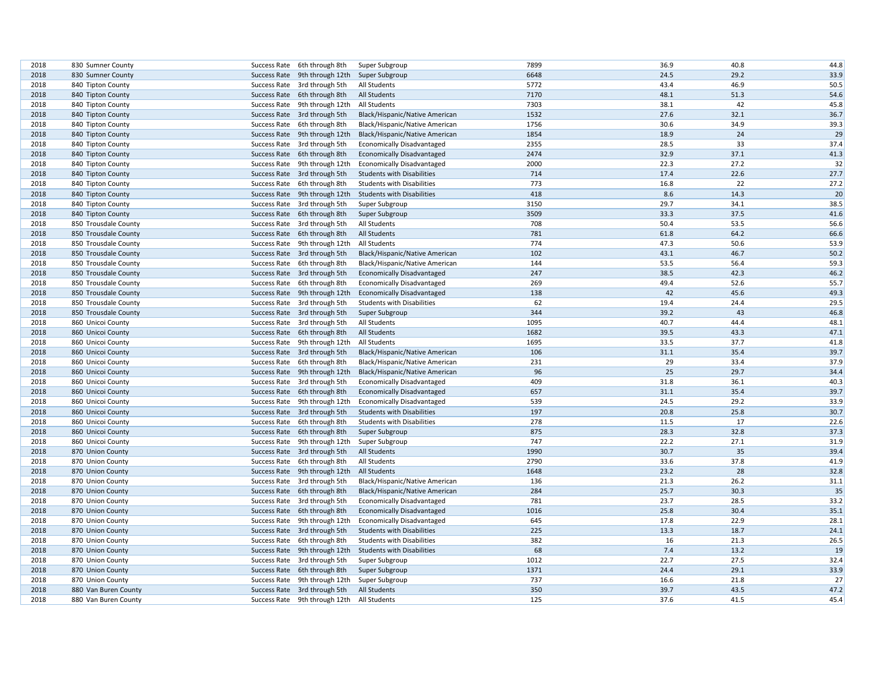| 2018 |                      |              |                                            |                                   | 7899 | 36.9 | 40.8 | 44.8 |
|------|----------------------|--------------|--------------------------------------------|-----------------------------------|------|------|------|------|
| 2018 | 830 Sumner County    |              | Success Rate 6th through 8th               | Super Subgroup                    | 6648 | 24.5 | 29.2 | 33.9 |
|      | 830 Sumner County    |              | Success Rate 9th through 12th              | Super Subgroup                    | 5772 | 43.4 | 46.9 |      |
| 2018 | 840 Tipton County    |              | Success Rate 3rd through 5th               | All Students                      |      |      | 51.3 | 50.5 |
| 2018 | 840 Tipton County    |              | Success Rate 6th through 8th               | All Students                      | 7170 | 48.1 |      | 54.6 |
| 2018 | 840 Tipton County    |              | Success Rate 9th through 12th              | All Students                      | 7303 | 38.1 | 42   | 45.8 |
| 2018 | 840 Tipton County    |              | Success Rate 3rd through 5th               | Black/Hispanic/Native American    | 1532 | 27.6 | 32.1 | 36.7 |
| 2018 | 840 Tipton County    |              | Success Rate 6th through 8th               | Black/Hispanic/Native American    | 1756 | 30.6 | 34.9 | 39.3 |
| 2018 | 840 Tipton County    |              | Success Rate 9th through 12th              | Black/Hispanic/Native American    | 1854 | 18.9 | 24   | 29   |
| 2018 | 840 Tipton County    |              | Success Rate 3rd through 5th               | <b>Economically Disadvantaged</b> | 2355 | 28.5 | 33   | 37.4 |
| 2018 | 840 Tipton County    |              | Success Rate 6th through 8th               | <b>Economically Disadvantaged</b> | 2474 | 32.9 | 37.1 | 41.3 |
| 2018 | 840 Tipton County    |              | Success Rate 9th through 12th              | <b>Economically Disadvantaged</b> | 2000 | 22.3 | 27.2 | 32   |
| 2018 | 840 Tipton County    |              | Success Rate 3rd through 5th               | <b>Students with Disabilities</b> | 714  | 17.4 | 22.6 | 27.7 |
| 2018 | 840 Tipton County    |              | Success Rate 6th through 8th               | <b>Students with Disabilities</b> | 773  | 16.8 | 22   | 27.2 |
| 2018 | 840 Tipton County    |              | Success Rate 9th through 12th              | <b>Students with Disabilities</b> | 418  | 8.6  | 14.3 | 20   |
| 2018 | 840 Tipton County    |              | Success Rate 3rd through 5th               | Super Subgroup                    | 3150 | 29.7 | 34.1 | 38.5 |
| 2018 | 840 Tipton County    |              | Success Rate 6th through 8th               | Super Subgroup                    | 3509 | 33.3 | 37.5 | 41.6 |
| 2018 | 850 Trousdale County |              | Success Rate 3rd through 5th               | All Students                      | 708  | 50.4 | 53.5 | 56.6 |
| 2018 | 850 Trousdale County |              | Success Rate 6th through 8th               | <b>All Students</b>               | 781  | 61.8 | 64.2 | 66.6 |
| 2018 | 850 Trousdale County |              | Success Rate 9th through 12th              | All Students                      | 774  | 47.3 | 50.6 | 53.9 |
| 2018 | 850 Trousdale County |              | Success Rate 3rd through 5th               | Black/Hispanic/Native American    | 102  | 43.1 | 46.7 | 50.2 |
| 2018 | 850 Trousdale County |              | Success Rate 6th through 8th               | Black/Hispanic/Native American    | 144  | 53.5 | 56.4 | 59.3 |
| 2018 | 850 Trousdale County |              | Success Rate 3rd through 5th               | <b>Economically Disadvantaged</b> | 247  | 38.5 | 42.3 | 46.2 |
| 2018 | 850 Trousdale County |              | Success Rate 6th through 8th               | <b>Economically Disadvantaged</b> | 269  | 49.4 | 52.6 | 55.7 |
| 2018 | 850 Trousdale County |              | Success Rate 9th through 12th              | <b>Economically Disadvantaged</b> | 138  | 42   | 45.6 | 49.3 |
| 2018 | 850 Trousdale County |              | Success Rate 3rd through 5th               | <b>Students with Disabilities</b> | 62   | 19.4 | 24.4 | 29.5 |
| 2018 | 850 Trousdale County |              | Success Rate 3rd through 5th               | Super Subgroup                    | 344  | 39.2 | 43   | 46.8 |
| 2018 | 860 Unicoi County    |              | Success Rate 3rd through 5th               | All Students                      | 1095 | 40.7 | 44.4 | 48.1 |
| 2018 | 860 Unicoi County    |              | Success Rate 6th through 8th               | <b>All Students</b>               | 1682 | 39.5 | 43.3 | 47.1 |
| 2018 | 860 Unicoi County    |              | Success Rate 9th through 12th              | All Students                      | 1695 | 33.5 | 37.7 | 41.8 |
| 2018 | 860 Unicoi County    |              | Success Rate 3rd through 5th               | Black/Hispanic/Native American    | 106  | 31.1 | 35.4 | 39.7 |
| 2018 | 860 Unicoi County    |              | Success Rate 6th through 8th               | Black/Hispanic/Native American    | 231  | 29   | 33.4 | 37.9 |
| 2018 | 860 Unicoi County    |              | Success Rate 9th through 12th              | Black/Hispanic/Native American    | 96   | 25   | 29.7 | 34.4 |
| 2018 | 860 Unicoi County    |              | Success Rate 3rd through 5th               | <b>Economically Disadvantaged</b> | 409  | 31.8 | 36.1 | 40.3 |
| 2018 | 860 Unicoi County    |              | Success Rate 6th through 8th               | <b>Economically Disadvantaged</b> | 657  | 31.1 | 35.4 | 39.7 |
| 2018 | 860 Unicoi County    |              | Success Rate 9th through 12th              | <b>Economically Disadvantaged</b> | 539  | 24.5 | 29.2 | 33.9 |
| 2018 | 860 Unicoi County    |              | Success Rate 3rd through 5th               | <b>Students with Disabilities</b> | 197  | 20.8 | 25.8 | 30.7 |
| 2018 | 860 Unicoi County    |              | Success Rate 6th through 8th               | <b>Students with Disabilities</b> | 278  | 11.5 | 17   | 22.6 |
| 2018 | 860 Unicoi County    |              | Success Rate 6th through 8th               | Super Subgroup                    | 875  | 28.3 | 32.8 | 37.3 |
| 2018 | 860 Unicoi County    |              | Success Rate 9th through 12th              | Super Subgroup                    | 747  | 22.2 | 27.1 | 31.9 |
| 2018 | 870 Union County     |              | Success Rate 3rd through 5th               | All Students                      | 1990 | 30.7 | 35   | 39.4 |
| 2018 | 870 Union County     |              | Success Rate 6th through 8th               | All Students                      | 2790 | 33.6 | 37.8 | 41.9 |
| 2018 | 870 Union County     |              | Success Rate 9th through 12th              | <b>All Students</b>               | 1648 | 23.2 | 28   | 32.8 |
| 2018 | 870 Union County     |              | Success Rate 3rd through 5th               | Black/Hispanic/Native American    | 136  | 21.3 | 26.2 | 31.1 |
| 2018 | 870 Union County     |              | Success Rate 6th through 8th               | Black/Hispanic/Native American    | 284  | 25.7 | 30.3 | 35   |
| 2018 | 870 Union County     |              | Success Rate 3rd through 5th               | <b>Economically Disadvantaged</b> | 781  | 23.7 | 28.5 | 33.2 |
| 2018 | 870 Union County     |              | Success Rate 6th through 8th               | <b>Economically Disadvantaged</b> | 1016 | 25.8 | 30.4 | 35.1 |
| 2018 |                      |              | Success Rate 9th through 12th              |                                   | 645  | 17.8 | 22.9 | 28.1 |
|      | 870 Union County     |              |                                            | Economically Disadvantaged        | 225  | 13.3 | 18.7 | 24.1 |
| 2018 | 870 Union County     |              | Success Rate 3rd through 5th               | <b>Students with Disabilities</b> | 382  | 16   | 21.3 |      |
| 2018 | 870 Union County     | Success Rate | 6th through 8th                            | <b>Students with Disabilities</b> |      |      |      | 26.5 |
| 2018 | 870 Union County     |              | Success Rate 9th through 12th              | <b>Students with Disabilities</b> | 68   | 7.4  | 13.2 | 19   |
| 2018 | 870 Union County     |              | Success Rate 3rd through 5th               | Super Subgroup                    | 1012 | 22.7 | 27.5 | 32.4 |
| 2018 | 870 Union County     |              | Success Rate 6th through 8th               | Super Subgroup                    | 1371 | 24.4 | 29.1 | 33.9 |
| 2018 | 870 Union County     |              | Success Rate 9th through 12th              | Super Subgroup                    | 737  | 16.6 | 21.8 | 27   |
| 2018 | 880 Van Buren County |              | Success Rate 3rd through 5th               | <b>All Students</b>               | 350  | 39.7 | 43.5 | 47.2 |
| 2018 | 880 Van Buren County |              | Success Rate 9th through 12th All Students |                                   | 125  | 37.6 | 41.5 | 45.4 |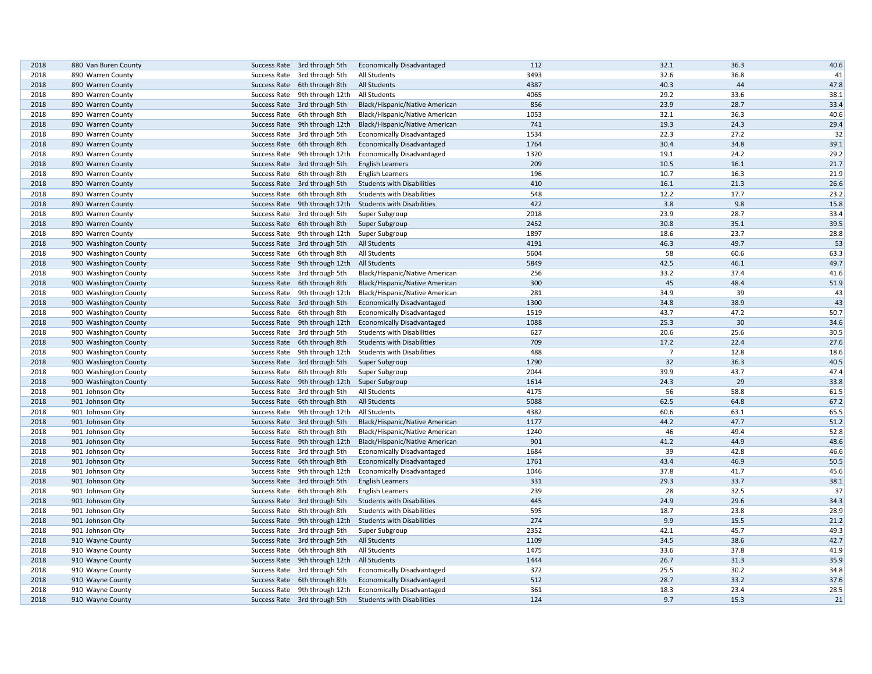| 2018 | 880 Van Buren County                 | Success Rate 3rd through 5th                                 | <b>Economically Disadvantaged</b>                                      | 112  | 32.1           | 36.3 | 40.6 |
|------|--------------------------------------|--------------------------------------------------------------|------------------------------------------------------------------------|------|----------------|------|------|
| 2018 | 890 Warren County                    | Success Rate 3rd through 5th                                 | All Students                                                           | 3493 | 32.6           | 36.8 | 41   |
| 2018 | 890 Warren County                    | Success Rate 6th through 8th                                 | <b>All Students</b>                                                    | 4387 | 40.3           | 44   | 47.8 |
| 2018 | 890 Warren County                    | Success Rate 9th through 12th                                | All Students                                                           | 4065 | 29.2           | 33.6 | 38.1 |
| 2018 | 890 Warren County                    | Success Rate 3rd through 5th                                 | Black/Hispanic/Native American                                         | 856  | 23.9           | 28.7 | 33.4 |
| 2018 | 890 Warren County                    | Success Rate 6th through 8th                                 | Black/Hispanic/Native American                                         | 1053 | 32.1           | 36.3 | 40.6 |
| 2018 | 890 Warren County                    | Success Rate 9th through 12th                                | Black/Hispanic/Native American                                         | 741  | 19.3           | 24.3 | 29.4 |
| 2018 | 890 Warren County                    | Success Rate 3rd through 5th                                 | <b>Economically Disadvantaged</b>                                      | 1534 | 22.3           | 27.2 | 32   |
| 2018 | 890 Warren County                    | Success Rate 6th through 8th                                 | <b>Economically Disadvantaged</b>                                      | 1764 | 30.4           | 34.8 | 39.1 |
| 2018 | 890 Warren County                    | Success Rate 9th through 12th                                | <b>Economically Disadvantaged</b>                                      | 1320 | 19.1           | 24.2 | 29.2 |
| 2018 | 890 Warren County                    | Success Rate 3rd through 5th                                 | <b>English Learners</b>                                                | 209  | 10.5           | 16.1 | 21.7 |
| 2018 | 890 Warren County                    | Success Rate 6th through 8th                                 | <b>English Learners</b>                                                | 196  | 10.7           | 16.3 | 21.9 |
| 2018 | 890 Warren County                    | Success Rate 3rd through 5th                                 | <b>Students with Disabilities</b>                                      | 410  | 16.1           | 21.3 | 26.6 |
| 2018 | 890 Warren County                    | Success Rate 6th through 8th                                 | <b>Students with Disabilities</b>                                      | 548  | 12.2           | 17.7 | 23.2 |
| 2018 | 890 Warren County                    | Success Rate 9th through 12th                                | <b>Students with Disabilities</b>                                      | 422  | 3.8            | 9.8  | 15.8 |
| 2018 | 890 Warren County                    | Success Rate 3rd through 5th                                 | Super Subgroup                                                         | 2018 | 23.9           | 28.7 | 33.4 |
| 2018 | 890 Warren County                    | Success Rate 6th through 8th                                 | Super Subgroup                                                         | 2452 | 30.8           | 35.1 | 39.5 |
| 2018 | 890 Warren County                    | Success Rate 9th through 12th                                | Super Subgroup                                                         | 1897 | 18.6           | 23.7 | 28.8 |
| 2018 | 900 Washington County                | Success Rate 3rd through 5th                                 | <b>All Students</b>                                                    | 4191 | 46.3           | 49.7 | 53   |
| 2018 | 900 Washington County                | Success Rate 6th through 8th                                 | All Students                                                           | 5604 | 58             | 60.6 | 63.3 |
| 2018 | 900 Washington County                | Success Rate 9th through 12th                                | <b>All Students</b>                                                    | 5849 | 42.5           | 46.1 | 49.7 |
| 2018 | 900 Washington County                | Success Rate 3rd through 5th                                 | Black/Hispanic/Native American                                         | 256  | 33.2           | 37.4 | 41.6 |
| 2018 | 900 Washington County                | Success Rate 6th through 8th                                 | Black/Hispanic/Native American                                         | 300  | 45             | 48.4 | 51.9 |
| 2018 | 900 Washington County                | Success Rate 9th through 12th                                | Black/Hispanic/Native American                                         | 281  | 34.9           | 39   | 43   |
| 2018 | 900 Washington County                | Success Rate 3rd through 5th                                 | <b>Economically Disadvantaged</b>                                      | 1300 | 34.8           | 38.9 | 43   |
| 2018 | 900 Washington County                | Success Rate 6th through 8th                                 | <b>Economically Disadvantaged</b>                                      | 1519 | 43.7           | 47.2 | 50.7 |
| 2018 | 900 Washington County                | Success Rate 9th through 12th                                | <b>Economically Disadvantaged</b>                                      | 1088 | 25.3           | 30   | 34.6 |
| 2018 | 900 Washington County                | Success Rate 3rd through 5th                                 | <b>Students with Disabilities</b>                                      | 627  | 20.6           | 25.6 | 30.5 |
| 2018 | 900 Washington County                | Success Rate 6th through 8th                                 | <b>Students with Disabilities</b>                                      | 709  | 17.2           | 22.4 | 27.6 |
| 2018 | 900 Washington County                | Success Rate 9th through 12th                                | <b>Students with Disabilities</b>                                      | 488  | $\overline{7}$ | 12.8 | 18.6 |
| 2018 | 900 Washington County                | Success Rate 3rd through 5th                                 | Super Subgroup                                                         | 1790 | 32             | 36.3 | 40.5 |
| 2018 | 900 Washington County                | Success Rate 6th through 8th                                 | Super Subgroup                                                         | 2044 | 39.9           | 43.7 | 47.4 |
| 2018 | 900 Washington County                | Success Rate 9th through 12th                                | Super Subgroup                                                         | 1614 | 24.3           | 29   | 33.8 |
| 2018 | 901 Johnson City                     | Success Rate 3rd through 5th                                 | All Students                                                           | 4175 | 56             | 58.8 | 61.5 |
| 2018 | 901 Johnson City                     | Success Rate 6th through 8th                                 | All Students                                                           | 5088 | 62.5           | 64.8 | 67.2 |
| 2018 | 901 Johnson City                     | Success Rate 9th through 12th                                | All Students                                                           | 4382 | 60.6           | 63.1 | 65.5 |
| 2018 | 901 Johnson City                     | Success Rate 3rd through 5th                                 | Black/Hispanic/Native American                                         | 1177 | 44.2           | 47.7 | 51.2 |
| 2018 | 901 Johnson City                     | Success Rate 6th through 8th                                 | Black/Hispanic/Native American                                         | 1240 | 46             | 49.4 | 52.8 |
| 2018 | 901 Johnson City                     | Success Rate 9th through 12th                                | Black/Hispanic/Native American                                         | 901  | 41.2           | 44.9 | 48.6 |
| 2018 | 901 Johnson City                     | Success Rate 3rd through 5th                                 | <b>Economically Disadvantaged</b>                                      | 1684 | 39             | 42.8 | 46.6 |
| 2018 | 901 Johnson City                     | Success Rate 6th through 8th                                 | <b>Economically Disadvantaged</b>                                      | 1761 | 43.4           | 46.9 | 50.5 |
| 2018 | 901 Johnson City                     | Success Rate 9th through 12th                                | <b>Economically Disadvantaged</b>                                      | 1046 | 37.8           | 41.7 | 45.6 |
| 2018 | 901 Johnson City                     | Success Rate 3rd through 5th                                 | <b>English Learners</b>                                                | 331  | 29.3           | 33.7 | 38.1 |
| 2018 | 901 Johnson City                     | Success Rate 6th through 8th                                 | <b>English Learners</b>                                                | 239  | 28             | 32.5 | 37   |
| 2018 |                                      |                                                              |                                                                        | 445  | 24.9           | 29.6 | 34.3 |
| 2018 | 901 Johnson City<br>901 Johnson City | Success Rate 3rd through 5th<br>Success Rate 6th through 8th | <b>Students with Disabilities</b><br><b>Students with Disabilities</b> | 595  | 18.7           | 23.8 | 28.9 |
|      |                                      |                                                              |                                                                        | 274  | 9.9            | 15.5 | 21.2 |
| 2018 | 901 Johnson City                     | Success Rate 9th through 12th                                | <b>Students with Disabilities</b>                                      | 2352 | 42.1           | 45.7 | 49.3 |
| 2018 | 901 Johnson City                     | Success Rate 3rd through 5th                                 | Super Subgroup                                                         |      |                |      |      |
| 2018 | 910 Wayne County                     | Success Rate 3rd through 5th                                 | <b>All Students</b>                                                    | 1109 | 34.5           | 38.6 | 42.7 |
| 2018 | 910 Wayne County                     | Success Rate 6th through 8th                                 | All Students                                                           | 1475 | 33.6           | 37.8 | 41.9 |
| 2018 | 910 Wayne County                     | Success Rate 9th through 12th                                | <b>All Students</b>                                                    | 1444 | 26.7           | 31.3 | 35.9 |
| 2018 | 910 Wayne County                     | Success Rate 3rd through 5th                                 | <b>Economically Disadvantaged</b>                                      | 372  | 25.5           | 30.2 | 34.8 |
| 2018 | 910 Wayne County                     | Success Rate 6th through 8th                                 | <b>Economically Disadvantaged</b>                                      | 512  | 28.7           | 33.2 | 37.6 |
| 2018 | 910 Wayne County                     | Success Rate 9th through 12th                                | <b>Economically Disadvantaged</b>                                      | 361  | 18.3           | 23.4 | 28.5 |
| 2018 | 910 Wayne County                     | Success Rate 3rd through 5th                                 | <b>Students with Disabilities</b>                                      | 124  | 9.7            | 15.3 | 21   |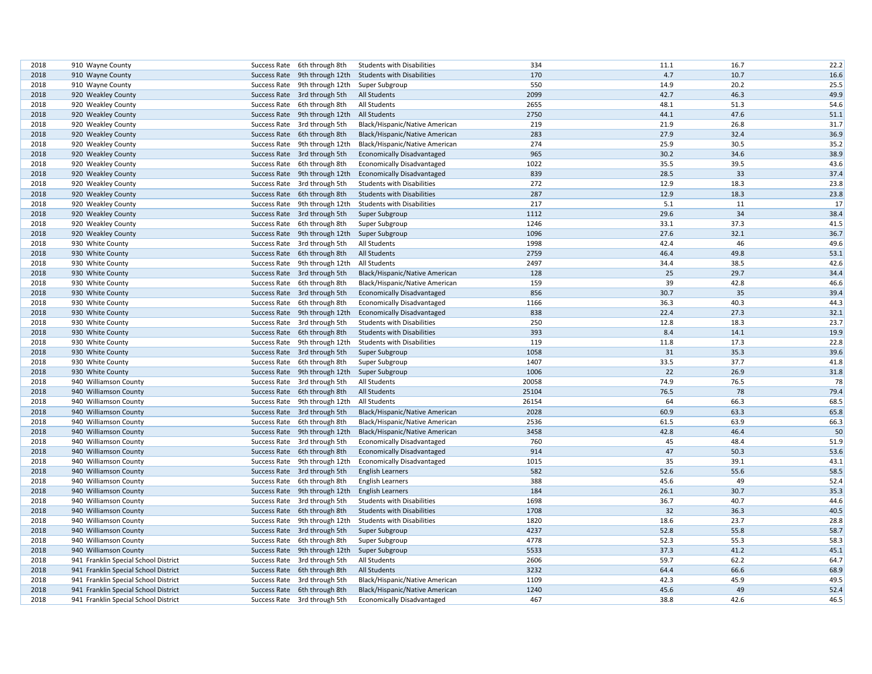| 2018 | 910 Wayne County                     | Success Rate 6th through 8th               | <b>Students with Disabilities</b> | 334   | 11.1 | 16.7 | 22.2 |
|------|--------------------------------------|--------------------------------------------|-----------------------------------|-------|------|------|------|
| 2018 | 910 Wayne County                     | Success Rate 9th through 12th              | <b>Students with Disabilities</b> | 170   | 4.7  | 10.7 | 16.6 |
| 2018 | 910 Wayne County                     | Success Rate 9th through 12th              | Super Subgroup                    | 550   | 14.9 | 20.2 | 25.5 |
| 2018 | 920 Weakley County                   | Success Rate 3rd through 5th               | <b>All Students</b>               | 2099  | 42.7 | 46.3 | 49.9 |
| 2018 | 920 Weakley County                   | Success Rate 6th through 8th               | All Students                      | 2655  | 48.1 | 51.3 | 54.6 |
| 2018 | 920 Weakley County                   | Success Rate 9th through 12th All Students |                                   | 2750  | 44.1 | 47.6 | 51.1 |
| 2018 | 920 Weakley County                   | Success Rate 3rd through 5th               | Black/Hispanic/Native American    | 219   | 21.9 | 26.8 | 31.7 |
| 2018 | 920 Weakley County                   | Success Rate 6th through 8th               | Black/Hispanic/Native American    | 283   | 27.9 | 32.4 | 36.9 |
| 2018 | 920 Weakley County                   | Success Rate 9th through 12th              | Black/Hispanic/Native American    | 274   | 25.9 | 30.5 | 35.2 |
| 2018 | 920 Weakley County                   | Success Rate 3rd through 5th               | <b>Economically Disadvantaged</b> | 965   | 30.2 | 34.6 | 38.9 |
| 2018 | 920 Weakley County                   | Success Rate 6th through 8th               | <b>Economically Disadvantaged</b> | 1022  | 35.5 | 39.5 | 43.6 |
| 2018 | 920 Weakley County                   | Success Rate 9th through 12th              | <b>Economically Disadvantaged</b> | 839   | 28.5 | 33   | 37.4 |
| 2018 | 920 Weakley County                   | Success Rate 3rd through 5th               | <b>Students with Disabilities</b> | 272   | 12.9 | 18.3 | 23.8 |
| 2018 | 920 Weakley County                   | Success Rate 6th through 8th               | <b>Students with Disabilities</b> | 287   | 12.9 | 18.3 | 23.8 |
| 2018 | 920 Weakley County                   | Success Rate 9th through 12th              | <b>Students with Disabilities</b> | 217   | 5.1  | 11   | 17   |
| 2018 | 920 Weakley County                   | Success Rate 3rd through 5th               | Super Subgroup                    | 1112  | 29.6 | 34   | 38.4 |
| 2018 | 920 Weakley County                   | Success Rate 6th through 8th               | Super Subgroup                    | 1246  | 33.1 | 37.3 | 41.5 |
| 2018 | 920 Weakley County                   | Success Rate 9th through 12th              | Super Subgroup                    | 1096  | 27.6 | 32.1 | 36.7 |
| 2018 | 930 White County                     | Success Rate 3rd through 5th               | All Students                      | 1998  | 42.4 | 46   | 49.6 |
| 2018 | 930 White County                     | Success Rate 6th through 8th               | <b>All Students</b>               | 2759  | 46.4 | 49.8 | 53.1 |
| 2018 | 930 White County                     | Success Rate 9th through 12th              | All Students                      | 2497  | 34.4 | 38.5 | 42.6 |
| 2018 | 930 White County                     | Success Rate 3rd through 5th               | Black/Hispanic/Native American    | 128   | 25   | 29.7 | 34.4 |
| 2018 | 930 White County                     | Success Rate 6th through 8th               | Black/Hispanic/Native American    | 159   | 39   | 42.8 | 46.6 |
| 2018 | 930 White County                     | Success Rate 3rd through 5th               | <b>Economically Disadvantaged</b> | 856   | 30.7 | 35   | 39.4 |
| 2018 | 930 White County                     | Success Rate 6th through 8th               | <b>Economically Disadvantaged</b> | 1166  | 36.3 | 40.3 | 44.3 |
| 2018 | 930 White County                     | Success Rate 9th through 12th              | <b>Economically Disadvantaged</b> | 838   | 22.4 | 27.3 | 32.1 |
| 2018 | 930 White County                     | Success Rate 3rd through 5th               | <b>Students with Disabilities</b> | 250   | 12.8 | 18.3 | 23.7 |
| 2018 | 930 White County                     | Success Rate 6th through 8th               | <b>Students with Disabilities</b> | 393   | 8.4  | 14.1 | 19.9 |
| 2018 | 930 White County                     | Success Rate 9th through 12th              | <b>Students with Disabilities</b> | 119   | 11.8 | 17.3 | 22.8 |
| 2018 | 930 White County                     | Success Rate 3rd through 5th               | Super Subgroup                    | 1058  | 31   | 35.3 | 39.6 |
| 2018 | 930 White County                     | Success Rate 6th through 8th               | Super Subgroup                    | 1407  | 33.5 | 37.7 | 41.8 |
| 2018 | 930 White County                     | Success Rate 9th through 12th              | Super Subgroup                    | 1006  | 22   | 26.9 | 31.8 |
| 2018 | 940 Williamson County                | Success Rate 3rd through 5th               | All Students                      | 20058 | 74.9 | 76.5 | 78   |
| 2018 | 940 Williamson County                | Success Rate 6th through 8th               | <b>All Students</b>               | 25104 | 76.5 | 78   | 79.4 |
| 2018 | 940 Williamson County                | Success Rate 9th through 12th              | All Students                      | 26154 | 64   | 66.3 | 68.5 |
| 2018 | 940 Williamson County                | Success Rate 3rd through 5th               | Black/Hispanic/Native American    | 2028  | 60.9 | 63.3 | 65.8 |
| 2018 | 940 Williamson County                | Success Rate 6th through 8th               | Black/Hispanic/Native American    | 2536  | 61.5 | 63.9 | 66.3 |
| 2018 | 940 Williamson County                | Success Rate 9th through 12th              | Black/Hispanic/Native American    | 3458  | 42.8 | 46.4 | 50   |
| 2018 | 940 Williamson County                | Success Rate 3rd through 5th               | <b>Economically Disadvantaged</b> | 760   | 45   | 48.4 | 51.9 |
| 2018 | 940 Williamson County                | Success Rate 6th through 8th               | <b>Economically Disadvantaged</b> | 914   | 47   | 50.3 | 53.6 |
| 2018 | 940 Williamson County                | Success Rate 9th through 12th              | <b>Economically Disadvantaged</b> | 1015  | 35   | 39.1 | 43.1 |
| 2018 | 940 Williamson County                | Success Rate 3rd through 5th               | <b>English Learners</b>           | 582   | 52.6 | 55.6 | 58.5 |
| 2018 | 940 Williamson County                | Success Rate 6th through 8th               | <b>English Learners</b>           | 388   | 45.6 | 49   | 52.4 |
| 2018 | 940 Williamson County                | Success Rate 9th through 12th              | <b>English Learners</b>           | 184   | 26.1 | 30.7 | 35.3 |
| 2018 | 940 Williamson County                | Success Rate 3rd through 5th               | <b>Students with Disabilities</b> | 1698  | 36.7 | 40.7 | 44.6 |
| 2018 | 940 Williamson County                | Success Rate 6th through 8th               | <b>Students with Disabilities</b> | 1708  | 32   | 36.3 | 40.5 |
| 2018 | 940 Williamson County                | Success Rate 9th through 12th              | <b>Students with Disabilities</b> | 1820  | 18.6 | 23.7 | 28.8 |
| 2018 | 940 Williamson County                | Success Rate 3rd through 5th               | Super Subgroup                    | 4237  | 52.8 | 55.8 | 58.7 |
| 2018 | 940 Williamson County                | Success Rate 6th through 8th               | Super Subgroup                    | 4778  | 52.3 | 55.3 | 58.3 |
| 2018 | 940 Williamson County                | Success Rate 9th through 12th              | Super Subgroup                    | 5533  | 37.3 | 41.2 | 45.1 |
| 2018 | 941 Franklin Special School District | Success Rate 3rd through 5th               | All Students                      | 2606  | 59.7 | 62.2 | 64.7 |
| 2018 | 941 Franklin Special School District | Success Rate 6th through 8th               | <b>All Students</b>               | 3232  | 64.4 | 66.6 | 68.9 |
| 2018 | 941 Franklin Special School District | Success Rate 3rd through 5th               | Black/Hispanic/Native American    | 1109  | 42.3 | 45.9 | 49.5 |
| 2018 | 941 Franklin Special School District | Success Rate 6th through 8th               | Black/Hispanic/Native American    | 1240  | 45.6 | 49   | 52.4 |
| 2018 | 941 Franklin Special School District | Success Rate 3rd through 5th               | <b>Economically Disadvantaged</b> | 467   | 38.8 | 42.6 | 46.5 |
|      |                                      |                                            |                                   |       |      |      |      |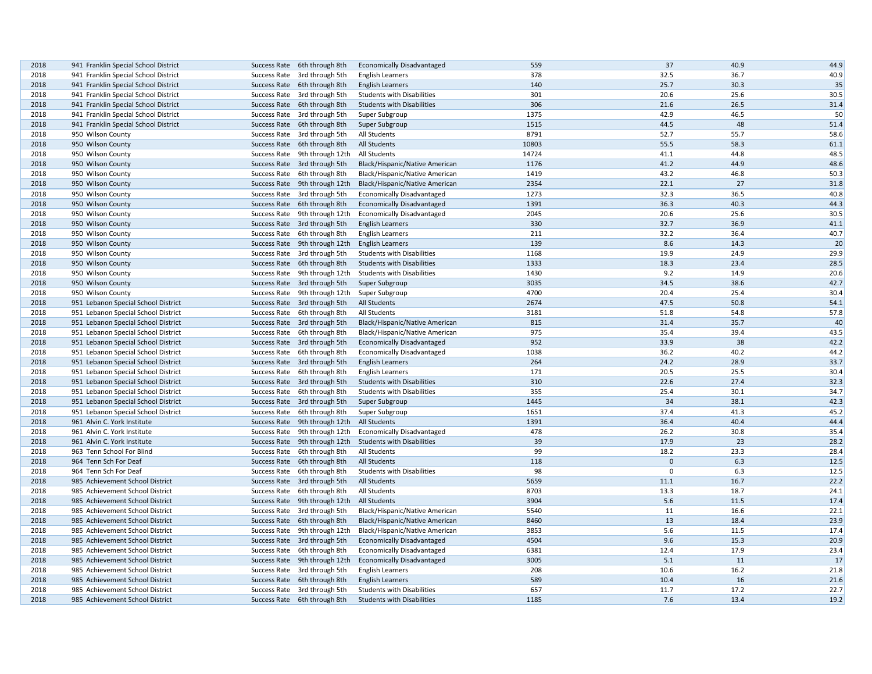| 2018 | 941 Franklin Special School District | Success Rate 6th through 8th               | <b>Economically Disadvantaged</b> | 559   | 37           | 40.9 | 44.9 |
|------|--------------------------------------|--------------------------------------------|-----------------------------------|-------|--------------|------|------|
| 2018 | 941 Franklin Special School District | Success Rate 3rd through 5th               | <b>English Learners</b>           | 378   | 32.5         | 36.7 | 40.9 |
| 2018 | 941 Franklin Special School District | Success Rate 6th through 8th               | <b>English Learners</b>           | 140   | 25.7         | 30.3 | 35   |
| 2018 | 941 Franklin Special School District | Success Rate 3rd through 5th               | <b>Students with Disabilities</b> | 301   | 20.6         | 25.6 | 30.5 |
| 2018 | 941 Franklin Special School District | Success Rate 6th through 8th               | <b>Students with Disabilities</b> | 306   | 21.6         | 26.5 | 31.4 |
| 2018 | 941 Franklin Special School District | Success Rate 3rd through 5th               | Super Subgroup                    | 1375  | 42.9         | 46.5 | 50   |
| 2018 | 941 Franklin Special School District | Success Rate 6th through 8th               | Super Subgroup                    | 1515  | 44.5         | 48   | 51.4 |
| 2018 | 950 Wilson County                    | Success Rate 3rd through 5th               | All Students                      | 8791  | 52.7         | 55.7 | 58.6 |
| 2018 | 950 Wilson County                    | Success Rate 6th through 8th               | All Students                      | 10803 | 55.5         | 58.3 | 61.1 |
| 2018 | 950 Wilson County                    | Success Rate 9th through 12th              | All Students                      | 14724 | 41.1         | 44.8 | 48.5 |
| 2018 | 950 Wilson County                    | Success Rate 3rd through 5th               | Black/Hispanic/Native American    | 1176  | 41.2         | 44.9 | 48.6 |
| 2018 | 950 Wilson County                    | Success Rate 6th through 8th               | Black/Hispanic/Native American    | 1419  | 43.2         | 46.8 | 50.3 |
| 2018 | 950 Wilson County                    | Success Rate 9th through 12th              | Black/Hispanic/Native American    | 2354  | 22.1         | 27   | 31.8 |
| 2018 | 950 Wilson County                    | Success Rate 3rd through 5th               | <b>Economically Disadvantaged</b> | 1273  | 32.3         | 36.5 | 40.8 |
| 2018 | 950 Wilson County                    | Success Rate 6th through 8th               | <b>Economically Disadvantaged</b> | 1391  | 36.3         | 40.3 | 44.3 |
| 2018 | 950 Wilson County                    | Success Rate 9th through 12th              | <b>Economically Disadvantaged</b> | 2045  | 20.6         | 25.6 | 30.5 |
| 2018 | 950 Wilson County                    | Success Rate 3rd through 5th               | <b>English Learners</b>           | 330   | 32.7         | 36.9 | 41.1 |
| 2018 | 950 Wilson County                    | Success Rate 6th through 8th               | <b>English Learners</b>           | 211   | 32.2         | 36.4 | 40.7 |
| 2018 | 950 Wilson County                    | Success Rate 9th through 12th              | <b>English Learners</b>           | 139   | 8.6          | 14.3 | 20   |
| 2018 | 950 Wilson County                    | Success Rate 3rd through 5th               | <b>Students with Disabilities</b> | 1168  | 19.9         | 24.9 | 29.9 |
| 2018 | 950 Wilson County                    | Success Rate 6th through 8th               | <b>Students with Disabilities</b> | 1333  | 18.3         | 23.4 | 28.5 |
| 2018 | 950 Wilson County                    | Success Rate 9th through 12th              | <b>Students with Disabilities</b> | 1430  | 9.2          | 14.9 | 20.6 |
| 2018 | 950 Wilson County                    | Success Rate 3rd through 5th               | Super Subgroup                    | 3035  | 34.5         | 38.6 | 42.7 |
| 2018 | 950 Wilson County                    | Success Rate 9th through 12th              | Super Subgroup                    | 4700  | 20.4         | 25.4 | 30.4 |
| 2018 | 951 Lebanon Special School District  | Success Rate 3rd through 5th               | <b>All Students</b>               | 2674  | 47.5         | 50.8 | 54.1 |
| 2018 | 951 Lebanon Special School District  | Success Rate 6th through 8th               | All Students                      | 3181  | 51.8         | 54.8 | 57.8 |
| 2018 | 951 Lebanon Special School District  | Success Rate 3rd through 5th               | Black/Hispanic/Native American    | 815   | 31.4         | 35.7 | 40   |
| 2018 | 951 Lebanon Special School District  | Success Rate 6th through 8th               | Black/Hispanic/Native American    | 975   | 35.4         | 39.4 | 43.5 |
| 2018 | 951 Lebanon Special School District  | Success Rate 3rd through 5th               | <b>Economically Disadvantaged</b> | 952   | 33.9         | 38   | 42.2 |
| 2018 | 951 Lebanon Special School District  | Success Rate 6th through 8th               | <b>Economically Disadvantaged</b> | 1038  | 36.2         | 40.2 | 44.2 |
| 2018 | 951 Lebanon Special School District  | Success Rate 3rd through 5th               | <b>English Learners</b>           | 264   | 24.2         | 28.9 | 33.7 |
| 2018 | 951 Lebanon Special School District  | Success Rate 6th through 8th               | <b>English Learners</b>           | 171   | 20.5         | 25.5 | 30.4 |
| 2018 | 951 Lebanon Special School District  | Success Rate 3rd through 5th               | <b>Students with Disabilities</b> | 310   | 22.6         | 27.4 | 32.3 |
| 2018 | 951 Lebanon Special School District  | Success Rate 6th through 8th               | <b>Students with Disabilities</b> | 355   | 25.4         | 30.1 | 34.7 |
| 2018 | 951 Lebanon Special School District  | Success Rate 3rd through 5th               | Super Subgroup                    | 1445  | 34           | 38.1 | 42.3 |
| 2018 | 951 Lebanon Special School District  | Success Rate 6th through 8th               | Super Subgroup                    | 1651  | 37.4         | 41.3 | 45.2 |
| 2018 | 961 Alvin C. York Institute          | Success Rate 9th through 12th All Students |                                   | 1391  | 36.4         | 40.4 | 44.4 |
| 2018 | 961 Alvin C. York Institute          | Success Rate 9th through 12th              | <b>Economically Disadvantaged</b> | 478   | 26.2         | 30.8 | 35.4 |
| 2018 | 961 Alvin C. York Institute          | Success Rate 9th through 12th              | <b>Students with Disabilities</b> | 39    | 17.9         | 23   | 28.2 |
| 2018 | 963 Tenn School For Blind            | Success Rate 6th through 8th               | All Students                      | 99    | 18.2         | 23.3 | 28.4 |
| 2018 | 964 Tenn Sch For Deaf                | Success Rate 6th through 8th               | <b>All Students</b>               | 118   | $\mathbf{0}$ | 6.3  | 12.5 |
| 2018 | 964 Tenn Sch For Deaf                | Success Rate 6th through 8th               | <b>Students with Disabilities</b> | 98    | $\mathsf 0$  | 6.3  | 12.5 |
| 2018 | 985 Achievement School District      | Success Rate 3rd through 5th               | <b>All Students</b>               | 5659  | 11.1         | 16.7 | 22.2 |
| 2018 | 985 Achievement School District      | Success Rate 6th through 8th               | All Students                      | 8703  | 13.3         | 18.7 | 24.1 |
| 2018 | 985 Achievement School District      | Success Rate 9th through 12th              | <b>All Students</b>               | 3904  | 5.6          | 11.5 | 17.4 |
| 2018 | 985 Achievement School District      | Success Rate 3rd through 5th               | Black/Hispanic/Native American    | 5540  | 11           | 16.6 | 22.1 |
| 2018 | 985 Achievement School District      | Success Rate 6th through 8th               | Black/Hispanic/Native American    | 8460  | 13           | 18.4 | 23.9 |
| 2018 | 985 Achievement School District      | Success Rate 9th through 12th              | Black/Hispanic/Native American    | 3853  | 5.6          | 11.5 | 17.4 |
| 2018 | 985 Achievement School District      | Success Rate 3rd through 5th               | <b>Economically Disadvantaged</b> | 4504  | 9.6          | 15.3 | 20.9 |
| 2018 | 985 Achievement School District      | Success Rate 6th through 8th               | <b>Economically Disadvantaged</b> | 6381  | 12.4         | 17.9 | 23.4 |
| 2018 | 985 Achievement School District      | Success Rate 9th through 12th              | <b>Economically Disadvantaged</b> | 3005  | 5.1          | 11   | 17   |
| 2018 | 985 Achievement School District      | Success Rate 3rd through 5th               | <b>English Learners</b>           | 208   | 10.6         | 16.2 | 21.8 |
| 2018 | 985 Achievement School District      | Success Rate 6th through 8th               | <b>English Learners</b>           | 589   | 10.4         | 16   | 21.6 |
| 2018 | 985 Achievement School District      | Success Rate 3rd through 5th               | <b>Students with Disabilities</b> | 657   | 11.7         | 17.2 | 22.7 |
| 2018 | 985 Achievement School District      | Success Rate 6th through 8th               | <b>Students with Disabilities</b> | 1185  | 7.6          | 13.4 | 19.2 |
|      |                                      |                                            |                                   |       |              |      |      |